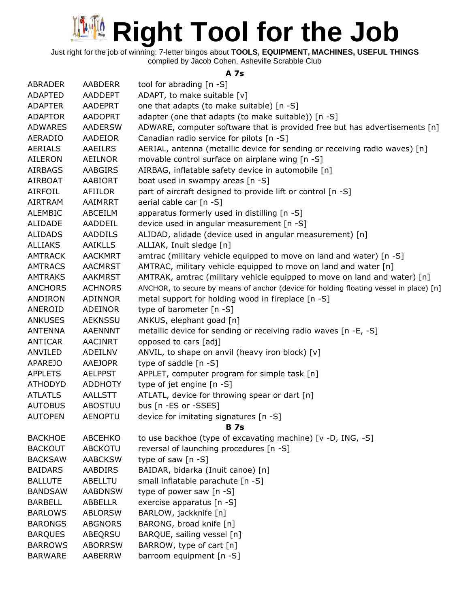Just right for the job of winning: 7-letter bingos about **TOOLS, EQUIPMENT, MACHINES, USEFUL THINGS** compiled by Jacob Cohen, Asheville Scrabble Club

#### **A 7s**

| <b>ABRADER</b> | <b>AABDERR</b> | tool for abrading [n -S]                                                               |
|----------------|----------------|----------------------------------------------------------------------------------------|
| <b>ADAPTED</b> | <b>AADDEPT</b> | ADAPT, to make suitable [v]                                                            |
| <b>ADAPTER</b> | <b>AADEPRT</b> | one that adapts (to make suitable) [n -S]                                              |
| <b>ADAPTOR</b> | <b>AADOPRT</b> | adapter (one that adapts (to make suitable)) [n -S]                                    |
| <b>ADWARES</b> | <b>AADERSW</b> | ADWARE, computer software that is provided free but has advertisements [n]             |
| <b>AERADIO</b> | AADEIOR        | Canadian radio service for pilots [n -S]                                               |
| <b>AERIALS</b> | <b>AAEILRS</b> | AERIAL, antenna (metallic device for sending or receiving radio waves) [n]             |
| AILERON        | <b>AEILNOR</b> | movable control surface on airplane wing [n -S]                                        |
| <b>AIRBAGS</b> | <b>AABGIRS</b> | AIRBAG, inflatable safety device in automobile [n]                                     |
| <b>AIRBOAT</b> | <b>AABIORT</b> | boat used in swampy areas [n -S]                                                       |
| <b>AIRFOIL</b> | AFIILOR        | part of aircraft designed to provide lift or control [n -S]                            |
| <b>AIRTRAM</b> | AAIMRRT        | aerial cable car [n -S]                                                                |
| <b>ALEMBIC</b> | ABCEILM        | apparatus formerly used in distilling [n -S]                                           |
| ALIDADE        | AADDEIL        | device used in angular measurement [n -S]                                              |
| <b>ALIDADS</b> | <b>AADDILS</b> | ALIDAD, alidade (device used in angular measurement) [n]                               |
| <b>ALLIAKS</b> | <b>AAIKLLS</b> | ALLIAK, Inuit sledge [n]                                                               |
| <b>AMTRACK</b> | <b>AACKMRT</b> | amtrac (military vehicle equipped to move on land and water) [n -S]                    |
| <b>AMTRACS</b> | <b>AACMRST</b> | AMTRAC, military vehicle equipped to move on land and water [n]                        |
| <b>AMTRAKS</b> | <b>AAKMRST</b> | AMTRAK, amtrac (military vehicle equipped to move on land and water) [n]               |
| <b>ANCHORS</b> | <b>ACHNORS</b> | ANCHOR, to secure by means of anchor (device for holding floating vessel in place) [n] |
| ANDIRON        | ADINNOR        | metal support for holding wood in fireplace [n -S]                                     |
| ANEROID        | ADEINOR        | type of barometer [n -S]                                                               |
| <b>ANKUSES</b> | <b>AEKNSSU</b> | ANKUS, elephant goad [n]                                                               |
| <b>ANTENNA</b> | <b>AAENNNT</b> | metallic device for sending or receiving radio waves [n -E, -S]                        |
| ANTICAR        | <b>AACINRT</b> | opposed to cars [adj]                                                                  |
| ANVILED        | ADEILNV        | ANVIL, to shape on anvil (heavy iron block) [v]                                        |
| <b>APAREJO</b> | <b>AAEJOPR</b> | type of saddle $[n -S]$                                                                |
| <b>APPLETS</b> | <b>AELPPST</b> | APPLET, computer program for simple task [n]                                           |
| <b>ATHODYD</b> | <b>ADDHOTY</b> | type of jet engine [n -S]                                                              |
| <b>ATLATLS</b> | <b>AALLSTT</b> | ATLATL, device for throwing spear or dart [n]                                          |
| <b>AUTOBUS</b> | <b>ABOSTUU</b> | bus [n -ES or -SSES]                                                                   |
| <b>AUTOPEN</b> | <b>AENOPTU</b> | device for imitating signatures [n -S]                                                 |
|                |                | <b>B</b> 7s                                                                            |
| <b>BACKHOE</b> | <b>ABCEHKO</b> | to use backhoe (type of excavating machine) [v -D, ING, -S]                            |
| <b>BACKOUT</b> | <b>ABCKOTU</b> | reversal of launching procedures [n -S]                                                |
| <b>BACKSAW</b> | <b>AABCKSW</b> | type of saw $[n -S]$                                                                   |
| <b>BAIDARS</b> | AABDIRS        | BAIDAR, bidarka (Inuit canoe) [n]                                                      |
| <b>BALLUTE</b> | ABELLTU        | small inflatable parachute [n -S]                                                      |
| <b>BANDSAW</b> | <b>AABDNSW</b> | type of power saw [n -S]                                                               |
| <b>BARBELL</b> | <b>ABBELLR</b> | exercise apparatus [n -S]                                                              |
| <b>BARLOWS</b> | <b>ABLORSW</b> | BARLOW, jackknife [n]                                                                  |
| <b>BARONGS</b> | <b>ABGNORS</b> | BARONG, broad knife [n]                                                                |
| <b>BARQUES</b> | ABEQRSU        | BARQUE, sailing vessel [n]                                                             |
| <b>BARROWS</b> | <b>ABORRSW</b> | BARROW, type of cart [n]                                                               |
| <b>BARWARE</b> | AABERRW        | barroom equipment [n -S]                                                               |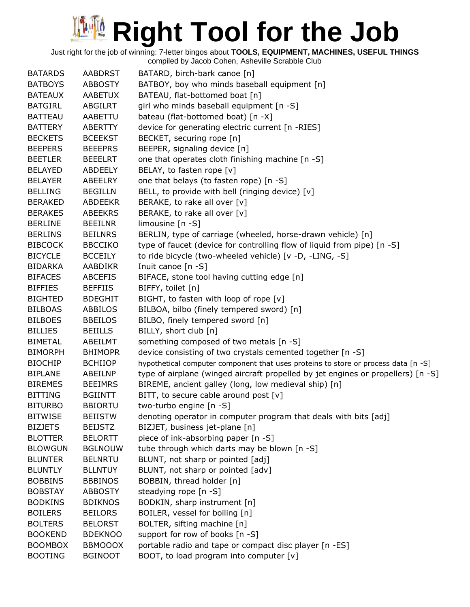| <b>BATARDS</b> | <b>AABDRST</b> | BATARD, birch-bark canoe [n]                                                       |
|----------------|----------------|------------------------------------------------------------------------------------|
| <b>BATBOYS</b> | <b>ABBOSTY</b> | BATBOY, boy who minds baseball equipment [n]                                       |
| <b>BATEAUX</b> | <b>AABETUX</b> | BATEAU, flat-bottomed boat [n]                                                     |
| <b>BATGIRL</b> | ABGILRT        | girl who minds baseball equipment [n -S]                                           |
| <b>BATTEAU</b> | AABETTU        | bateau (flat-bottomed boat) [n -X]                                                 |
| <b>BATTERY</b> | ABERTTY        | device for generating electric current [n -RIES]                                   |
| <b>BECKETS</b> | <b>BCEEKST</b> | BECKET, securing rope [n]                                                          |
| <b>BEEPERS</b> | <b>BEEEPRS</b> | BEEPER, signaling device [n]                                                       |
| <b>BEETLER</b> | <b>BEEELRT</b> | one that operates cloth finishing machine [n -S]                                   |
| <b>BELAYED</b> | ABDEELY        | BELAY, to fasten rope [v]                                                          |
| <b>BELAYER</b> | ABEELRY        | one that belays (to fasten rope) [n -S]                                            |
| <b>BELLING</b> | <b>BEGILLN</b> | BELL, to provide with bell (ringing device) [v]                                    |
| <b>BERAKED</b> | <b>ABDEEKR</b> | BERAKE, to rake all over [v]                                                       |
| <b>BERAKES</b> | <b>ABEEKRS</b> | BERAKE, to rake all over [v]                                                       |
| <b>BERLINE</b> | <b>BEEILNR</b> | limousine [n -S]                                                                   |
| <b>BERLINS</b> | <b>BEILNRS</b> | BERLIN, type of carriage (wheeled, horse-drawn vehicle) [n]                        |
| <b>BIBCOCK</b> | <b>BBCCIKO</b> | type of faucet (device for controlling flow of liquid from pipe) [n -S]            |
| <b>BICYCLE</b> | <b>BCCEILY</b> | to ride bicycle (two-wheeled vehicle) [v -D, -LING, -S]                            |
| <b>BIDARKA</b> | AABDIKR        | Inuit canoe [n -S]                                                                 |
| <b>BIFACES</b> | <b>ABCEFIS</b> | BIFACE, stone tool having cutting edge [n]                                         |
| <b>BIFFIES</b> | <b>BEFFIIS</b> | BIFFY, toilet [n]                                                                  |
| <b>BIGHTED</b> | <b>BDEGHIT</b> | BIGHT, to fasten with loop of rope [v]                                             |
| <b>BILBOAS</b> | ABBILOS        | BILBOA, bilbo (finely tempered sword) [n]                                          |
| <b>BILBOES</b> | <b>BBEILOS</b> | BILBO, finely tempered sword [n]                                                   |
| <b>BILLIES</b> | <b>BEIILLS</b> | BILLY, short club [n]                                                              |
| <b>BIMETAL</b> | ABEILMT        | something composed of two metals [n -S]                                            |
| <b>BIMORPH</b> | <b>BHIMOPR</b> | device consisting of two crystals cemented together [n -S]                         |
| <b>BIOCHIP</b> | <b>BCHIIOP</b> | hypothetical computer component that uses proteins to store or process data [n -S] |
| <b>BIPLANE</b> | ABEILNP        | type of airplane (winged aircraft propelled by jet engines or propellers) [n -S]   |
| <b>BIREMES</b> | <b>BEEIMRS</b> | BIREME, ancient galley (long, low medieval ship) [n]                               |
| <b>BITTING</b> | <b>BGIINTT</b> | BITT, to secure cable around post $[v]$                                            |
| <b>BITURBO</b> | <b>BBIORTU</b> | two-turbo engine [n -S]                                                            |
| <b>BITWISE</b> | <b>BEIISTW</b> | denoting operator in computer program that deals with bits [adj]                   |
| <b>BIZJETS</b> | <b>BEIJSTZ</b> | BIZJET, business jet-plane [n]                                                     |
| <b>BLOTTER</b> | <b>BELORTT</b> | piece of ink-absorbing paper [n -S]                                                |
| <b>BLOWGUN</b> | <b>BGLNOUW</b> | tube through which darts may be blown [n -S]                                       |
| <b>BLUNTER</b> | <b>BELNRTU</b> | BLUNT, not sharp or pointed [adj]                                                  |
| <b>BLUNTLY</b> | <b>BLLNTUY</b> | BLUNT, not sharp or pointed [adv]                                                  |
| <b>BOBBINS</b> | <b>BBBINOS</b> | BOBBIN, thread holder [n]                                                          |
| <b>BOBSTAY</b> | <b>ABBOSTY</b> | steadying rope [n -S]                                                              |
| <b>BODKINS</b> | <b>BDIKNOS</b> | BODKIN, sharp instrument [n]                                                       |
| <b>BOILERS</b> | <b>BEILORS</b> | BOILER, vessel for boiling [n]                                                     |
| <b>BOLTERS</b> | <b>BELORST</b> | BOLTER, sifting machine [n]                                                        |
| <b>BOOKEND</b> | <b>BDEKNOO</b> | support for row of books [n -S]                                                    |
| <b>BOOMBOX</b> | <b>BBMOOOX</b> | portable radio and tape or compact disc player [n -ES]                             |
| <b>BOOTING</b> | <b>BGINOOT</b> | BOOT, to load program into computer [v]                                            |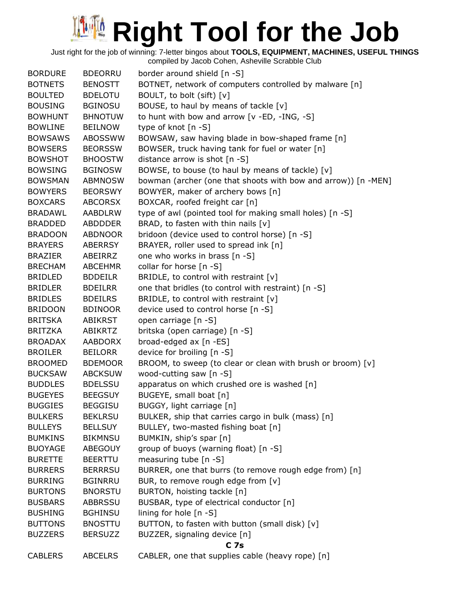| <b>BORDURE</b> | <b>BDEORRU</b> | border around shield [n -S]                                   |
|----------------|----------------|---------------------------------------------------------------|
| <b>BOTNETS</b> | <b>BENOSTT</b> | BOTNET, network of computers controlled by malware [n]        |
| <b>BOULTED</b> | <b>BDELOTU</b> | BOULT, to bolt (sift) [v]                                     |
| <b>BOUSING</b> | <b>BGINOSU</b> | BOUSE, to haul by means of tackle [v]                         |
| <b>BOWHUNT</b> | <b>BHNOTUW</b> | to hunt with bow and arrow [v -ED, -ING, -S]                  |
| <b>BOWLINE</b> | <b>BEILNOW</b> | type of knot [n -S]                                           |
| <b>BOWSAWS</b> | <b>ABOSSWW</b> | BOWSAW, saw having blade in bow-shaped frame [n]              |
| <b>BOWSERS</b> | <b>BEORSSW</b> | BOWSER, truck having tank for fuel or water [n]               |
| <b>BOWSHOT</b> | <b>BHOOSTW</b> | distance arrow is shot [n -S]                                 |
| <b>BOWSING</b> | <b>BGINOSW</b> | BOWSE, to bouse (to haul by means of tackle) [v]              |
| <b>BOWSMAN</b> | <b>ABMNOSW</b> | bowman (archer (one that shoots with bow and arrow)) [n -MEN] |
| <b>BOWYERS</b> | <b>BEORSWY</b> | BOWYER, maker of archery bows [n]                             |
| <b>BOXCARS</b> | <b>ABCORSX</b> | BOXCAR, roofed freight car [n]                                |
| <b>BRADAWL</b> | <b>AABDLRW</b> | type of awl (pointed tool for making small holes) [n -S]      |
| <b>BRADDED</b> | <b>ABDDDER</b> | BRAD, to fasten with thin nails [v]                           |
| <b>BRADOON</b> | <b>ABDNOOR</b> | bridoon (device used to control horse) [n -S]                 |
| <b>BRAYERS</b> | <b>ABERRSY</b> | BRAYER, roller used to spread ink [n]                         |
| <b>BRAZIER</b> | ABEIRRZ        | one who works in brass [n -S]                                 |
| <b>BRECHAM</b> | <b>ABCEHMR</b> | collar for horse [n -S]                                       |
| <b>BRIDLED</b> | <b>BDDEILR</b> | BRIDLE, to control with restraint [v]                         |
| <b>BRIDLER</b> | <b>BDEILRR</b> | one that bridles (to control with restraint) [n -S]           |
| <b>BRIDLES</b> | <b>BDEILRS</b> | BRIDLE, to control with restraint [v]                         |
| <b>BRIDOON</b> | <b>BDINOOR</b> | device used to control horse [n -S]                           |
| <b>BRITSKA</b> | <b>ABIKRST</b> | open carriage [n -S]                                          |
| <b>BRITZKA</b> | ABIKRTZ        | britska (open carriage) [n -S]                                |
| <b>BROADAX</b> | AABDORX        | broad-edged ax [n -ES]                                        |
| <b>BROILER</b> | <b>BEILORR</b> | device for broiling [n -S]                                    |
| <b>BROOMED</b> | <b>BDEMOOR</b> | BROOM, to sweep (to clear or clean with brush or broom) [v]   |
| <b>BUCKSAW</b> | <b>ABCKSUW</b> | wood-cutting saw [n -S]                                       |
| <b>BUDDLES</b> | <b>BDELSSU</b> | apparatus on which crushed ore is washed [n]                  |
| <b>BUGEYES</b> | <b>BEEGSUY</b> | BUGEYE, small boat [n]                                        |
| <b>BUGGIES</b> | <b>BEGGISU</b> | BUGGY, light carriage [n]                                     |
| <b>BULKERS</b> | <b>BEKLRSU</b> | BULKER, ship that carries cargo in bulk (mass) [n]            |
| <b>BULLEYS</b> | <b>BELLSUY</b> | BULLEY, two-masted fishing boat [n]                           |
| <b>BUMKINS</b> | <b>BIKMNSU</b> | BUMKIN, ship's spar [n]                                       |
| <b>BUOYAGE</b> | <b>ABEGOUY</b> | group of buoys (warning float) [n -S]                         |
| <b>BURETTE</b> | <b>BEERTTU</b> | measuring tube [n -S]                                         |
| <b>BURRERS</b> | <b>BERRRSU</b> | BURRER, one that burrs (to remove rough edge from) [n]        |
| <b>BURRING</b> | <b>BGINRRU</b> | BUR, to remove rough edge from [v]                            |
| <b>BURTONS</b> | <b>BNORSTU</b> | BURTON, hoisting tackle [n]                                   |
| <b>BUSBARS</b> | <b>ABBRSSU</b> | BUSBAR, type of electrical conductor [n]                      |
| <b>BUSHING</b> | <b>BGHINSU</b> | lining for hole $[n - S]$                                     |
| <b>BUTTONS</b> | <b>BNOSTTU</b> | BUTTON, to fasten with button (small disk) [v]                |
| <b>BUZZERS</b> | <b>BERSUZZ</b> | BUZZER, signaling device [n]                                  |
|                |                | <b>C</b> 7s                                                   |
| <b>CABLERS</b> | <b>ABCELRS</b> | CABLER, one that supplies cable (heavy rope) [n]              |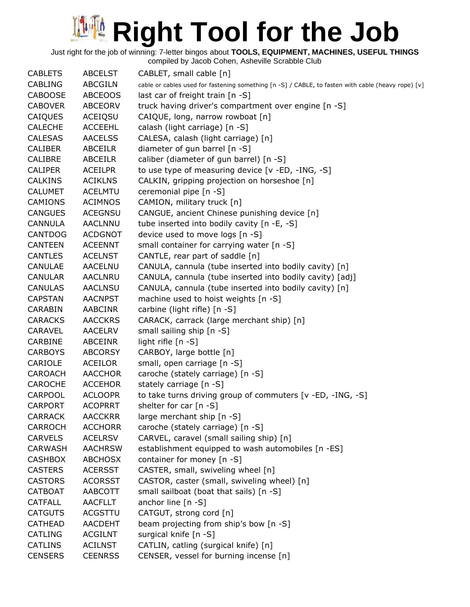| <b>CABLETS</b> | <b>ABCELST</b> | CABLET, small cable [n]                                                                            |
|----------------|----------------|----------------------------------------------------------------------------------------------------|
| <b>CABLING</b> | <b>ABCGILN</b> | cable or cables used for fastening something [n -S] / CABLE, to fasten with cable (heavy rope) [v] |
| <b>CABOOSE</b> | <b>ABCEOOS</b> | last car of freight train [n -S]                                                                   |
| <b>CABOVER</b> | <b>ABCEORV</b> | truck having driver's compartment over engine [n -S]                                               |
| CAIQUES        | ACEIQSU        | CAIQUE, long, narrow rowboat [n]                                                                   |
| <b>CALECHE</b> | <b>ACCEEHL</b> | calash (light carriage) [n -S]                                                                     |
| <b>CALESAS</b> | <b>AACELSS</b> | CALESA, calash (light carriage) [n]                                                                |
| <b>CALIBER</b> | <b>ABCEILR</b> | diameter of gun barrel [n -S]                                                                      |
| <b>CALIBRE</b> | <b>ABCEILR</b> | caliber (diameter of gun barrel) [n -S]                                                            |
| <b>CALIPER</b> | <b>ACEILPR</b> | to use type of measuring device [v -ED, -ING, -S]                                                  |
| <b>CALKINS</b> | <b>ACIKLNS</b> | CALKIN, gripping projection on horseshoe [n]                                                       |
| <b>CALUMET</b> | <b>ACELMTU</b> | ceremonial pipe [n -S]                                                                             |
| <b>CAMIONS</b> | <b>ACIMNOS</b> | CAMION, military truck [n]                                                                         |
| <b>CANGUES</b> | <b>ACEGNSU</b> | CANGUE, ancient Chinese punishing device [n]                                                       |
| CANNULA        | <b>AACLNNU</b> | tube inserted into bodily cavity [n -E, -S]                                                        |
| <b>CANTDOG</b> | <b>ACDGNOT</b> | device used to move logs [n -S]                                                                    |
| <b>CANTEEN</b> | <b>ACEENNT</b> | small container for carrying water [n -S]                                                          |
| <b>CANTLES</b> | <b>ACELNST</b> | CANTLE, rear part of saddle [n]                                                                    |
| CANULAE        | <b>AACELNU</b> | CANULA, cannula (tube inserted into bodily cavity) [n]                                             |
| <b>CANULAR</b> | <b>AACLNRU</b> | CANULA, cannula (tube inserted into bodily cavity) [adj]                                           |
| <b>CANULAS</b> | <b>AACLNSU</b> | CANULA, cannula (tube inserted into bodily cavity) [n]                                             |
| <b>CAPSTAN</b> | <b>AACNPST</b> | machine used to hoist weights [n -S]                                                               |
| CARABIN        | AABCINR        | carbine (light rifle) [n -S]                                                                       |
| <b>CARACKS</b> | <b>AACCKRS</b> | CARACK, carrack (large merchant ship) [n]                                                          |
| CARAVEL        | <b>AACELRV</b> | small sailing ship [n -S]                                                                          |
| CARBINE        | <b>ABCEINR</b> | light rifle [n -S]                                                                                 |
| <b>CARBOYS</b> | <b>ABCORSY</b> | CARBOY, large bottle [n]                                                                           |
| CARIOLE        | <b>ACEILOR</b> | small, open carriage [n -S]                                                                        |
| CAROACH        | <b>AACCHOR</b> | caroche (stately carriage) [n -S]                                                                  |
| <b>CAROCHE</b> | <b>ACCEHOR</b> | stately carriage [n -S]                                                                            |
| CARPOOL        | <b>ACLOOPR</b> | to take turns driving group of commuters [v -ED, -ING, -S]                                         |
| <b>CARPORT</b> | <b>ACOPRRT</b> | shelter for car [n -S]                                                                             |
| <b>CARRACK</b> | <b>AACCKRR</b> | large merchant ship [n -S]                                                                         |
| CARROCH        | <b>ACCHORR</b> | caroche (stately carriage) [n -S]                                                                  |
| <b>CARVELS</b> | <b>ACELRSV</b> | CARVEL, caravel (small sailing ship) [n]                                                           |
| <b>CARWASH</b> | <b>AACHRSW</b> |                                                                                                    |
|                | <b>ABCHOSX</b> | establishment equipped to wash automobiles [n -ES]                                                 |
| <b>CASHBOX</b> |                | container for money [n -S]                                                                         |
| <b>CASTERS</b> | <b>ACERSST</b> | CASTER, small, swiveling wheel [n]                                                                 |
| <b>CASTORS</b> | <b>ACORSST</b> | CASTOR, caster (small, swiveling wheel) [n]                                                        |
| <b>CATBOAT</b> | AABCOTT        | small sailboat (boat that sails) [n -S]                                                            |
| <b>CATFALL</b> | <b>AACFLLT</b> | anchor line $[n -S]$                                                                               |
| <b>CATGUTS</b> | ACGSTTU        | CATGUT, strong cord [n]                                                                            |
| <b>CATHEAD</b> | <b>AACDEHT</b> | beam projecting from ship's bow [n -S]                                                             |
| <b>CATLING</b> | <b>ACGILNT</b> | surgical knife [n -S]                                                                              |
| <b>CATLINS</b> | <b>ACILNST</b> | CATLIN, catling (surgical knife) [n]                                                               |
| <b>CENSERS</b> | <b>CEENRSS</b> | CENSER, vessel for burning incense [n]                                                             |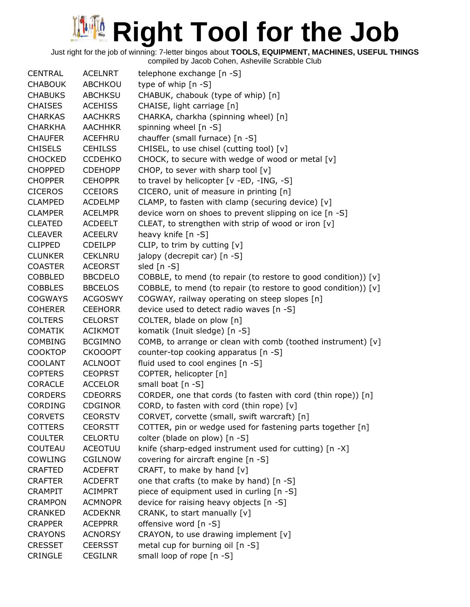Just right for the job of winning: 7-letter bingos about **TOOLS, EQUIPMENT, MACHINES, USEFUL THINGS**

| <b>CENTRAL</b> | <b>ACELNRT</b> | telephone exchange [n -S]                                      |
|----------------|----------------|----------------------------------------------------------------|
| <b>CHABOUK</b> | ABCHKOU        | type of whip [n -S]                                            |
| <b>CHABUKS</b> | <b>ABCHKSU</b> | CHABUK, chabouk (type of whip) [n]                             |
| <b>CHAISES</b> | <b>ACEHISS</b> | CHAISE, light carriage [n]                                     |
| <b>CHARKAS</b> | <b>AACHKRS</b> | CHARKA, charkha (spinning wheel) [n]                           |
| <b>CHARKHA</b> | <b>AACHHKR</b> | spinning wheel [n -S]                                          |
| <b>CHAUFER</b> | <b>ACEFHRU</b> | chauffer (small furnace) [n -S]                                |
| <b>CHISELS</b> | <b>CEHILSS</b> | CHISEL, to use chisel (cutting tool) [v]                       |
| <b>CHOCKED</b> | <b>CCDEHKO</b> | CHOCK, to secure with wedge of wood or metal [v]               |
| <b>CHOPPED</b> | <b>CDEHOPP</b> | CHOP, to sever with sharp tool [v]                             |
| <b>CHOPPER</b> | <b>CEHOPPR</b> | to travel by helicopter [v -ED, -ING, -S]                      |
| <b>CICEROS</b> | <b>CCEIORS</b> | CICERO, unit of measure in printing [n]                        |
| <b>CLAMPED</b> | <b>ACDELMP</b> | CLAMP, to fasten with clamp (securing device) [v]              |
| <b>CLAMPER</b> | <b>ACELMPR</b> | device worn on shoes to prevent slipping on ice [n -S]         |
| <b>CLEATED</b> | <b>ACDEELT</b> | CLEAT, to strengthen with strip of wood or iron [v]            |
| <b>CLEAVER</b> | <b>ACEELRV</b> | heavy knife $[n - S]$                                          |
| <b>CLIPPED</b> | <b>CDEILPP</b> | CLIP, to trim by cutting $[v]$                                 |
| <b>CLUNKER</b> | <b>CEKLNRU</b> | jalopy (decrepit car) [n -S]                                   |
| <b>COASTER</b> | <b>ACEORST</b> | sled [n -S]                                                    |
| <b>COBBLED</b> | <b>BBCDELO</b> | COBBLE, to mend (to repair (to restore to good condition)) [v] |
| <b>COBBLES</b> | <b>BBCELOS</b> | COBBLE, to mend (to repair (to restore to good condition)) [v] |
| <b>COGWAYS</b> | <b>ACGOSWY</b> | COGWAY, railway operating on steep slopes [n]                  |
| <b>COHERER</b> | <b>CEEHORR</b> | device used to detect radio waves [n -S]                       |
| <b>COLTERS</b> | <b>CELORST</b> | COLTER, blade on plow [n]                                      |
| <b>COMATIK</b> | <b>ACIKMOT</b> | komatik (Inuit sledge) [n -S]                                  |
| <b>COMBING</b> | <b>BCGIMNO</b> | COMB, to arrange or clean with comb (toothed instrument) [v]   |
| <b>COOKTOP</b> | <b>CKOOOPT</b> | counter-top cooking apparatus [n -S]                           |
| <b>COOLANT</b> | <b>ACLNOOT</b> | fluid used to cool engines [n -S]                              |
| <b>COPTERS</b> | <b>CEOPRST</b> | COPTER, helicopter [n]                                         |
| CORACLE        | <b>ACCELOR</b> | small boat [n -S]                                              |
| <b>CORDERS</b> | <b>CDEORRS</b> | CORDER, one that cords (to fasten with cord (thin rope)) [n]   |
| <b>CORDING</b> | <b>CDGINOR</b> | CORD, to fasten with cord (thin rope) [v]                      |
| <b>CORVETS</b> | <b>CEORSTV</b> | CORVET, corvette (small, swift warcraft) [n]                   |
| <b>COTTERS</b> | <b>CEORSTT</b> | COTTER, pin or wedge used for fastening parts together [n]     |
| <b>COULTER</b> | <b>CELORTU</b> | colter (blade on plow) [n -S]                                  |
| COUTEAU        | <b>ACEOTUU</b> | knife (sharp-edged instrument used for cutting) [n -X]         |
| <b>COWLING</b> | <b>CGILNOW</b> | covering for aircraft engine [n -S]                            |
| <b>CRAFTED</b> | <b>ACDEFRT</b> | CRAFT, to make by hand $[v]$                                   |
| <b>CRAFTER</b> | <b>ACDEFRT</b> | one that crafts (to make by hand) [n -S]                       |
| <b>CRAMPIT</b> | <b>ACIMPRT</b> | piece of equipment used in curling [n -S]                      |
| <b>CRAMPON</b> | <b>ACMNOPR</b> | device for raising heavy objects [n -S]                        |
| <b>CRANKED</b> | <b>ACDEKNR</b> | CRANK, to start manually [v]                                   |
| <b>CRAPPER</b> | <b>ACEPPRR</b> | offensive word [n -S]                                          |
| <b>CRAYONS</b> | <b>ACNORSY</b> | CRAYON, to use drawing implement [v]                           |
| <b>CRESSET</b> | <b>CEERSST</b> | metal cup for burning oil [n -S]                               |
| <b>CRINGLE</b> | <b>CEGILNR</b> | small loop of rope [n -S]                                      |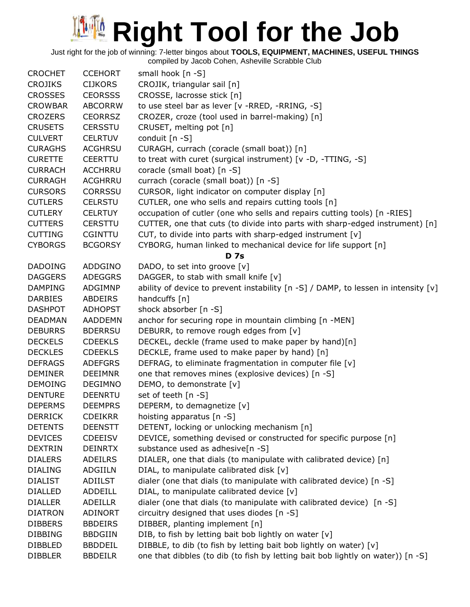Just right for the job of winning: 7-letter bingos about **TOOLS, EQUIPMENT, MACHINES, USEFUL THINGS**

| <b>CROCHET</b> | <b>CCEHORT</b> | small hook $[n -S]$                                                                |
|----------------|----------------|------------------------------------------------------------------------------------|
| <b>CROJIKS</b> | <b>CIJKORS</b> | CROJIK, triangular sail [n]                                                        |
| <b>CROSSES</b> | <b>CEORSSS</b> | CROSSE, lacrosse stick [n]                                                         |
| <b>CROWBAR</b> | <b>ABCORRW</b> | to use steel bar as lever [v -RRED, -RRING, -S]                                    |
| <b>CROZERS</b> | <b>CEORRSZ</b> | CROZER, croze (tool used in barrel-making) [n]                                     |
| <b>CRUSETS</b> | <b>CERSSTU</b> | CRUSET, melting pot [n]                                                            |
| <b>CULVERT</b> | <b>CELRTUV</b> | conduit [n -S]                                                                     |
| <b>CURAGHS</b> | <b>ACGHRSU</b> | CURAGH, currach (coracle (small boat)) [n]                                         |
| <b>CURETTE</b> | <b>CEERTTU</b> | to treat with curet (surgical instrument) [v -D, -TTING, -S]                       |
| <b>CURRACH</b> | <b>ACCHRRU</b> | coracle (small boat) [n -S]                                                        |
| <b>CURRAGH</b> | ACGHRRU        | currach (coracle (small boat)) [n -S]                                              |
| <b>CURSORS</b> | <b>CORRSSU</b> | CURSOR, light indicator on computer display [n]                                    |
| <b>CUTLERS</b> | <b>CELRSTU</b> | CUTLER, one who sells and repairs cutting tools [n]                                |
| <b>CUTLERY</b> | <b>CELRTUY</b> | occupation of cutler (one who sells and repairs cutting tools) [n -RIES]           |
| <b>CUTTERS</b> | <b>CERSTTU</b> | CUTTER, one that cuts (to divide into parts with sharp-edged instrument) [n]       |
| <b>CUTTING</b> | <b>CGINTTU</b> | CUT, to divide into parts with sharp-edged instrument [v]                          |
| <b>CYBORGS</b> | <b>BCGORSY</b> | CYBORG, human linked to mechanical device for life support [n]                     |
|                |                | <b>D</b> 7s                                                                        |
| <b>DADOING</b> | ADDGINO        | DADO, to set into groove [v]                                                       |
| <b>DAGGERS</b> | <b>ADEGGRS</b> | DAGGER, to stab with small knife [v]                                               |
| <b>DAMPING</b> | ADGIMNP        | ability of device to prevent instability [n -S] / DAMP, to lessen in intensity [v] |
| <b>DARBIES</b> | ABDEIRS        | handcuffs [n]                                                                      |
| <b>DASHPOT</b> | <b>ADHOPST</b> | shock absorber [n -S]                                                              |
| <b>DEADMAN</b> | <b>AADDEMN</b> | anchor for securing rope in mountain climbing [n -MEN]                             |
| <b>DEBURRS</b> | <b>BDERRSU</b> | DEBURR, to remove rough edges from [v]                                             |
| <b>DECKELS</b> | <b>CDEEKLS</b> | DECKEL, deckle (frame used to make paper by hand)[n]                               |
| <b>DECKLES</b> | <b>CDEEKLS</b> | DECKLE, frame used to make paper by hand) [n]                                      |
| <b>DEFRAGS</b> | <b>ADEFGRS</b> | DEFRAG, to eliminate fragmentation in computer file [v]                            |
| <b>DEMINER</b> | <b>DEEIMNR</b> | one that removes mines (explosive devices) [n -S]                                  |
| <b>DEMOING</b> | <b>DEGIMNO</b> | DEMO, to demonstrate [v]                                                           |
| <b>DENTURE</b> | <b>DEENRTU</b> | set of teeth [n -S]                                                                |
| <b>DEPERMS</b> | <b>DEEMPRS</b> | DEPERM, to demagnetize [v]                                                         |
| <b>DERRICK</b> | <b>CDEIKRR</b> | hoisting apparatus [n -S]                                                          |
| <b>DETENTS</b> | <b>DEENSTT</b> | DETENT, locking or unlocking mechanism [n]                                         |
| <b>DEVICES</b> | <b>CDEEISV</b> | DEVICE, something devised or constructed for specific purpose [n]                  |
| <b>DEXTRIN</b> | <b>DEINRTX</b> | substance used as adhesive[n -S]                                                   |
| <b>DIALERS</b> | <b>ADEILRS</b> | DIALER, one that dials (to manipulate with calibrated device) [n]                  |
| <b>DIALING</b> | ADGIILN        | DIAL, to manipulate calibrated disk [v]                                            |
| <b>DIALIST</b> | ADIILST        | dialer (one that dials (to manipulate with calibrated device) [n -S]               |
| <b>DIALLED</b> | ADDEILL        | DIAL, to manipulate calibrated device [v]                                          |
| <b>DIALLER</b> | ADEILLR        | dialer (one that dials (to manipulate with calibrated device) [n -S]               |
| <b>DIATRON</b> | <b>ADINORT</b> | circuitry designed that uses diodes [n -S]                                         |
| <b>DIBBERS</b> | <b>BBDEIRS</b> | DIBBER, planting implement [n]                                                     |
| <b>DIBBING</b> | <b>BBDGIIN</b> | DIB, to fish by letting bait bob lightly on water [v]                              |
| <b>DIBBLED</b> | <b>BBDDEIL</b> | DIBBLE, to dib (to fish by letting bait bob lightly on water) [v]                  |
| <b>DIBBLER</b> | <b>BBDEILR</b> | one that dibbles (to dib (to fish by letting bait bob lightly on water)) [n -S]    |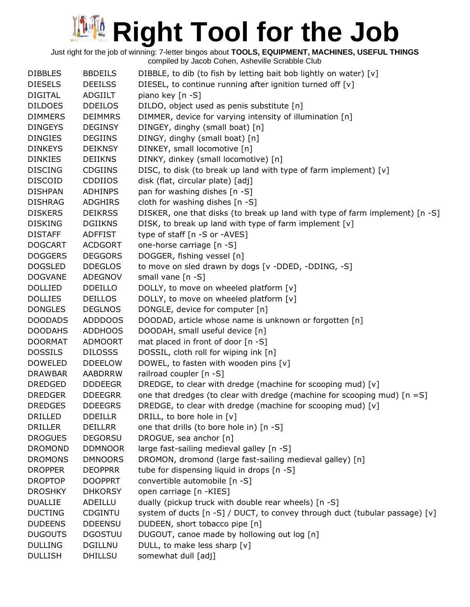| <b>DIBBLES</b> | <b>BBDEILS</b> | DIBBLE, to dib (to fish by letting bait bob lightly on water) [v]            |
|----------------|----------------|------------------------------------------------------------------------------|
| <b>DIESELS</b> | <b>DEEILSS</b> | DIESEL, to continue running after ignition turned off [v]                    |
| <b>DIGITAL</b> | ADGIILT        | piano key [n -S]                                                             |
| <b>DILDOES</b> | <b>DDEILOS</b> | DILDO, object used as penis substitute [n]                                   |
| <b>DIMMERS</b> | <b>DEIMMRS</b> | DIMMER, device for varying intensity of illumination [n]                     |
|                |                |                                                                              |
| <b>DINGEYS</b> | <b>DEGINSY</b> | DINGEY, dinghy (small boat) [n]                                              |
| <b>DINGIES</b> | <b>DEGIINS</b> | DINGY, dinghy (small boat) [n]                                               |
| <b>DINKEYS</b> | <b>DEIKNSY</b> | DINKEY, small locomotive [n]                                                 |
| <b>DINKIES</b> | <b>DEIIKNS</b> | DINKY, dinkey (small locomotive) [n]                                         |
| <b>DISCING</b> | <b>CDGIINS</b> | DISC, to disk (to break up land with type of farm implement) [v]             |
| <b>DISCOID</b> | <b>CDDIIOS</b> | disk (flat, circular plate) [adj]                                            |
| <b>DISHPAN</b> | <b>ADHINPS</b> | pan for washing dishes [n -S]                                                |
| <b>DISHRAG</b> | <b>ADGHIRS</b> | cloth for washing dishes [n -S]                                              |
| <b>DISKERS</b> | <b>DEIKRSS</b> | DISKER, one that disks (to break up land with type of farm implement) [n -S] |
| <b>DISKING</b> | <b>DGIIKNS</b> | DISK, to break up land with type of farm implement [v]                       |
| <b>DISTAFF</b> | <b>ADFFIST</b> | type of staff [n -S or -AVES]                                                |
| <b>DOGCART</b> | <b>ACDGORT</b> | one-horse carriage [n -S]                                                    |
| <b>DOGGERS</b> | <b>DEGGORS</b> | DOGGER, fishing vessel [n]                                                   |
| <b>DOGSLED</b> | <b>DDEGLOS</b> | to move on sled drawn by dogs [v -DDED, -DDING, -S]                          |
| <b>DOGVANE</b> | ADEGNOV        | small vane [n -S]                                                            |
| <b>DOLLIED</b> | <b>DDEILLO</b> | DOLLY, to move on wheeled platform [v]                                       |
| <b>DOLLIES</b> | <b>DEILLOS</b> | DOLLY, to move on wheeled platform [v]                                       |
| <b>DONGLES</b> | <b>DEGLNOS</b> | DONGLE, device for computer [n]                                              |
| <b>DOODADS</b> | ADDDOOS        | DOODAD, article whose name is unknown or forgotten [n]                       |
| <b>DOODAHS</b> | <b>ADDHOOS</b> | DOODAH, small useful device [n]                                              |
| <b>DOORMAT</b> | <b>ADMOORT</b> | mat placed in front of door [n -S]                                           |
| <b>DOSSILS</b> | <b>DILOSSS</b> | DOSSIL, cloth roll for wiping ink [n]                                        |
| <b>DOWELED</b> | <b>DDEELOW</b> | DOWEL, to fasten with wooden pins [v]                                        |
| <b>DRAWBAR</b> | <b>AABDRRW</b> | railroad coupler [n -S]                                                      |
| <b>DREDGED</b> | <b>DDDEEGR</b> | DREDGE, to clear with dredge (machine for scooping mud) [v]                  |
| <b>DREDGER</b> | <b>DDEEGRR</b> | one that dredges (to clear with dredge (machine for scooping mud) $[n = S]$  |
| <b>DREDGES</b> | <b>DDEEGRS</b> | DREDGE, to clear with dredge (machine for scooping mud) [v]                  |
| <b>DRILLED</b> | <b>DDEILLR</b> | DRILL, to bore hole in [v]                                                   |
| <b>DRILLER</b> | <b>DEILLRR</b> | one that drills (to bore hole in) [n -S]                                     |
| <b>DROGUES</b> | <b>DEGORSU</b> | DROGUE, sea anchor [n]                                                       |
| <b>DROMOND</b> | <b>DDMNOOR</b> | large fast-sailing medieval galley [n -S]                                    |
| <b>DROMONS</b> | <b>DMNOORS</b> | DROMON, dromond (large fast-sailing medieval galley) [n]                     |
| <b>DROPPER</b> | <b>DEOPPRR</b> | tube for dispensing liquid in drops [n -S]                                   |
| <b>DROPTOP</b> | <b>DOOPPRT</b> | convertible automobile [n -S]                                                |
| <b>DROSHKY</b> | <b>DHKORSY</b> | open carriage [n -KIES]                                                      |
| <b>DUALLIE</b> | ADEILLU        | dually (pickup truck with double rear wheels) [n -S]                         |
| <b>DUCTING</b> | CDGINTU        | system of ducts [n -S] / DUCT, to convey through duct (tubular passage) [v]  |
| <b>DUDEENS</b> | <b>DDEENSU</b> | DUDEEN, short tobacco pipe [n]                                               |
| <b>DUGOUTS</b> | <b>DGOSTUU</b> | DUGOUT, canoe made by hollowing out log [n]                                  |
| <b>DULLING</b> | <b>DGILLNU</b> | DULL, to make less sharp [v]                                                 |
| <b>DULLISH</b> | <b>DHILLSU</b> | somewhat dull [adj]                                                          |
|                |                |                                                                              |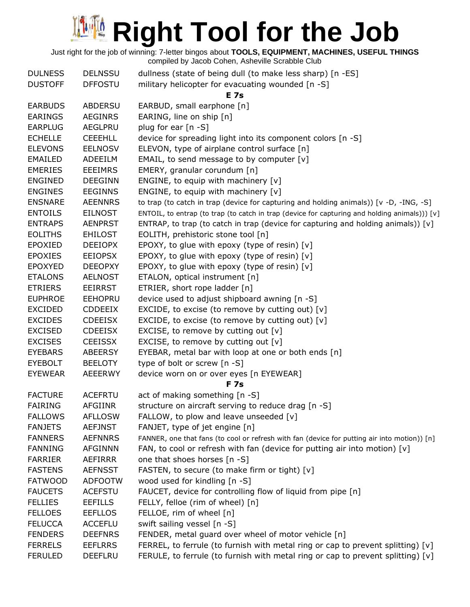| <b>DULNESS</b> | <b>DELNSSU</b> | dullness (state of being dull (to make less sharp) [n -ES]                                    |
|----------------|----------------|-----------------------------------------------------------------------------------------------|
| <b>DUSTOFF</b> | <b>DFFOSTU</b> | military helicopter for evacuating wounded [n -S]                                             |
|                |                | <b>E</b> 7s                                                                                   |
| <b>EARBUDS</b> | ABDERSU        | EARBUD, small earphone [n]                                                                    |
| <b>EARINGS</b> | <b>AEGINRS</b> | EARING, line on ship [n]                                                                      |
| <b>EARPLUG</b> | AEGLPRU        | plug for ear $[n - S]$                                                                        |
| <b>ECHELLE</b> | <b>CEEEHLL</b> | device for spreading light into its component colors [n -S]                                   |
| <b>ELEVONS</b> | <b>EELNOSV</b> | ELEVON, type of airplane control surface [n]                                                  |
| EMAILED        | ADEEILM        | EMAIL, to send message to by computer $[v]$                                                   |
| <b>EMERIES</b> | <b>EEEIMRS</b> | EMERY, granular corundum [n]                                                                  |
| <b>ENGINED</b> | <b>DEEGINN</b> | ENGINE, to equip with machinery $[v]$                                                         |
| <b>ENGINES</b> | <b>EEGINNS</b> | ENGINE, to equip with machinery $[v]$                                                         |
| <b>ENSNARE</b> | <b>AEENNRS</b> | to trap (to catch in trap (device for capturing and holding animals)) [v -D, -ING, -S]        |
| <b>ENTOILS</b> | <b>EILNOST</b> | ENTOIL, to entrap (to trap (to catch in trap (device for capturing and holding animals))) [v] |
| <b>ENTRAPS</b> | <b>AENPRST</b> | ENTRAP, to trap (to catch in trap (device for capturing and holding animals)) $[v]$           |
| <b>EOLITHS</b> | <b>EHILOST</b> | EOLITH, prehistoric stone tool [n]                                                            |
| <b>EPOXIED</b> | <b>DEEIOPX</b> | EPOXY, to glue with epoxy (type of resin) [v]                                                 |
| <b>EPOXIES</b> | <b>EEIOPSX</b> | EPOXY, to glue with epoxy (type of resin) [v]                                                 |
| <b>EPOXYED</b> | <b>DEEOPXY</b> | EPOXY, to glue with epoxy (type of resin) [v]                                                 |
| <b>ETALONS</b> | <b>AELNOST</b> | ETALON, optical instrument [n]                                                                |
| <b>ETRIERS</b> | EEIRRST        | ETRIER, short rope ladder [n]                                                                 |
| <b>EUPHROE</b> | <b>EEHOPRU</b> | device used to adjust shipboard awning [n -S]                                                 |
| EXCIDED        | <b>CDDEEIX</b> | EXCIDE, to excise (to remove by cutting out) $[v]$                                            |
| <b>EXCIDES</b> | <b>CDEEISX</b> | EXCIDE, to excise (to remove by cutting out) $[v]$                                            |
| <b>EXCISED</b> | <b>CDEEISX</b> | EXCISE, to remove by cutting out $[v]$                                                        |
| <b>EXCISES</b> | <b>CEEISSX</b> | EXCISE, to remove by cutting out $[v]$                                                        |
| <b>EYEBARS</b> | <b>ABEERSY</b> | EYEBAR, metal bar with loop at one or both ends [n]                                           |
| <b>EYEBOLT</b> | <b>BEELOTY</b> | type of bolt or screw [n -S]                                                                  |
| <b>EYEWEAR</b> | <b>AEEERWY</b> | device worn on or over eyes [n EYEWEAR]                                                       |
|                |                | <b>F7s</b>                                                                                    |
| <b>FACTURE</b> | <b>ACEFRTU</b> | act of making something [n -S]                                                                |
| <b>FAIRING</b> | <b>AFGIINR</b> | structure on aircraft serving to reduce drag [n -S]                                           |
| <b>FALLOWS</b> | <b>AFLLOSW</b> | FALLOW, to plow and leave unseeded $[v]$                                                      |
| <b>FANJETS</b> | <b>AEFJNST</b> | FANJET, type of jet engine [n]                                                                |
| <b>FANNERS</b> | <b>AEFNNRS</b> | FANNER, one that fans (to cool or refresh with fan (device for putting air into motion)) [n]  |
| <b>FANNING</b> | <b>AFGINNN</b> | FAN, to cool or refresh with fan (device for putting air into motion) [v]                     |
| <b>FARRIER</b> | AEFIRRR        | one that shoes horses [n -S]                                                                  |
| <b>FASTENS</b> | <b>AEFNSST</b> | FASTEN, to secure (to make firm or tight) [v]                                                 |
| <b>FATWOOD</b> | <b>ADFOOTW</b> | wood used for kindling [n -S]                                                                 |
| <b>FAUCETS</b> | <b>ACEFSTU</b> | FAUCET, device for controlling flow of liquid from pipe [n]                                   |
| <b>FELLIES</b> | <b>EEFILLS</b> | FELLY, felloe (rim of wheel) [n]                                                              |
| <b>FELLOES</b> | <b>EEFLLOS</b> | FELLOE, rim of wheel [n]                                                                      |
| <b>FELUCCA</b> | <b>ACCEFLU</b> | swift sailing vessel [n -S]                                                                   |
| <b>FENDERS</b> | <b>DEEFNRS</b> | FENDER, metal guard over wheel of motor vehicle [n]                                           |
| <b>FERRELS</b> | <b>EEFLRRS</b> | FERREL, to ferrule (to furnish with metal ring or cap to prevent splitting) $[v]$             |
| <b>FERULED</b> | <b>DEEFLRU</b> | FERULE, to ferrule (to furnish with metal ring or cap to prevent splitting) [v]               |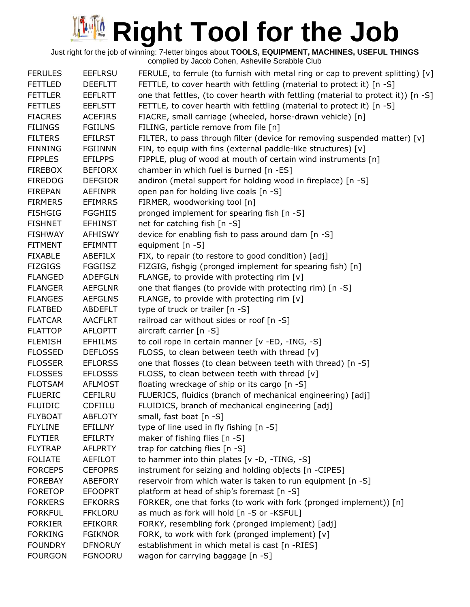| <b>FERULES</b> | <b>EEFLRSU</b> | FERULE, to ferrule (to furnish with metal ring or cap to prevent splitting) $[v]$ |
|----------------|----------------|-----------------------------------------------------------------------------------|
| <b>FETTLED</b> | <b>DEEFLTT</b> | FETTLE, to cover hearth with fettling (material to protect it) [n -S]             |
| <b>FETTLER</b> | <b>EEFLRTT</b> | one that fettles, (to cover hearth with fettling (material to protect it)) [n -S] |
| <b>FETTLES</b> | <b>EEFLSTT</b> | FETTLE, to cover hearth with fettling (material to protect it) [n -S]             |
| <b>FIACRES</b> | <b>ACEFIRS</b> | FIACRE, small carriage (wheeled, horse-drawn vehicle) [n]                         |
| <b>FILINGS</b> | <b>FGIILNS</b> | FILING, particle remove from file [n]                                             |
| <b>FILTERS</b> | <b>EFILRST</b> | FILTER, to pass through filter (device for removing suspended matter) $[v]$       |
| <b>FINNING</b> | <b>FGIINNN</b> | FIN, to equip with fins (external paddle-like structures) [v]                     |
| <b>FIPPLES</b> | <b>EFILPPS</b> | FIPPLE, plug of wood at mouth of certain wind instruments [n]                     |
| <b>FIREBOX</b> | <b>BEFIORX</b> | chamber in which fuel is burned [n -ES]                                           |
| <b>FIREDOG</b> | <b>DEFGIOR</b> | andiron (metal support for holding wood in fireplace) [n -S]                      |
| <b>FIREPAN</b> | <b>AEFINPR</b> | open pan for holding live coals [n -S]                                            |
| <b>FIRMERS</b> | <b>EFIMRRS</b> | FIRMER, woodworking tool [n]                                                      |
| <b>FISHGIG</b> | <b>FGGHIIS</b> | pronged implement for spearing fish [n -S]                                        |
| <b>FISHNET</b> | <b>EFHINST</b> | net for catching fish [n -S]                                                      |
| <b>FISHWAY</b> | <b>AFHISWY</b> | device for enabling fish to pass around dam [n -S]                                |
| <b>FITMENT</b> | EFIMNTT        | equipment [n -S]                                                                  |
| <b>FIXABLE</b> | ABEFILX        | FIX, to repair (to restore to good condition) [adj]                               |
| <b>FIZGIGS</b> | FGGIISZ        | FIZGIG, fishgig (pronged implement for spearing fish) [n]                         |
| <b>FLANGED</b> | <b>ADEFGLN</b> | FLANGE, to provide with protecting rim $[v]$                                      |
| <b>FLANGER</b> | <b>AEFGLNR</b> | one that flanges (to provide with protecting rim) [n -S]                          |
| <b>FLANGES</b> | <b>AEFGLNS</b> | FLANGE, to provide with protecting rim $[v]$                                      |
| <b>FLATBED</b> | <b>ABDEFLT</b> | type of truck or trailer [n -S]                                                   |
| <b>FLATCAR</b> | <b>AACFLRT</b> | railroad car without sides or roof [n -S]                                         |
| <b>FLATTOP</b> | <b>AFLOPTT</b> | aircraft carrier [n -S]                                                           |
| <b>FLEMISH</b> | <b>EFHILMS</b> | to coil rope in certain manner [v -ED, -ING, -S]                                  |
| <b>FLOSSED</b> | <b>DEFLOSS</b> | FLOSS, to clean between teeth with thread [v]                                     |
| <b>FLOSSER</b> | <b>EFLORSS</b> | one that flosses (to clean between teeth with thread) [n -S]                      |
| <b>FLOSSES</b> | <b>EFLOSSS</b> | FLOSS, to clean between teeth with thread [v]                                     |
| <b>FLOTSAM</b> | <b>AFLMOST</b> | floating wreckage of ship or its cargo [n -S]                                     |
| <b>FLUERIC</b> | <b>CEFILRU</b> | FLUERICS, fluidics (branch of mechanical engineering) [adj]                       |
| <b>FLUIDIC</b> | CDFIILU        | FLUIDICS, branch of mechanical engineering [adj]                                  |
| <b>FLYBOAT</b> | <b>ABFLOTY</b> | small, fast boat [n -S]                                                           |
| <b>FLYLINE</b> | <b>EFILLNY</b> | type of line used in fly fishing [n -S]                                           |
| <b>FLYTIER</b> | EFILRTY        | maker of fishing flies [n -S]                                                     |
| <b>FLYTRAP</b> | <b>AFLPRTY</b> | trap for catching flies [n -S]                                                    |
| <b>FOLIATE</b> | <b>AEFILOT</b> | to hammer into thin plates [v -D, -TING, -S]                                      |
| <b>FORCEPS</b> | <b>CEFOPRS</b> | instrument for seizing and holding objects [n -CIPES]                             |
| <b>FOREBAY</b> | <b>ABEFORY</b> | reservoir from which water is taken to run equipment [n -S]                       |
| <b>FORETOP</b> | <b>EFOOPRT</b> | platform at head of ship's foremast [n -S]                                        |
| <b>FORKERS</b> | <b>EFKORRS</b> | FORKER, one that forks (to work with fork (pronged implement)) [n]                |
| <b>FORKFUL</b> | <b>FFKLORU</b> | as much as fork will hold [n -S or -KSFUL]                                        |
| <b>FORKIER</b> | <b>EFIKORR</b> | FORKY, resembling fork (pronged implement) [adj]                                  |
| <b>FORKING</b> | <b>FGIKNOR</b> | FORK, to work with fork (pronged implement) [v]                                   |
| <b>FOUNDRY</b> | <b>DFNORUY</b> | establishment in which metal is cast [n -RIES]                                    |
| <b>FOURGON</b> | <b>FGNOORU</b> | wagon for carrying baggage [n -S]                                                 |
|                |                |                                                                                   |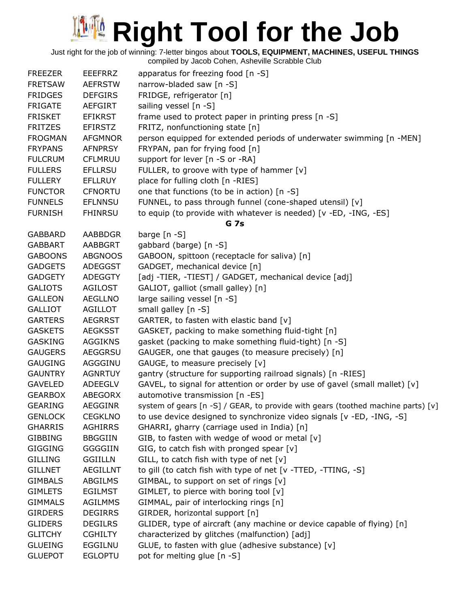Just right for the job of winning: 7-letter bingos about **TOOLS, EQUIPMENT, MACHINES, USEFUL THINGS**

| narrow-bladed saw [n -S]<br><b>FRETSAW</b><br><b>AEFRSTW</b><br>FRIDGE, refrigerator [n]<br><b>FRIDGES</b><br><b>DEFGIRS</b><br><b>FRIGATE</b><br><b>AEFGIRT</b><br>sailing vessel [n -S]<br>frame used to protect paper in printing press [n -S]<br><b>FRISKET</b><br><b>EFIKRST</b><br>FRITZ, nonfunctioning state [n]<br><b>FRITZES</b><br><b>EFIRSTZ</b><br>person equipped for extended periods of underwater swimming [n -MEN]<br><b>FROGMAN</b><br><b>AFGMNOR</b><br>FRYPAN, pan for frying food [n]<br><b>FRYPANS</b><br><b>AFNPRSY</b><br><b>CFLMRUU</b><br>support for lever [n -S or -RA]<br><b>FULCRUM</b><br><b>FULLERS</b><br>FULLER, to groove with type of hammer [v]<br><b>EFLLRSU</b><br>place for fulling cloth [n -RIES]<br><b>FULLERY</b><br><b>EFLLRUY</b><br>one that functions (to be in action) [n -S]<br><b>FUNCTOR</b><br><b>CFNORTU</b><br>FUNNEL, to pass through funnel (cone-shaped utensil) [v]<br><b>FUNNELS</b><br><b>EFLNNSU</b><br>to equip (to provide with whatever is needed) [v -ED, -ING, -ES]<br><b>FURNISH</b><br><b>FHINRSU</b><br><b>G</b> 7s<br><b>AABBDGR</b><br>barge $[n - S]$<br><b>GABBARD</b><br>gabbard (barge) [n -S]<br><b>GABBART</b><br><b>AABBGRT</b><br>GABOON, spittoon (receptacle for saliva) [n]<br><b>GABOONS</b><br><b>ABGNOOS</b><br>GADGET, mechanical device [n]<br><b>GADGETS</b><br><b>ADEGGST</b><br><b>GADGETY</b><br>[adj -TIER, -TIEST] / GADGET, mechanical device [adj]<br><b>ADEGGTY</b><br>GALIOT, galliot (small galley) [n]<br><b>GALIOTS</b><br><b>AGILOST</b><br>large sailing vessel [n -S]<br><b>GALLEON</b><br><b>AEGLLNO</b><br><b>GALLIOT</b><br><b>AGILLOT</b><br>small galley [n -S]<br>GARTER, to fasten with elastic band [v]<br><b>AEGRRST</b><br><b>GARTERS</b><br>GASKET, packing to make something fluid-tight [n]<br><b>GASKETS</b><br><b>AEGKSST</b><br><b>AGGIKNS</b><br>gasket (packing to make something fluid-tight) [n -S]<br><b>GASKING</b><br><b>GAUGERS</b><br><b>AEGGRSU</b><br>GAUGER, one that gauges (to measure precisely) [n]<br>AGGGINU<br>GAUGE, to measure precisely [v]<br><b>GAUGING</b><br>gantry (structure for supporting railroad signals) [n -RIES]<br><b>GAUNTRY</b><br><b>AGNRTUY</b><br>GAVEL, to signal for attention or order by use of gavel (small mallet) [v]<br><b>GAVELED</b><br>ADEEGLV<br>automotive transmission [n -ES]<br><b>GEARBOX</b><br><b>ABEGORX</b><br><b>GEARING</b><br><b>AEGGINR</b><br>system of gears [n -S] / GEAR, to provide with gears (toothed machine parts) [v]<br>to use device designed to synchronize video signals [v -ED, -ING, -S]<br><b>GENLOCK</b><br><b>CEGKLNO</b><br>GHARRI, gharry (carriage used in India) [n]<br><b>GHARRIS</b><br><b>AGHIRRS</b><br>GIB, to fasten with wedge of wood or metal [v]<br><b>GIBBING</b><br><b>BBGGIIN</b><br>GIG, to catch fish with pronged spear [v]<br><b>GIGGING</b><br><b>GGGGIIN</b><br>GILL, to catch fish with type of net $[v]$<br><b>GILLING</b><br><b>GGIILLN</b><br>to gill (to catch fish with type of net [v -TTED, -TTING, -S]<br><b>GILLNET</b><br><b>AEGILLNT</b><br>GIMBAL, to support on set of rings [v]<br><b>GIMBALS</b><br>ABGILMS<br>GIMLET, to pierce with boring tool [v]<br><b>GIMLETS</b><br><b>EGILMST</b> |
|------------------------------------------------------------------------------------------------------------------------------------------------------------------------------------------------------------------------------------------------------------------------------------------------------------------------------------------------------------------------------------------------------------------------------------------------------------------------------------------------------------------------------------------------------------------------------------------------------------------------------------------------------------------------------------------------------------------------------------------------------------------------------------------------------------------------------------------------------------------------------------------------------------------------------------------------------------------------------------------------------------------------------------------------------------------------------------------------------------------------------------------------------------------------------------------------------------------------------------------------------------------------------------------------------------------------------------------------------------------------------------------------------------------------------------------------------------------------------------------------------------------------------------------------------------------------------------------------------------------------------------------------------------------------------------------------------------------------------------------------------------------------------------------------------------------------------------------------------------------------------------------------------------------------------------------------------------------------------------------------------------------------------------------------------------------------------------------------------------------------------------------------------------------------------------------------------------------------------------------------------------------------------------------------------------------------------------------------------------------------------------------------------------------------------------------------------------------------------------------------------------------------------------------------------------------------------------------------------------------------------------------------------------------------------------------------------------------------------------------------------------------------------------------------------------------------------------------------------------------------------------------------------------------------------------------------------------------------------------------------------------------------------------------------------------------------------------------------------------------------------------------------------------------------------------------------------------------------------------------------|
|                                                                                                                                                                                                                                                                                                                                                                                                                                                                                                                                                                                                                                                                                                                                                                                                                                                                                                                                                                                                                                                                                                                                                                                                                                                                                                                                                                                                                                                                                                                                                                                                                                                                                                                                                                                                                                                                                                                                                                                                                                                                                                                                                                                                                                                                                                                                                                                                                                                                                                                                                                                                                                                                                                                                                                                                                                                                                                                                                                                                                                                                                                                                                                                                                                                |
|                                                                                                                                                                                                                                                                                                                                                                                                                                                                                                                                                                                                                                                                                                                                                                                                                                                                                                                                                                                                                                                                                                                                                                                                                                                                                                                                                                                                                                                                                                                                                                                                                                                                                                                                                                                                                                                                                                                                                                                                                                                                                                                                                                                                                                                                                                                                                                                                                                                                                                                                                                                                                                                                                                                                                                                                                                                                                                                                                                                                                                                                                                                                                                                                                                                |
|                                                                                                                                                                                                                                                                                                                                                                                                                                                                                                                                                                                                                                                                                                                                                                                                                                                                                                                                                                                                                                                                                                                                                                                                                                                                                                                                                                                                                                                                                                                                                                                                                                                                                                                                                                                                                                                                                                                                                                                                                                                                                                                                                                                                                                                                                                                                                                                                                                                                                                                                                                                                                                                                                                                                                                                                                                                                                                                                                                                                                                                                                                                                                                                                                                                |
|                                                                                                                                                                                                                                                                                                                                                                                                                                                                                                                                                                                                                                                                                                                                                                                                                                                                                                                                                                                                                                                                                                                                                                                                                                                                                                                                                                                                                                                                                                                                                                                                                                                                                                                                                                                                                                                                                                                                                                                                                                                                                                                                                                                                                                                                                                                                                                                                                                                                                                                                                                                                                                                                                                                                                                                                                                                                                                                                                                                                                                                                                                                                                                                                                                                |
|                                                                                                                                                                                                                                                                                                                                                                                                                                                                                                                                                                                                                                                                                                                                                                                                                                                                                                                                                                                                                                                                                                                                                                                                                                                                                                                                                                                                                                                                                                                                                                                                                                                                                                                                                                                                                                                                                                                                                                                                                                                                                                                                                                                                                                                                                                                                                                                                                                                                                                                                                                                                                                                                                                                                                                                                                                                                                                                                                                                                                                                                                                                                                                                                                                                |
|                                                                                                                                                                                                                                                                                                                                                                                                                                                                                                                                                                                                                                                                                                                                                                                                                                                                                                                                                                                                                                                                                                                                                                                                                                                                                                                                                                                                                                                                                                                                                                                                                                                                                                                                                                                                                                                                                                                                                                                                                                                                                                                                                                                                                                                                                                                                                                                                                                                                                                                                                                                                                                                                                                                                                                                                                                                                                                                                                                                                                                                                                                                                                                                                                                                |
|                                                                                                                                                                                                                                                                                                                                                                                                                                                                                                                                                                                                                                                                                                                                                                                                                                                                                                                                                                                                                                                                                                                                                                                                                                                                                                                                                                                                                                                                                                                                                                                                                                                                                                                                                                                                                                                                                                                                                                                                                                                                                                                                                                                                                                                                                                                                                                                                                                                                                                                                                                                                                                                                                                                                                                                                                                                                                                                                                                                                                                                                                                                                                                                                                                                |
|                                                                                                                                                                                                                                                                                                                                                                                                                                                                                                                                                                                                                                                                                                                                                                                                                                                                                                                                                                                                                                                                                                                                                                                                                                                                                                                                                                                                                                                                                                                                                                                                                                                                                                                                                                                                                                                                                                                                                                                                                                                                                                                                                                                                                                                                                                                                                                                                                                                                                                                                                                                                                                                                                                                                                                                                                                                                                                                                                                                                                                                                                                                                                                                                                                                |
|                                                                                                                                                                                                                                                                                                                                                                                                                                                                                                                                                                                                                                                                                                                                                                                                                                                                                                                                                                                                                                                                                                                                                                                                                                                                                                                                                                                                                                                                                                                                                                                                                                                                                                                                                                                                                                                                                                                                                                                                                                                                                                                                                                                                                                                                                                                                                                                                                                                                                                                                                                                                                                                                                                                                                                                                                                                                                                                                                                                                                                                                                                                                                                                                                                                |
|                                                                                                                                                                                                                                                                                                                                                                                                                                                                                                                                                                                                                                                                                                                                                                                                                                                                                                                                                                                                                                                                                                                                                                                                                                                                                                                                                                                                                                                                                                                                                                                                                                                                                                                                                                                                                                                                                                                                                                                                                                                                                                                                                                                                                                                                                                                                                                                                                                                                                                                                                                                                                                                                                                                                                                                                                                                                                                                                                                                                                                                                                                                                                                                                                                                |
|                                                                                                                                                                                                                                                                                                                                                                                                                                                                                                                                                                                                                                                                                                                                                                                                                                                                                                                                                                                                                                                                                                                                                                                                                                                                                                                                                                                                                                                                                                                                                                                                                                                                                                                                                                                                                                                                                                                                                                                                                                                                                                                                                                                                                                                                                                                                                                                                                                                                                                                                                                                                                                                                                                                                                                                                                                                                                                                                                                                                                                                                                                                                                                                                                                                |
|                                                                                                                                                                                                                                                                                                                                                                                                                                                                                                                                                                                                                                                                                                                                                                                                                                                                                                                                                                                                                                                                                                                                                                                                                                                                                                                                                                                                                                                                                                                                                                                                                                                                                                                                                                                                                                                                                                                                                                                                                                                                                                                                                                                                                                                                                                                                                                                                                                                                                                                                                                                                                                                                                                                                                                                                                                                                                                                                                                                                                                                                                                                                                                                                                                                |
|                                                                                                                                                                                                                                                                                                                                                                                                                                                                                                                                                                                                                                                                                                                                                                                                                                                                                                                                                                                                                                                                                                                                                                                                                                                                                                                                                                                                                                                                                                                                                                                                                                                                                                                                                                                                                                                                                                                                                                                                                                                                                                                                                                                                                                                                                                                                                                                                                                                                                                                                                                                                                                                                                                                                                                                                                                                                                                                                                                                                                                                                                                                                                                                                                                                |
|                                                                                                                                                                                                                                                                                                                                                                                                                                                                                                                                                                                                                                                                                                                                                                                                                                                                                                                                                                                                                                                                                                                                                                                                                                                                                                                                                                                                                                                                                                                                                                                                                                                                                                                                                                                                                                                                                                                                                                                                                                                                                                                                                                                                                                                                                                                                                                                                                                                                                                                                                                                                                                                                                                                                                                                                                                                                                                                                                                                                                                                                                                                                                                                                                                                |
|                                                                                                                                                                                                                                                                                                                                                                                                                                                                                                                                                                                                                                                                                                                                                                                                                                                                                                                                                                                                                                                                                                                                                                                                                                                                                                                                                                                                                                                                                                                                                                                                                                                                                                                                                                                                                                                                                                                                                                                                                                                                                                                                                                                                                                                                                                                                                                                                                                                                                                                                                                                                                                                                                                                                                                                                                                                                                                                                                                                                                                                                                                                                                                                                                                                |
|                                                                                                                                                                                                                                                                                                                                                                                                                                                                                                                                                                                                                                                                                                                                                                                                                                                                                                                                                                                                                                                                                                                                                                                                                                                                                                                                                                                                                                                                                                                                                                                                                                                                                                                                                                                                                                                                                                                                                                                                                                                                                                                                                                                                                                                                                                                                                                                                                                                                                                                                                                                                                                                                                                                                                                                                                                                                                                                                                                                                                                                                                                                                                                                                                                                |
|                                                                                                                                                                                                                                                                                                                                                                                                                                                                                                                                                                                                                                                                                                                                                                                                                                                                                                                                                                                                                                                                                                                                                                                                                                                                                                                                                                                                                                                                                                                                                                                                                                                                                                                                                                                                                                                                                                                                                                                                                                                                                                                                                                                                                                                                                                                                                                                                                                                                                                                                                                                                                                                                                                                                                                                                                                                                                                                                                                                                                                                                                                                                                                                                                                                |
|                                                                                                                                                                                                                                                                                                                                                                                                                                                                                                                                                                                                                                                                                                                                                                                                                                                                                                                                                                                                                                                                                                                                                                                                                                                                                                                                                                                                                                                                                                                                                                                                                                                                                                                                                                                                                                                                                                                                                                                                                                                                                                                                                                                                                                                                                                                                                                                                                                                                                                                                                                                                                                                                                                                                                                                                                                                                                                                                                                                                                                                                                                                                                                                                                                                |
|                                                                                                                                                                                                                                                                                                                                                                                                                                                                                                                                                                                                                                                                                                                                                                                                                                                                                                                                                                                                                                                                                                                                                                                                                                                                                                                                                                                                                                                                                                                                                                                                                                                                                                                                                                                                                                                                                                                                                                                                                                                                                                                                                                                                                                                                                                                                                                                                                                                                                                                                                                                                                                                                                                                                                                                                                                                                                                                                                                                                                                                                                                                                                                                                                                                |
|                                                                                                                                                                                                                                                                                                                                                                                                                                                                                                                                                                                                                                                                                                                                                                                                                                                                                                                                                                                                                                                                                                                                                                                                                                                                                                                                                                                                                                                                                                                                                                                                                                                                                                                                                                                                                                                                                                                                                                                                                                                                                                                                                                                                                                                                                                                                                                                                                                                                                                                                                                                                                                                                                                                                                                                                                                                                                                                                                                                                                                                                                                                                                                                                                                                |
|                                                                                                                                                                                                                                                                                                                                                                                                                                                                                                                                                                                                                                                                                                                                                                                                                                                                                                                                                                                                                                                                                                                                                                                                                                                                                                                                                                                                                                                                                                                                                                                                                                                                                                                                                                                                                                                                                                                                                                                                                                                                                                                                                                                                                                                                                                                                                                                                                                                                                                                                                                                                                                                                                                                                                                                                                                                                                                                                                                                                                                                                                                                                                                                                                                                |
|                                                                                                                                                                                                                                                                                                                                                                                                                                                                                                                                                                                                                                                                                                                                                                                                                                                                                                                                                                                                                                                                                                                                                                                                                                                                                                                                                                                                                                                                                                                                                                                                                                                                                                                                                                                                                                                                                                                                                                                                                                                                                                                                                                                                                                                                                                                                                                                                                                                                                                                                                                                                                                                                                                                                                                                                                                                                                                                                                                                                                                                                                                                                                                                                                                                |
|                                                                                                                                                                                                                                                                                                                                                                                                                                                                                                                                                                                                                                                                                                                                                                                                                                                                                                                                                                                                                                                                                                                                                                                                                                                                                                                                                                                                                                                                                                                                                                                                                                                                                                                                                                                                                                                                                                                                                                                                                                                                                                                                                                                                                                                                                                                                                                                                                                                                                                                                                                                                                                                                                                                                                                                                                                                                                                                                                                                                                                                                                                                                                                                                                                                |
|                                                                                                                                                                                                                                                                                                                                                                                                                                                                                                                                                                                                                                                                                                                                                                                                                                                                                                                                                                                                                                                                                                                                                                                                                                                                                                                                                                                                                                                                                                                                                                                                                                                                                                                                                                                                                                                                                                                                                                                                                                                                                                                                                                                                                                                                                                                                                                                                                                                                                                                                                                                                                                                                                                                                                                                                                                                                                                                                                                                                                                                                                                                                                                                                                                                |
|                                                                                                                                                                                                                                                                                                                                                                                                                                                                                                                                                                                                                                                                                                                                                                                                                                                                                                                                                                                                                                                                                                                                                                                                                                                                                                                                                                                                                                                                                                                                                                                                                                                                                                                                                                                                                                                                                                                                                                                                                                                                                                                                                                                                                                                                                                                                                                                                                                                                                                                                                                                                                                                                                                                                                                                                                                                                                                                                                                                                                                                                                                                                                                                                                                                |
|                                                                                                                                                                                                                                                                                                                                                                                                                                                                                                                                                                                                                                                                                                                                                                                                                                                                                                                                                                                                                                                                                                                                                                                                                                                                                                                                                                                                                                                                                                                                                                                                                                                                                                                                                                                                                                                                                                                                                                                                                                                                                                                                                                                                                                                                                                                                                                                                                                                                                                                                                                                                                                                                                                                                                                                                                                                                                                                                                                                                                                                                                                                                                                                                                                                |
|                                                                                                                                                                                                                                                                                                                                                                                                                                                                                                                                                                                                                                                                                                                                                                                                                                                                                                                                                                                                                                                                                                                                                                                                                                                                                                                                                                                                                                                                                                                                                                                                                                                                                                                                                                                                                                                                                                                                                                                                                                                                                                                                                                                                                                                                                                                                                                                                                                                                                                                                                                                                                                                                                                                                                                                                                                                                                                                                                                                                                                                                                                                                                                                                                                                |
|                                                                                                                                                                                                                                                                                                                                                                                                                                                                                                                                                                                                                                                                                                                                                                                                                                                                                                                                                                                                                                                                                                                                                                                                                                                                                                                                                                                                                                                                                                                                                                                                                                                                                                                                                                                                                                                                                                                                                                                                                                                                                                                                                                                                                                                                                                                                                                                                                                                                                                                                                                                                                                                                                                                                                                                                                                                                                                                                                                                                                                                                                                                                                                                                                                                |
|                                                                                                                                                                                                                                                                                                                                                                                                                                                                                                                                                                                                                                                                                                                                                                                                                                                                                                                                                                                                                                                                                                                                                                                                                                                                                                                                                                                                                                                                                                                                                                                                                                                                                                                                                                                                                                                                                                                                                                                                                                                                                                                                                                                                                                                                                                                                                                                                                                                                                                                                                                                                                                                                                                                                                                                                                                                                                                                                                                                                                                                                                                                                                                                                                                                |
|                                                                                                                                                                                                                                                                                                                                                                                                                                                                                                                                                                                                                                                                                                                                                                                                                                                                                                                                                                                                                                                                                                                                                                                                                                                                                                                                                                                                                                                                                                                                                                                                                                                                                                                                                                                                                                                                                                                                                                                                                                                                                                                                                                                                                                                                                                                                                                                                                                                                                                                                                                                                                                                                                                                                                                                                                                                                                                                                                                                                                                                                                                                                                                                                                                                |
|                                                                                                                                                                                                                                                                                                                                                                                                                                                                                                                                                                                                                                                                                                                                                                                                                                                                                                                                                                                                                                                                                                                                                                                                                                                                                                                                                                                                                                                                                                                                                                                                                                                                                                                                                                                                                                                                                                                                                                                                                                                                                                                                                                                                                                                                                                                                                                                                                                                                                                                                                                                                                                                                                                                                                                                                                                                                                                                                                                                                                                                                                                                                                                                                                                                |
|                                                                                                                                                                                                                                                                                                                                                                                                                                                                                                                                                                                                                                                                                                                                                                                                                                                                                                                                                                                                                                                                                                                                                                                                                                                                                                                                                                                                                                                                                                                                                                                                                                                                                                                                                                                                                                                                                                                                                                                                                                                                                                                                                                                                                                                                                                                                                                                                                                                                                                                                                                                                                                                                                                                                                                                                                                                                                                                                                                                                                                                                                                                                                                                                                                                |
|                                                                                                                                                                                                                                                                                                                                                                                                                                                                                                                                                                                                                                                                                                                                                                                                                                                                                                                                                                                                                                                                                                                                                                                                                                                                                                                                                                                                                                                                                                                                                                                                                                                                                                                                                                                                                                                                                                                                                                                                                                                                                                                                                                                                                                                                                                                                                                                                                                                                                                                                                                                                                                                                                                                                                                                                                                                                                                                                                                                                                                                                                                                                                                                                                                                |
|                                                                                                                                                                                                                                                                                                                                                                                                                                                                                                                                                                                                                                                                                                                                                                                                                                                                                                                                                                                                                                                                                                                                                                                                                                                                                                                                                                                                                                                                                                                                                                                                                                                                                                                                                                                                                                                                                                                                                                                                                                                                                                                                                                                                                                                                                                                                                                                                                                                                                                                                                                                                                                                                                                                                                                                                                                                                                                                                                                                                                                                                                                                                                                                                                                                |
|                                                                                                                                                                                                                                                                                                                                                                                                                                                                                                                                                                                                                                                                                                                                                                                                                                                                                                                                                                                                                                                                                                                                                                                                                                                                                                                                                                                                                                                                                                                                                                                                                                                                                                                                                                                                                                                                                                                                                                                                                                                                                                                                                                                                                                                                                                                                                                                                                                                                                                                                                                                                                                                                                                                                                                                                                                                                                                                                                                                                                                                                                                                                                                                                                                                |
|                                                                                                                                                                                                                                                                                                                                                                                                                                                                                                                                                                                                                                                                                                                                                                                                                                                                                                                                                                                                                                                                                                                                                                                                                                                                                                                                                                                                                                                                                                                                                                                                                                                                                                                                                                                                                                                                                                                                                                                                                                                                                                                                                                                                                                                                                                                                                                                                                                                                                                                                                                                                                                                                                                                                                                                                                                                                                                                                                                                                                                                                                                                                                                                                                                                |
|                                                                                                                                                                                                                                                                                                                                                                                                                                                                                                                                                                                                                                                                                                                                                                                                                                                                                                                                                                                                                                                                                                                                                                                                                                                                                                                                                                                                                                                                                                                                                                                                                                                                                                                                                                                                                                                                                                                                                                                                                                                                                                                                                                                                                                                                                                                                                                                                                                                                                                                                                                                                                                                                                                                                                                                                                                                                                                                                                                                                                                                                                                                                                                                                                                                |
|                                                                                                                                                                                                                                                                                                                                                                                                                                                                                                                                                                                                                                                                                                                                                                                                                                                                                                                                                                                                                                                                                                                                                                                                                                                                                                                                                                                                                                                                                                                                                                                                                                                                                                                                                                                                                                                                                                                                                                                                                                                                                                                                                                                                                                                                                                                                                                                                                                                                                                                                                                                                                                                                                                                                                                                                                                                                                                                                                                                                                                                                                                                                                                                                                                                |
|                                                                                                                                                                                                                                                                                                                                                                                                                                                                                                                                                                                                                                                                                                                                                                                                                                                                                                                                                                                                                                                                                                                                                                                                                                                                                                                                                                                                                                                                                                                                                                                                                                                                                                                                                                                                                                                                                                                                                                                                                                                                                                                                                                                                                                                                                                                                                                                                                                                                                                                                                                                                                                                                                                                                                                                                                                                                                                                                                                                                                                                                                                                                                                                                                                                |
| <b>GIMMALS</b><br><b>AGILMMS</b><br>GIMMAL, pair of interlocking rings [n]                                                                                                                                                                                                                                                                                                                                                                                                                                                                                                                                                                                                                                                                                                                                                                                                                                                                                                                                                                                                                                                                                                                                                                                                                                                                                                                                                                                                                                                                                                                                                                                                                                                                                                                                                                                                                                                                                                                                                                                                                                                                                                                                                                                                                                                                                                                                                                                                                                                                                                                                                                                                                                                                                                                                                                                                                                                                                                                                                                                                                                                                                                                                                                     |
| GIRDER, horizontal support [n]<br><b>GIRDERS</b><br><b>DEGIRRS</b>                                                                                                                                                                                                                                                                                                                                                                                                                                                                                                                                                                                                                                                                                                                                                                                                                                                                                                                                                                                                                                                                                                                                                                                                                                                                                                                                                                                                                                                                                                                                                                                                                                                                                                                                                                                                                                                                                                                                                                                                                                                                                                                                                                                                                                                                                                                                                                                                                                                                                                                                                                                                                                                                                                                                                                                                                                                                                                                                                                                                                                                                                                                                                                             |
| <b>GLIDERS</b><br>GLIDER, type of aircraft (any machine or device capable of flying) [n]<br><b>DEGILRS</b>                                                                                                                                                                                                                                                                                                                                                                                                                                                                                                                                                                                                                                                                                                                                                                                                                                                                                                                                                                                                                                                                                                                                                                                                                                                                                                                                                                                                                                                                                                                                                                                                                                                                                                                                                                                                                                                                                                                                                                                                                                                                                                                                                                                                                                                                                                                                                                                                                                                                                                                                                                                                                                                                                                                                                                                                                                                                                                                                                                                                                                                                                                                                     |
| <b>GLITCHY</b><br>characterized by glitches (malfunction) [adj]<br><b>CGHILTY</b>                                                                                                                                                                                                                                                                                                                                                                                                                                                                                                                                                                                                                                                                                                                                                                                                                                                                                                                                                                                                                                                                                                                                                                                                                                                                                                                                                                                                                                                                                                                                                                                                                                                                                                                                                                                                                                                                                                                                                                                                                                                                                                                                                                                                                                                                                                                                                                                                                                                                                                                                                                                                                                                                                                                                                                                                                                                                                                                                                                                                                                                                                                                                                              |
| GLUE, to fasten with glue (adhesive substance) [v]<br><b>GLUEING</b><br>EGGILNU                                                                                                                                                                                                                                                                                                                                                                                                                                                                                                                                                                                                                                                                                                                                                                                                                                                                                                                                                                                                                                                                                                                                                                                                                                                                                                                                                                                                                                                                                                                                                                                                                                                                                                                                                                                                                                                                                                                                                                                                                                                                                                                                                                                                                                                                                                                                                                                                                                                                                                                                                                                                                                                                                                                                                                                                                                                                                                                                                                                                                                                                                                                                                                |
| pot for melting glue [n -S]<br><b>GLUEPOT</b><br><b>EGLOPTU</b>                                                                                                                                                                                                                                                                                                                                                                                                                                                                                                                                                                                                                                                                                                                                                                                                                                                                                                                                                                                                                                                                                                                                                                                                                                                                                                                                                                                                                                                                                                                                                                                                                                                                                                                                                                                                                                                                                                                                                                                                                                                                                                                                                                                                                                                                                                                                                                                                                                                                                                                                                                                                                                                                                                                                                                                                                                                                                                                                                                                                                                                                                                                                                                                |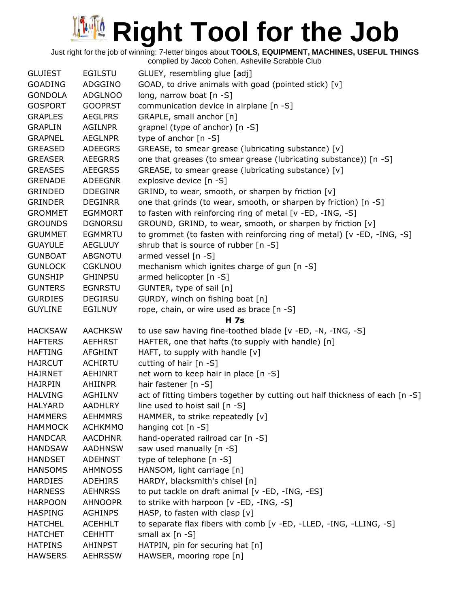Just right for the job of winning: 7-letter bingos about **TOOLS, EQUIPMENT, MACHINES, USEFUL THINGS**

| <b>GLUIEST</b> | <b>EGILSTU</b> | GLUEY, resembling glue [adj]                                                 |
|----------------|----------------|------------------------------------------------------------------------------|
| <b>GOADING</b> | ADGGINO        | GOAD, to drive animals with goad (pointed stick) [v]                         |
| <b>GONDOLA</b> | <b>ADGLNOO</b> | long, narrow boat [n -S]                                                     |
| <b>GOSPORT</b> | <b>GOOPRST</b> | communication device in airplane [n -S]                                      |
| <b>GRAPLES</b> | <b>AEGLPRS</b> | GRAPLE, small anchor [n]                                                     |
| <b>GRAPLIN</b> | <b>AGILNPR</b> | grapnel (type of anchor) [n -S]                                              |
| <b>GRAPNEL</b> | <b>AEGLNPR</b> | type of anchor [n -S]                                                        |
| <b>GREASED</b> | <b>ADEEGRS</b> | GREASE, to smear grease (lubricating substance) [v]                          |
| <b>GREASER</b> | <b>AEEGRRS</b> | one that greases (to smear grease (lubricating substance)) [n -S]            |
| <b>GREASES</b> | <b>AEEGRSS</b> | GREASE, to smear grease (lubricating substance) [v]                          |
| <b>GRENADE</b> | <b>ADEEGNR</b> | explosive device [n -S]                                                      |
| GRINDED        | <b>DDEGINR</b> | GRIND, to wear, smooth, or sharpen by friction [v]                           |
| <b>GRINDER</b> | <b>DEGINRR</b> | one that grinds (to wear, smooth, or sharpen by friction) [n -S]             |
| <b>GROMMET</b> | <b>EGMMORT</b> | to fasten with reinforcing ring of metal [v -ED, -ING, -S]                   |
| <b>GROUNDS</b> | <b>DGNORSU</b> | GROUND, GRIND, to wear, smooth, or sharpen by friction [v]                   |
| <b>GRUMMET</b> | <b>EGMMRTU</b> | to grommet (to fasten with reinforcing ring of metal) [v -ED, -ING, -S]      |
| <b>GUAYULE</b> | <b>AEGLUUY</b> | shrub that is source of rubber [n -S]                                        |
| <b>GUNBOAT</b> | <b>ABGNOTU</b> | armed vessel $[n -S]$                                                        |
| <b>GUNLOCK</b> | <b>CGKLNOU</b> | mechanism which ignites charge of gun [n -S]                                 |
| <b>GUNSHIP</b> | <b>GHINPSU</b> | armed helicopter [n -S]                                                      |
| <b>GUNTERS</b> | <b>EGNRSTU</b> | GUNTER, type of sail [n]                                                     |
| <b>GURDIES</b> | <b>DEGIRSU</b> | GURDY, winch on fishing boat [n]                                             |
| <b>GUYLINE</b> | <b>EGILNUY</b> | rope, chain, or wire used as brace [n -S]                                    |
|                |                | <b>H</b> 7s                                                                  |
| <b>HACKSAW</b> | <b>AACHKSW</b> | to use saw having fine-toothed blade [v -ED, -N, -ING, -S]                   |
| <b>HAFTERS</b> | <b>AEFHRST</b> | HAFTER, one that hafts (to supply with handle) [n]                           |
| <b>HAFTING</b> | <b>AFGHINT</b> | HAFT, to supply with handle [v]                                              |
| <b>HAIRCUT</b> | <b>ACHIRTU</b> | cutting of hair [n -S]                                                       |
| <b>HAIRNET</b> | <b>AEHINRT</b> | net worn to keep hair in place [n -S]                                        |
| <b>HAIRPIN</b> | AHIINPR        | hair fastener [n -S]                                                         |
| <b>HALVING</b> | AGHILNV        | act of fitting timbers together by cutting out half thickness of each [n -S] |
| <b>HALYARD</b> | <b>AADHLRY</b> | line used to hoist sail [n -S]                                               |
| <b>HAMMERS</b> | <b>AEHMMRS</b> | HAMMER, to strike repeatedly [v]                                             |
| <b>HAMMOCK</b> | <b>ACHKMMO</b> | hanging $cot[n-S]$                                                           |
| <b>HANDCAR</b> | <b>AACDHNR</b> | hand-operated railroad car [n -S]                                            |
| <b>HANDSAW</b> | <b>AADHNSW</b> | saw used manually [n -S]                                                     |
| <b>HANDSET</b> | <b>ADEHNST</b> | type of telephone [n -S]                                                     |
| <b>HANSOMS</b> | <b>AHMNOSS</b> | HANSOM, light carriage [n]                                                   |
| <b>HARDIES</b> | ADEHIRS        | HARDY, blacksmith's chisel [n]                                               |
| <b>HARNESS</b> | <b>AEHNRSS</b> | to put tackle on draft animal [v -ED, -ING, -ES]                             |
| <b>HARPOON</b> | <b>AHNOOPR</b> | to strike with harpoon [v -ED, -ING, -S]                                     |
| <b>HASPING</b> | <b>AGHINPS</b> | HASP, to fasten with clasp [v]                                               |
| <b>HATCHEL</b> | <b>ACEHHLT</b> | to separate flax fibers with comb [v -ED, -LLED, -ING, -LLING, -S]           |
| <b>HATCHET</b> | <b>CEHHTT</b>  | small $ax [n-S]$                                                             |
| <b>HATPINS</b> | <b>AHINPST</b> | HATPIN, pin for securing hat [n]                                             |
| <b>HAWSERS</b> | <b>AEHRSSW</b> | HAWSER, mooring rope [n]                                                     |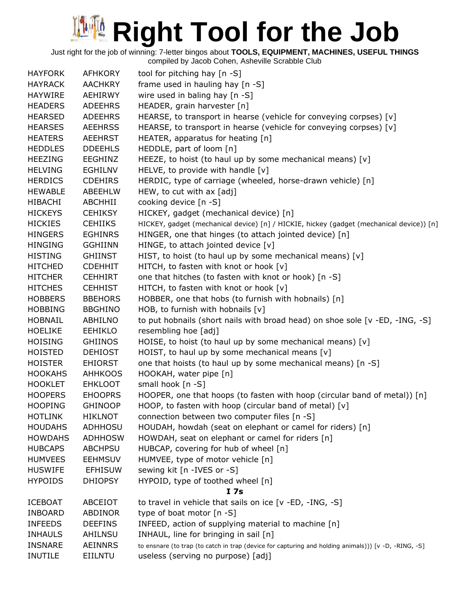Just right for the job of winning: 7-letter bingos about **TOOLS, EQUIPMENT, MACHINES, USEFUL THINGS**

| <b>HAYFORK</b> | <b>AFHKORY</b> | tool for pitching hay [n -S]                                                                         |
|----------------|----------------|------------------------------------------------------------------------------------------------------|
| <b>HAYRACK</b> | <b>AACHKRY</b> | frame used in hauling hay [n -S]                                                                     |
| <b>HAYWIRE</b> | AEHIRWY        | wire used in baling hay $[n - S]$                                                                    |
| <b>HEADERS</b> | <b>ADEEHRS</b> | HEADER, grain harvester [n]                                                                          |
| <b>HEARSED</b> | <b>ADEEHRS</b> | HEARSE, to transport in hearse (vehicle for conveying corpses) [v]                                   |
| <b>HEARSES</b> | <b>AEEHRSS</b> | HEARSE, to transport in hearse (vehicle for conveying corpses) [v]                                   |
| <b>HEATERS</b> | <b>AEEHRST</b> | HEATER, apparatus for heating [n]                                                                    |
| <b>HEDDLES</b> | <b>DDEEHLS</b> | HEDDLE, part of loom [n]                                                                             |
| <b>HEEZING</b> | EEGHINZ        | HEEZE, to hoist (to haul up by some mechanical means) [v]                                            |
| <b>HELVING</b> | <b>EGHILNV</b> | HELVE, to provide with handle $[v]$                                                                  |
| <b>HERDICS</b> | <b>CDEHIRS</b> | HERDIC, type of carriage (wheeled, horse-drawn vehicle) [n]                                          |
| <b>HEWABLE</b> | ABEEHLW        | HEW, to cut with ax [adj]                                                                            |
| <b>HIBACHI</b> | ABCHHII        | cooking device [n -S]                                                                                |
| <b>HICKEYS</b> | <b>CEHIKSY</b> | HICKEY, gadget (mechanical device) [n]                                                               |
| <b>HICKIES</b> | <b>CEHIIKS</b> | HICKEY, gadget (mechanical device) [n] / HICKIE, hickey (gadget (mechanical device)) [n]             |
| <b>HINGERS</b> | <b>EGHINRS</b> | HINGER, one that hinges (to attach jointed device) [n]                                               |
| <b>HINGING</b> | <b>GGHIINN</b> | HINGE, to attach jointed device [v]                                                                  |
| <b>HISTING</b> | <b>GHIINST</b> | HIST, to hoist (to haul up by some mechanical means) [v]                                             |
| <b>HITCHED</b> | <b>CDEHHIT</b> | HITCH, to fasten with knot or hook [v]                                                               |
| <b>HITCHER</b> | <b>CEHHIRT</b> | one that hitches (to fasten with knot or hook) [n -S]                                                |
| <b>HITCHES</b> | <b>CEHHIST</b> | HITCH, to fasten with knot or hook [v]                                                               |
| <b>HOBBERS</b> | <b>BBEHORS</b> | HOBBER, one that hobs (to furnish with hobnails) [n]                                                 |
| <b>HOBBING</b> | <b>BBGHINO</b> | HOB, to furnish with hobnails $[v]$                                                                  |
| <b>HOBNAIL</b> | ABHILNO        | to put hobnails (short nails with broad head) on shoe sole [v -ED, -ING, -S]                         |
| <b>HOELIKE</b> | <b>EEHIKLO</b> | resembling hoe [adj]                                                                                 |
| <b>HOISING</b> | <b>GHIINOS</b> | HOISE, to hoist (to haul up by some mechanical means) [v]                                            |
| <b>HOISTED</b> | <b>DEHIOST</b> | HOIST, to haul up by some mechanical means [v]                                                       |
| <b>HOISTER</b> | <b>EHIORST</b> | one that hoists (to haul up by some mechanical means) [n -S]                                         |
| <b>HOOKAHS</b> | <b>AHHKOOS</b> | HOOKAH, water pipe [n]                                                                               |
| <b>HOOKLET</b> | <b>EHKLOOT</b> | small hook $[n -S]$                                                                                  |
| <b>HOOPERS</b> | <b>EHOOPRS</b> | HOOPER, one that hoops (to fasten with hoop (circular band of metal)) [n]                            |
| <b>HOOPING</b> | <b>GHINOOP</b> | HOOP, to fasten with hoop (circular band of metal) [v]                                               |
| <b>HOTLINK</b> | <b>HIKLNOT</b> | connection between two computer files [n -S]                                                         |
| <b>HOUDAHS</b> | ADHHOSU        | HOUDAH, howdah (seat on elephant or camel for riders) [n]                                            |
| <b>HOWDAHS</b> | <b>ADHHOSW</b> | HOWDAH, seat on elephant or camel for riders [n]                                                     |
| <b>HUBCAPS</b> | <b>ABCHPSU</b> | HUBCAP, covering for hub of wheel [n]                                                                |
| <b>HUMVEES</b> | <b>EEHMSUV</b> | HUMVEE, type of motor vehicle [n]                                                                    |
| <b>HUSWIFE</b> | <b>EFHISUW</b> | sewing kit [n -IVES or -S]                                                                           |
| <b>HYPOIDS</b> | <b>DHIOPSY</b> | HYPOID, type of toothed wheel [n]                                                                    |
|                |                | I <sub>7s</sub>                                                                                      |
| <b>ICEBOAT</b> | ABCEIOT        | to travel in vehicle that sails on ice [v -ED, -ING, -S]                                             |
| <b>INBOARD</b> | ABDINOR        | type of boat motor $[n - S]$                                                                         |
| <b>INFEEDS</b> | <b>DEEFINS</b> | INFEED, action of supplying material to machine [n]                                                  |
| <b>INHAULS</b> | AHILNSU        | INHAUL, line for bringing in sail [n]                                                                |
| <b>INSNARE</b> | <b>AEINNRS</b> | to ensnare (to trap (to catch in trap (device for capturing and holding animals))) [v -D, -RING, -S] |
| <b>INUTILE</b> | EIILNTU        | useless (serving no purpose) [adj]                                                                   |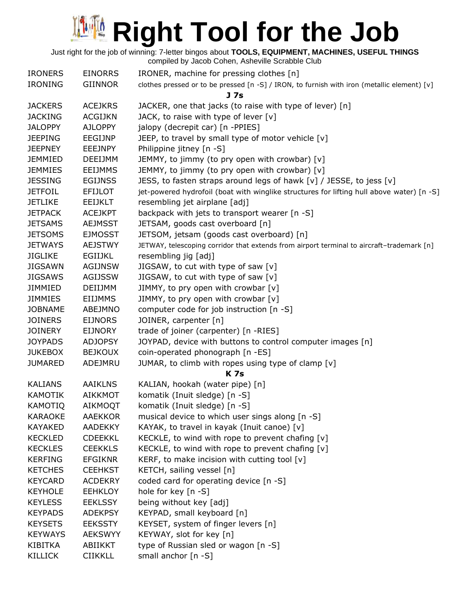Just right for the job of winning: 7-letter bingos about **TOOLS, EQUIPMENT, MACHINES, USEFUL THINGS**

|                |                | compiled by Jacob Cohen, Asheville Scrabble Club                                            |
|----------------|----------------|---------------------------------------------------------------------------------------------|
| <b>IRONERS</b> | <b>EINORRS</b> | IRONER, machine for pressing clothes [n]                                                    |
| <b>IRONING</b> | <b>GIINNOR</b> | clothes pressed or to be pressed [n -S] / IRON, to furnish with iron (metallic element) [v] |
|                |                | J <sub>7s</sub>                                                                             |
| <b>JACKERS</b> | <b>ACEJKRS</b> | JACKER, one that jacks (to raise with type of lever) [n]                                    |
| <b>JACKING</b> | <b>ACGIJKN</b> | JACK, to raise with type of lever $[v]$                                                     |
| <b>JALOPPY</b> | <b>AJLOPPY</b> | jalopy (decrepit car) [n -PPIES]                                                            |
| <b>JEEPING</b> | EEGIJNP        | JEEP, to travel by small type of motor vehicle [v]                                          |
| <b>JEEPNEY</b> | <b>EEEJNPY</b> | Philippine jitney [n -S]                                                                    |
| <b>JEMMIED</b> | <b>DEEIJMM</b> | JEMMY, to jimmy (to pry open with crowbar) [v]                                              |
| <b>JEMMIES</b> | <b>EEIJMMS</b> | JEMMY, to jimmy (to pry open with crowbar) [v]                                              |
| <b>JESSING</b> | <b>EGIJNSS</b> | JESS, to fasten straps around legs of hawk [v] / JESSE, to jess [v]                         |
| <b>JETFOIL</b> | <b>EFIJLOT</b> | jet-powered hydrofoil (boat with winglike structures for lifting hull above water) [n -S]   |
| <b>JETLIKE</b> | <b>EEIJKLT</b> | resembling jet airplane [adj]                                                               |
| <b>JETPACK</b> | <b>ACEJKPT</b> | backpack with jets to transport wearer [n -S]                                               |
| <b>JETSAMS</b> | <b>AEJMSST</b> | JETSAM, goods cast overboard [n]                                                            |
| <b>JETSOMS</b> | <b>EJMOSST</b> | JETSOM, jetsam (goods cast overboard) [n]                                                   |
| <b>JETWAYS</b> | <b>AEJSTWY</b> | JETWAY, telescoping corridor that extends from airport terminal to aircraft-trademark [n]   |
| <b>JIGLIKE</b> | <b>EGIIJKL</b> | resembling jig [adj]                                                                        |
| <b>JIGSAWN</b> | <b>AGIJNSW</b> | JIGSAW, to cut with type of saw [v]                                                         |
| <b>JIGSAWS</b> | <b>AGIJSSW</b> | JIGSAW, to cut with type of saw [v]                                                         |
| <b>JIMMIED</b> | DEIIJMM        | JIMMY, to pry open with crowbar [v]                                                         |
| <b>JIMMIES</b> | <b>EIIJMMS</b> | JIMMY, to pry open with crowbar [v]                                                         |
| <b>JOBNAME</b> | ABEJMNO        | computer code for job instruction [n -S]                                                    |
| <b>JOINERS</b> | <b>EIJNORS</b> | JOINER, carpenter [n]                                                                       |
| <b>JOINERY</b> | <b>EIJNORY</b> | trade of joiner (carpenter) [n -RIES]                                                       |
| <b>JOYPADS</b> | <b>ADJOPSY</b> | JOYPAD, device with buttons to control computer images [n]                                  |
| <b>JUKEBOX</b> | <b>BEJKOUX</b> | coin-operated phonograph [n -ES]                                                            |
| <b>JUMARED</b> | ADEJMRU        | JUMAR, to climb with ropes using type of clamp [v]                                          |
|                |                | <b>K7s</b>                                                                                  |
| <b>KALIANS</b> | <b>AAIKLNS</b> | KALIAN, hookah (water pipe) [n]                                                             |
| <b>KAMOTIK</b> | <b>AIKKMOT</b> | komatik (Inuit sledge) [n -S]                                                               |
| <b>KAMOTIQ</b> | AIKMOQT        | komatik (Inuit sledge) [n -S]                                                               |
| <b>KARAOKE</b> | <b>AAEKKOR</b> | musical device to which user sings along [n -S]                                             |
| KAYAKED        | AADEKKY        | KAYAK, to travel in kayak (Inuit canoe) [v]                                                 |
| <b>KECKLED</b> | <b>CDEEKKL</b> | KECKLE, to wind with rope to prevent chafing [v]                                            |
| <b>KECKLES</b> | <b>CEEKKLS</b> | KECKLE, to wind with rope to prevent chafing [v]                                            |
| <b>KERFING</b> | <b>EFGIKNR</b> | KERF, to make incision with cutting tool $[v]$                                              |
| <b>KETCHES</b> | <b>CEEHKST</b> | KETCH, sailing vessel [n]                                                                   |
| <b>KEYCARD</b> | <b>ACDEKRY</b> | coded card for operating device [n -S]                                                      |
| <b>KEYHOLE</b> | <b>EEHKLOY</b> | hole for key [n -S]                                                                         |
| <b>KEYLESS</b> | <b>EEKLSSY</b> | being without key [adj]                                                                     |
| <b>KEYPADS</b> | <b>ADEKPSY</b> | KEYPAD, small keyboard [n]                                                                  |
| <b>KEYSETS</b> | <b>EEKSSTY</b> | KEYSET, system of finger levers [n]                                                         |
| <b>KEYWAYS</b> | <b>AEKSWYY</b> | KEYWAY, slot for key [n]                                                                    |
| KIBITKA        | ABIIKKT        | type of Russian sled or wagon [n -S]                                                        |
| KILLICK        | <b>CIIKKLL</b> | small anchor [n -S]                                                                         |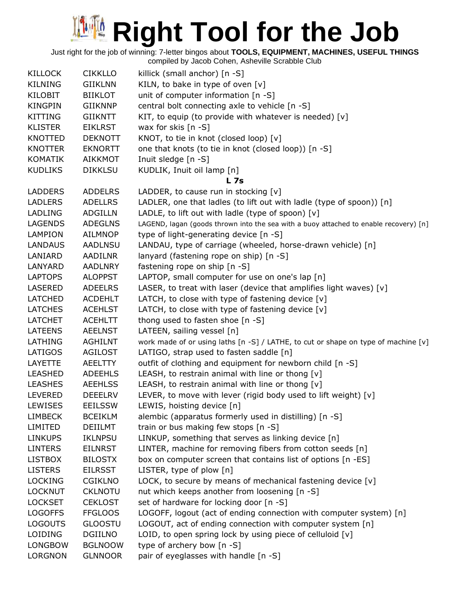| KILLOCK        | <b>CIKKLLO</b> | killick (small anchor) [n -S]                                                         |
|----------------|----------------|---------------------------------------------------------------------------------------|
| KILNING        | <b>GIIKLNN</b> | KILN, to bake in type of oven $[v]$                                                   |
| KILOBIT        | <b>BIIKLOT</b> | unit of computer information [n -S]                                                   |
| KINGPIN        | GIIKNNP        | central bolt connecting axle to vehicle [n -S]                                        |
| KITTING        | <b>GIIKNTT</b> | KIT, to equip (to provide with whatever is needed) [v]                                |
| <b>KLISTER</b> | <b>EIKLRST</b> | wax for skis $[n -S]$                                                                 |
| KNOTTED        | <b>DEKNOTT</b> | KNOT, to tie in knot (closed loop) [v]                                                |
| KNOTTER        | <b>EKNORTT</b> | one that knots (to tie in knot (closed loop)) [n -S]                                  |
| KOMATIK        | AIKKMOT        | Inuit sledge [n -S]                                                                   |
| <b>KUDLIKS</b> | <b>DIKKLSU</b> | KUDLIK, Inuit oil lamp [n]                                                            |
|                |                | L <sub>7s</sub>                                                                       |
| LADDERS        | <b>ADDELRS</b> | LADDER, to cause run in stocking $[v]$                                                |
| <b>LADLERS</b> | <b>ADELLRS</b> | LADLER, one that ladles (to lift out with ladle (type of spoon)) [n]                  |
| LADLING        | ADGILLN        | LADLE, to lift out with ladle (type of spoon) $[v]$                                   |
| LAGENDS        | <b>ADEGLNS</b> | LAGEND, lagan (goods thrown into the sea with a buoy attached to enable recovery) [n] |
| LAMPION        | <b>AILMNOP</b> | type of light-generating device [n -S]                                                |
| LANDAUS        | <b>AADLNSU</b> | LANDAU, type of carriage (wheeled, horse-drawn vehicle) [n]                           |
| LANIARD        | AADILNR        | lanyard (fastening rope on ship) [n -S]                                               |
| LANYARD        | <b>AADLNRY</b> | fastening rope on ship [n -S]                                                         |
| LAPTOPS        | <b>ALOPPST</b> | LAPTOP, small computer for use on one's lap [n]                                       |
| LASERED        | <b>ADEELRS</b> | LASER, to treat with laser (device that amplifies light waves) [v]                    |
| LATCHED        | <b>ACDEHLT</b> | LATCH, to close with type of fastening device $[v]$                                   |
| LATCHES        | <b>ACEHLST</b> | LATCH, to close with type of fastening device $[v]$                                   |
| LATCHET        | <b>ACEHLTT</b> | thong used to fasten shoe [n -S]                                                      |
| LATEENS        | <b>AEELNST</b> | LATEEN, sailing vessel [n]                                                            |
| LATHING        | AGHILNT        | work made of or using laths [n -S] / LATHE, to cut or shape on type of machine [v]    |
| LATIGOS        | <b>AGILOST</b> | LATIGO, strap used to fasten saddle [n]                                               |
| LAYETTE        | AEELTTY        | outfit of clothing and equipment for newborn child [n -S]                             |
| LEASHED        | <b>ADEEHLS</b> | LEASH, to restrain animal with line or thong [v]                                      |
| <b>LEASHES</b> | <b>AEEHLSS</b> | LEASH, to restrain animal with line or thong $[v]$                                    |
| LEVERED        | <b>DEEELRV</b> | LEVER, to move with lever (rigid body used to lift weight) [v]                        |
| LEWISES        | <b>EEILSSW</b> | LEWIS, hoisting device [n]                                                            |
| <b>LIMBECK</b> | <b>BCEIKLM</b> | alembic (apparatus formerly used in distilling) [n -S]                                |
| LIMITED        | DEIILMT        | train or bus making few stops [n -S]                                                  |
| LINKUPS        | <b>IKLNPSU</b> | LINKUP, something that serves as linking device [n]                                   |
| <b>LINTERS</b> | <b>EILNRST</b> | LINTER, machine for removing fibers from cotton seeds [n]                             |
| LISTBOX        | <b>BILOSTX</b> | box on computer screen that contains list of options [n -ES]                          |
| <b>LISTERS</b> | <b>EILRSST</b> | LISTER, type of plow [n]                                                              |
| LOCKING        | <b>CGIKLNO</b> | LOCK, to secure by means of mechanical fastening device [v]                           |
| LOCKNUT        | <b>CKLNOTU</b> | nut which keeps another from loosening [n -S]                                         |
| <b>LOCKSET</b> | <b>CEKLOST</b> | set of hardware for locking door [n -S]                                               |
| <b>LOGOFFS</b> | <b>FFGLOOS</b> | LOGOFF, logout (act of ending connection with computer system) [n]                    |
| LOGOUTS        | <b>GLOOSTU</b> | LOGOUT, act of ending connection with computer system [n]                             |
| LOIDING        | <b>DGIILNO</b> | LOID, to open spring lock by using piece of celluloid [v]                             |
| LONGBOW        | <b>BGLNOOW</b> | type of archery bow [n -S]                                                            |
| LORGNON        | <b>GLNNOOR</b> | pair of eyeglasses with handle [n -S]                                                 |
|                |                |                                                                                       |
|                |                |                                                                                       |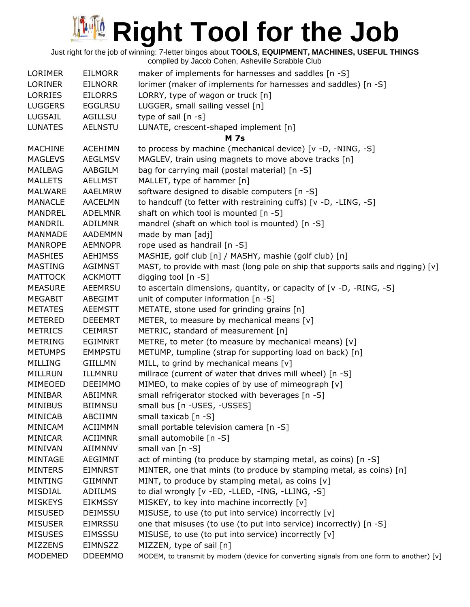| <b>LORINER</b><br>lorimer (maker of implements for harnesses and saddles) [n -S]<br><b>EILNORR</b><br>LORRY, type of wagon or truck [n]<br><b>LORRIES</b><br><b>EILORRS</b><br>LUGGER, small sailing vessel [n]<br><b>LUGGERS</b><br><b>EGGLRSU</b><br>type of sail [n -s]<br>LUGSAIL<br>AGILLSU<br><b>AELNSTU</b><br>LUNATE, crescent-shaped implement [n]<br><b>LUNATES</b><br><b>M</b> 7s<br>to process by machine (mechanical device) [v -D, -NING, -S]<br><b>MACHINE</b><br><b>ACEHIMN</b><br>MAGLEV, train using magnets to move above tracks [n]<br><b>MAGLEVS</b><br><b>AEGLMSV</b><br>bag for carrying mail (postal material) [n -S]<br>MAILBAG<br>AABGILM<br><b>MALLETS</b><br><b>AELLMST</b><br>MALLET, type of hammer [n]<br>software designed to disable computers [n -S]<br>MALWARE<br>AAELMRW<br>to handcuff (to fetter with restraining cuffs) [v -D, -LING, -S]<br><b>MANACLE</b><br><b>AACELMN</b><br>shaft on which tool is mounted [n -S]<br><b>MANDREL</b><br><b>ADELMNR</b><br>mandrel (shaft on which tool is mounted) [n -S]<br>MANDRIL<br>ADILMNR<br>made by man [adj]<br><b>MANMADE</b><br><b>AADEMMN</b><br>rope used as handrail [n -S]<br><b>MANROPE</b><br><b>AEMNOPR</b><br>MASHIE, golf club [n] / MASHY, mashie (golf club) [n]<br><b>MASHIES</b><br><b>AEHIMSS</b><br>MAST, to provide with mast (long pole on ship that supports sails and rigging) [v]<br><b>MASTING</b><br><b>AGIMNST</b><br>digging tool $[n - S]$<br><b>MATTOCK</b><br><b>ACKMOTT</b><br><b>MEASURE</b><br><b>AEEMRSU</b><br>to ascertain dimensions, quantity, or capacity of $[v -D, -RING, -S]$<br>unit of computer information [n -S]<br><b>MEGABIT</b><br>ABEGIMT<br>METATE, stone used for grinding grains [n]<br><b>METATES</b><br>AEEMSTT<br>METER, to measure by mechanical means [v]<br><b>METERED</b><br><b>DEEEMRT</b><br><b>METRICS</b><br>METRIC, standard of measurement [n]<br><b>CEIMRST</b><br>METRE, to meter (to measure by mechanical means) [v]<br><b>METRING</b><br><b>EGIMNRT</b><br>METUMP, tumpline (strap for supporting load on back) [n]<br><b>METUMPS</b><br><b>EMMPSTU</b><br><b>MILLING</b><br>GIILLMN<br>MILL, to grind by mechanical means [v]<br>millrace (current of water that drives mill wheel) [n -S]<br>ILLMNRU<br>MIMEO, to make copies of by use of mimeograph [v]<br><b>DEEIMMO</b><br>small refrigerator stocked with beverages [n -S]<br>ABIIMNR<br>small bus [n -USES, -USSES]<br><b>BIIMNSU</b><br>ABCIIMN<br>small taxicab [n -S]<br><b>ACIIMMN</b><br>small portable television camera [n -S]<br>small automobile [n -S]<br><b>ACIIMNR</b><br><b>AIIMNNV</b><br>small van [n -S]<br><b>AEGIMNT</b><br>act of minting (to produce by stamping metal, as coins) [n -S]<br>MINTER, one that mints (to produce by stamping metal, as coins) [n]<br><b>EIMNRST</b><br>MINT, to produce by stamping metal, as coins [v]<br><b>GIIMNNT</b><br>to dial wrongly [v -ED, -LLED, -ING, -LLING, -S]<br>ADIILMS<br>MISKEY, to key into machine incorrectly [v]<br><b>EIKMSSY</b> | <b>LORIMER</b> | <b>EILMORR</b> | maker of implements for harnesses and saddles [n -S] |
|------------------------------------------------------------------------------------------------------------------------------------------------------------------------------------------------------------------------------------------------------------------------------------------------------------------------------------------------------------------------------------------------------------------------------------------------------------------------------------------------------------------------------------------------------------------------------------------------------------------------------------------------------------------------------------------------------------------------------------------------------------------------------------------------------------------------------------------------------------------------------------------------------------------------------------------------------------------------------------------------------------------------------------------------------------------------------------------------------------------------------------------------------------------------------------------------------------------------------------------------------------------------------------------------------------------------------------------------------------------------------------------------------------------------------------------------------------------------------------------------------------------------------------------------------------------------------------------------------------------------------------------------------------------------------------------------------------------------------------------------------------------------------------------------------------------------------------------------------------------------------------------------------------------------------------------------------------------------------------------------------------------------------------------------------------------------------------------------------------------------------------------------------------------------------------------------------------------------------------------------------------------------------------------------------------------------------------------------------------------------------------------------------------------------------------------------------------------------------------------------------------------------------------------------------------------------------------------------------------------------------------------------------------------------------------------------------------------------------------------------------------------------------------------------------------------------------------------------------------------------------------------------------------------------------------------------------------------------------------------------------------------------------|----------------|----------------|------------------------------------------------------|
|                                                                                                                                                                                                                                                                                                                                                                                                                                                                                                                                                                                                                                                                                                                                                                                                                                                                                                                                                                                                                                                                                                                                                                                                                                                                                                                                                                                                                                                                                                                                                                                                                                                                                                                                                                                                                                                                                                                                                                                                                                                                                                                                                                                                                                                                                                                                                                                                                                                                                                                                                                                                                                                                                                                                                                                                                                                                                                                                                                                                                              |                |                |                                                      |
|                                                                                                                                                                                                                                                                                                                                                                                                                                                                                                                                                                                                                                                                                                                                                                                                                                                                                                                                                                                                                                                                                                                                                                                                                                                                                                                                                                                                                                                                                                                                                                                                                                                                                                                                                                                                                                                                                                                                                                                                                                                                                                                                                                                                                                                                                                                                                                                                                                                                                                                                                                                                                                                                                                                                                                                                                                                                                                                                                                                                                              |                |                |                                                      |
|                                                                                                                                                                                                                                                                                                                                                                                                                                                                                                                                                                                                                                                                                                                                                                                                                                                                                                                                                                                                                                                                                                                                                                                                                                                                                                                                                                                                                                                                                                                                                                                                                                                                                                                                                                                                                                                                                                                                                                                                                                                                                                                                                                                                                                                                                                                                                                                                                                                                                                                                                                                                                                                                                                                                                                                                                                                                                                                                                                                                                              |                |                |                                                      |
|                                                                                                                                                                                                                                                                                                                                                                                                                                                                                                                                                                                                                                                                                                                                                                                                                                                                                                                                                                                                                                                                                                                                                                                                                                                                                                                                                                                                                                                                                                                                                                                                                                                                                                                                                                                                                                                                                                                                                                                                                                                                                                                                                                                                                                                                                                                                                                                                                                                                                                                                                                                                                                                                                                                                                                                                                                                                                                                                                                                                                              |                |                |                                                      |
|                                                                                                                                                                                                                                                                                                                                                                                                                                                                                                                                                                                                                                                                                                                                                                                                                                                                                                                                                                                                                                                                                                                                                                                                                                                                                                                                                                                                                                                                                                                                                                                                                                                                                                                                                                                                                                                                                                                                                                                                                                                                                                                                                                                                                                                                                                                                                                                                                                                                                                                                                                                                                                                                                                                                                                                                                                                                                                                                                                                                                              |                |                |                                                      |
|                                                                                                                                                                                                                                                                                                                                                                                                                                                                                                                                                                                                                                                                                                                                                                                                                                                                                                                                                                                                                                                                                                                                                                                                                                                                                                                                                                                                                                                                                                                                                                                                                                                                                                                                                                                                                                                                                                                                                                                                                                                                                                                                                                                                                                                                                                                                                                                                                                                                                                                                                                                                                                                                                                                                                                                                                                                                                                                                                                                                                              |                |                |                                                      |
|                                                                                                                                                                                                                                                                                                                                                                                                                                                                                                                                                                                                                                                                                                                                                                                                                                                                                                                                                                                                                                                                                                                                                                                                                                                                                                                                                                                                                                                                                                                                                                                                                                                                                                                                                                                                                                                                                                                                                                                                                                                                                                                                                                                                                                                                                                                                                                                                                                                                                                                                                                                                                                                                                                                                                                                                                                                                                                                                                                                                                              |                |                |                                                      |
|                                                                                                                                                                                                                                                                                                                                                                                                                                                                                                                                                                                                                                                                                                                                                                                                                                                                                                                                                                                                                                                                                                                                                                                                                                                                                                                                                                                                                                                                                                                                                                                                                                                                                                                                                                                                                                                                                                                                                                                                                                                                                                                                                                                                                                                                                                                                                                                                                                                                                                                                                                                                                                                                                                                                                                                                                                                                                                                                                                                                                              |                |                |                                                      |
|                                                                                                                                                                                                                                                                                                                                                                                                                                                                                                                                                                                                                                                                                                                                                                                                                                                                                                                                                                                                                                                                                                                                                                                                                                                                                                                                                                                                                                                                                                                                                                                                                                                                                                                                                                                                                                                                                                                                                                                                                                                                                                                                                                                                                                                                                                                                                                                                                                                                                                                                                                                                                                                                                                                                                                                                                                                                                                                                                                                                                              |                |                |                                                      |
|                                                                                                                                                                                                                                                                                                                                                                                                                                                                                                                                                                                                                                                                                                                                                                                                                                                                                                                                                                                                                                                                                                                                                                                                                                                                                                                                                                                                                                                                                                                                                                                                                                                                                                                                                                                                                                                                                                                                                                                                                                                                                                                                                                                                                                                                                                                                                                                                                                                                                                                                                                                                                                                                                                                                                                                                                                                                                                                                                                                                                              |                |                |                                                      |
|                                                                                                                                                                                                                                                                                                                                                                                                                                                                                                                                                                                                                                                                                                                                                                                                                                                                                                                                                                                                                                                                                                                                                                                                                                                                                                                                                                                                                                                                                                                                                                                                                                                                                                                                                                                                                                                                                                                                                                                                                                                                                                                                                                                                                                                                                                                                                                                                                                                                                                                                                                                                                                                                                                                                                                                                                                                                                                                                                                                                                              |                |                |                                                      |
|                                                                                                                                                                                                                                                                                                                                                                                                                                                                                                                                                                                                                                                                                                                                                                                                                                                                                                                                                                                                                                                                                                                                                                                                                                                                                                                                                                                                                                                                                                                                                                                                                                                                                                                                                                                                                                                                                                                                                                                                                                                                                                                                                                                                                                                                                                                                                                                                                                                                                                                                                                                                                                                                                                                                                                                                                                                                                                                                                                                                                              |                |                |                                                      |
|                                                                                                                                                                                                                                                                                                                                                                                                                                                                                                                                                                                                                                                                                                                                                                                                                                                                                                                                                                                                                                                                                                                                                                                                                                                                                                                                                                                                                                                                                                                                                                                                                                                                                                                                                                                                                                                                                                                                                                                                                                                                                                                                                                                                                                                                                                                                                                                                                                                                                                                                                                                                                                                                                                                                                                                                                                                                                                                                                                                                                              |                |                |                                                      |
|                                                                                                                                                                                                                                                                                                                                                                                                                                                                                                                                                                                                                                                                                                                                                                                                                                                                                                                                                                                                                                                                                                                                                                                                                                                                                                                                                                                                                                                                                                                                                                                                                                                                                                                                                                                                                                                                                                                                                                                                                                                                                                                                                                                                                                                                                                                                                                                                                                                                                                                                                                                                                                                                                                                                                                                                                                                                                                                                                                                                                              |                |                |                                                      |
|                                                                                                                                                                                                                                                                                                                                                                                                                                                                                                                                                                                                                                                                                                                                                                                                                                                                                                                                                                                                                                                                                                                                                                                                                                                                                                                                                                                                                                                                                                                                                                                                                                                                                                                                                                                                                                                                                                                                                                                                                                                                                                                                                                                                                                                                                                                                                                                                                                                                                                                                                                                                                                                                                                                                                                                                                                                                                                                                                                                                                              |                |                |                                                      |
|                                                                                                                                                                                                                                                                                                                                                                                                                                                                                                                                                                                                                                                                                                                                                                                                                                                                                                                                                                                                                                                                                                                                                                                                                                                                                                                                                                                                                                                                                                                                                                                                                                                                                                                                                                                                                                                                                                                                                                                                                                                                                                                                                                                                                                                                                                                                                                                                                                                                                                                                                                                                                                                                                                                                                                                                                                                                                                                                                                                                                              |                |                |                                                      |
|                                                                                                                                                                                                                                                                                                                                                                                                                                                                                                                                                                                                                                                                                                                                                                                                                                                                                                                                                                                                                                                                                                                                                                                                                                                                                                                                                                                                                                                                                                                                                                                                                                                                                                                                                                                                                                                                                                                                                                                                                                                                                                                                                                                                                                                                                                                                                                                                                                                                                                                                                                                                                                                                                                                                                                                                                                                                                                                                                                                                                              |                |                |                                                      |
|                                                                                                                                                                                                                                                                                                                                                                                                                                                                                                                                                                                                                                                                                                                                                                                                                                                                                                                                                                                                                                                                                                                                                                                                                                                                                                                                                                                                                                                                                                                                                                                                                                                                                                                                                                                                                                                                                                                                                                                                                                                                                                                                                                                                                                                                                                                                                                                                                                                                                                                                                                                                                                                                                                                                                                                                                                                                                                                                                                                                                              |                |                |                                                      |
|                                                                                                                                                                                                                                                                                                                                                                                                                                                                                                                                                                                                                                                                                                                                                                                                                                                                                                                                                                                                                                                                                                                                                                                                                                                                                                                                                                                                                                                                                                                                                                                                                                                                                                                                                                                                                                                                                                                                                                                                                                                                                                                                                                                                                                                                                                                                                                                                                                                                                                                                                                                                                                                                                                                                                                                                                                                                                                                                                                                                                              |                |                |                                                      |
|                                                                                                                                                                                                                                                                                                                                                                                                                                                                                                                                                                                                                                                                                                                                                                                                                                                                                                                                                                                                                                                                                                                                                                                                                                                                                                                                                                                                                                                                                                                                                                                                                                                                                                                                                                                                                                                                                                                                                                                                                                                                                                                                                                                                                                                                                                                                                                                                                                                                                                                                                                                                                                                                                                                                                                                                                                                                                                                                                                                                                              |                |                |                                                      |
|                                                                                                                                                                                                                                                                                                                                                                                                                                                                                                                                                                                                                                                                                                                                                                                                                                                                                                                                                                                                                                                                                                                                                                                                                                                                                                                                                                                                                                                                                                                                                                                                                                                                                                                                                                                                                                                                                                                                                                                                                                                                                                                                                                                                                                                                                                                                                                                                                                                                                                                                                                                                                                                                                                                                                                                                                                                                                                                                                                                                                              |                |                |                                                      |
|                                                                                                                                                                                                                                                                                                                                                                                                                                                                                                                                                                                                                                                                                                                                                                                                                                                                                                                                                                                                                                                                                                                                                                                                                                                                                                                                                                                                                                                                                                                                                                                                                                                                                                                                                                                                                                                                                                                                                                                                                                                                                                                                                                                                                                                                                                                                                                                                                                                                                                                                                                                                                                                                                                                                                                                                                                                                                                                                                                                                                              |                |                |                                                      |
|                                                                                                                                                                                                                                                                                                                                                                                                                                                                                                                                                                                                                                                                                                                                                                                                                                                                                                                                                                                                                                                                                                                                                                                                                                                                                                                                                                                                                                                                                                                                                                                                                                                                                                                                                                                                                                                                                                                                                                                                                                                                                                                                                                                                                                                                                                                                                                                                                                                                                                                                                                                                                                                                                                                                                                                                                                                                                                                                                                                                                              |                |                |                                                      |
|                                                                                                                                                                                                                                                                                                                                                                                                                                                                                                                                                                                                                                                                                                                                                                                                                                                                                                                                                                                                                                                                                                                                                                                                                                                                                                                                                                                                                                                                                                                                                                                                                                                                                                                                                                                                                                                                                                                                                                                                                                                                                                                                                                                                                                                                                                                                                                                                                                                                                                                                                                                                                                                                                                                                                                                                                                                                                                                                                                                                                              |                |                |                                                      |
|                                                                                                                                                                                                                                                                                                                                                                                                                                                                                                                                                                                                                                                                                                                                                                                                                                                                                                                                                                                                                                                                                                                                                                                                                                                                                                                                                                                                                                                                                                                                                                                                                                                                                                                                                                                                                                                                                                                                                                                                                                                                                                                                                                                                                                                                                                                                                                                                                                                                                                                                                                                                                                                                                                                                                                                                                                                                                                                                                                                                                              |                |                |                                                      |
|                                                                                                                                                                                                                                                                                                                                                                                                                                                                                                                                                                                                                                                                                                                                                                                                                                                                                                                                                                                                                                                                                                                                                                                                                                                                                                                                                                                                                                                                                                                                                                                                                                                                                                                                                                                                                                                                                                                                                                                                                                                                                                                                                                                                                                                                                                                                                                                                                                                                                                                                                                                                                                                                                                                                                                                                                                                                                                                                                                                                                              |                |                |                                                      |
|                                                                                                                                                                                                                                                                                                                                                                                                                                                                                                                                                                                                                                                                                                                                                                                                                                                                                                                                                                                                                                                                                                                                                                                                                                                                                                                                                                                                                                                                                                                                                                                                                                                                                                                                                                                                                                                                                                                                                                                                                                                                                                                                                                                                                                                                                                                                                                                                                                                                                                                                                                                                                                                                                                                                                                                                                                                                                                                                                                                                                              |                |                |                                                      |
|                                                                                                                                                                                                                                                                                                                                                                                                                                                                                                                                                                                                                                                                                                                                                                                                                                                                                                                                                                                                                                                                                                                                                                                                                                                                                                                                                                                                                                                                                                                                                                                                                                                                                                                                                                                                                                                                                                                                                                                                                                                                                                                                                                                                                                                                                                                                                                                                                                                                                                                                                                                                                                                                                                                                                                                                                                                                                                                                                                                                                              |                |                |                                                      |
|                                                                                                                                                                                                                                                                                                                                                                                                                                                                                                                                                                                                                                                                                                                                                                                                                                                                                                                                                                                                                                                                                                                                                                                                                                                                                                                                                                                                                                                                                                                                                                                                                                                                                                                                                                                                                                                                                                                                                                                                                                                                                                                                                                                                                                                                                                                                                                                                                                                                                                                                                                                                                                                                                                                                                                                                                                                                                                                                                                                                                              | MILLRUN        |                |                                                      |
|                                                                                                                                                                                                                                                                                                                                                                                                                                                                                                                                                                                                                                                                                                                                                                                                                                                                                                                                                                                                                                                                                                                                                                                                                                                                                                                                                                                                                                                                                                                                                                                                                                                                                                                                                                                                                                                                                                                                                                                                                                                                                                                                                                                                                                                                                                                                                                                                                                                                                                                                                                                                                                                                                                                                                                                                                                                                                                                                                                                                                              | MIMEOED        |                |                                                      |
|                                                                                                                                                                                                                                                                                                                                                                                                                                                                                                                                                                                                                                                                                                                                                                                                                                                                                                                                                                                                                                                                                                                                                                                                                                                                                                                                                                                                                                                                                                                                                                                                                                                                                                                                                                                                                                                                                                                                                                                                                                                                                                                                                                                                                                                                                                                                                                                                                                                                                                                                                                                                                                                                                                                                                                                                                                                                                                                                                                                                                              | MINIBAR        |                |                                                      |
|                                                                                                                                                                                                                                                                                                                                                                                                                                                                                                                                                                                                                                                                                                                                                                                                                                                                                                                                                                                                                                                                                                                                                                                                                                                                                                                                                                                                                                                                                                                                                                                                                                                                                                                                                                                                                                                                                                                                                                                                                                                                                                                                                                                                                                                                                                                                                                                                                                                                                                                                                                                                                                                                                                                                                                                                                                                                                                                                                                                                                              | <b>MINIBUS</b> |                |                                                      |
|                                                                                                                                                                                                                                                                                                                                                                                                                                                                                                                                                                                                                                                                                                                                                                                                                                                                                                                                                                                                                                                                                                                                                                                                                                                                                                                                                                                                                                                                                                                                                                                                                                                                                                                                                                                                                                                                                                                                                                                                                                                                                                                                                                                                                                                                                                                                                                                                                                                                                                                                                                                                                                                                                                                                                                                                                                                                                                                                                                                                                              | <b>MINICAB</b> |                |                                                      |
|                                                                                                                                                                                                                                                                                                                                                                                                                                                                                                                                                                                                                                                                                                                                                                                                                                                                                                                                                                                                                                                                                                                                                                                                                                                                                                                                                                                                                                                                                                                                                                                                                                                                                                                                                                                                                                                                                                                                                                                                                                                                                                                                                                                                                                                                                                                                                                                                                                                                                                                                                                                                                                                                                                                                                                                                                                                                                                                                                                                                                              | MINICAM        |                |                                                      |
|                                                                                                                                                                                                                                                                                                                                                                                                                                                                                                                                                                                                                                                                                                                                                                                                                                                                                                                                                                                                                                                                                                                                                                                                                                                                                                                                                                                                                                                                                                                                                                                                                                                                                                                                                                                                                                                                                                                                                                                                                                                                                                                                                                                                                                                                                                                                                                                                                                                                                                                                                                                                                                                                                                                                                                                                                                                                                                                                                                                                                              | <b>MINICAR</b> |                |                                                      |
|                                                                                                                                                                                                                                                                                                                                                                                                                                                                                                                                                                                                                                                                                                                                                                                                                                                                                                                                                                                                                                                                                                                                                                                                                                                                                                                                                                                                                                                                                                                                                                                                                                                                                                                                                                                                                                                                                                                                                                                                                                                                                                                                                                                                                                                                                                                                                                                                                                                                                                                                                                                                                                                                                                                                                                                                                                                                                                                                                                                                                              | MINIVAN        |                |                                                      |
|                                                                                                                                                                                                                                                                                                                                                                                                                                                                                                                                                                                                                                                                                                                                                                                                                                                                                                                                                                                                                                                                                                                                                                                                                                                                                                                                                                                                                                                                                                                                                                                                                                                                                                                                                                                                                                                                                                                                                                                                                                                                                                                                                                                                                                                                                                                                                                                                                                                                                                                                                                                                                                                                                                                                                                                                                                                                                                                                                                                                                              | <b>MINTAGE</b> |                |                                                      |
|                                                                                                                                                                                                                                                                                                                                                                                                                                                                                                                                                                                                                                                                                                                                                                                                                                                                                                                                                                                                                                                                                                                                                                                                                                                                                                                                                                                                                                                                                                                                                                                                                                                                                                                                                                                                                                                                                                                                                                                                                                                                                                                                                                                                                                                                                                                                                                                                                                                                                                                                                                                                                                                                                                                                                                                                                                                                                                                                                                                                                              | <b>MINTERS</b> |                |                                                      |
|                                                                                                                                                                                                                                                                                                                                                                                                                                                                                                                                                                                                                                                                                                                                                                                                                                                                                                                                                                                                                                                                                                                                                                                                                                                                                                                                                                                                                                                                                                                                                                                                                                                                                                                                                                                                                                                                                                                                                                                                                                                                                                                                                                                                                                                                                                                                                                                                                                                                                                                                                                                                                                                                                                                                                                                                                                                                                                                                                                                                                              | <b>MINTING</b> |                |                                                      |
|                                                                                                                                                                                                                                                                                                                                                                                                                                                                                                                                                                                                                                                                                                                                                                                                                                                                                                                                                                                                                                                                                                                                                                                                                                                                                                                                                                                                                                                                                                                                                                                                                                                                                                                                                                                                                                                                                                                                                                                                                                                                                                                                                                                                                                                                                                                                                                                                                                                                                                                                                                                                                                                                                                                                                                                                                                                                                                                                                                                                                              | MISDIAL        |                |                                                      |
|                                                                                                                                                                                                                                                                                                                                                                                                                                                                                                                                                                                                                                                                                                                                                                                                                                                                                                                                                                                                                                                                                                                                                                                                                                                                                                                                                                                                                                                                                                                                                                                                                                                                                                                                                                                                                                                                                                                                                                                                                                                                                                                                                                                                                                                                                                                                                                                                                                                                                                                                                                                                                                                                                                                                                                                                                                                                                                                                                                                                                              | <b>MISKEYS</b> |                |                                                      |
|                                                                                                                                                                                                                                                                                                                                                                                                                                                                                                                                                                                                                                                                                                                                                                                                                                                                                                                                                                                                                                                                                                                                                                                                                                                                                                                                                                                                                                                                                                                                                                                                                                                                                                                                                                                                                                                                                                                                                                                                                                                                                                                                                                                                                                                                                                                                                                                                                                                                                                                                                                                                                                                                                                                                                                                                                                                                                                                                                                                                                              | <b>MISUSED</b> | <b>DEIMSSU</b> | MISUSE, to use (to put into service) incorrectly [v] |
| <b>EIMRSSU</b><br>one that misuses (to use (to put into service) incorrectly) [n -S]                                                                                                                                                                                                                                                                                                                                                                                                                                                                                                                                                                                                                                                                                                                                                                                                                                                                                                                                                                                                                                                                                                                                                                                                                                                                                                                                                                                                                                                                                                                                                                                                                                                                                                                                                                                                                                                                                                                                                                                                                                                                                                                                                                                                                                                                                                                                                                                                                                                                                                                                                                                                                                                                                                                                                                                                                                                                                                                                         | <b>MISUSER</b> |                |                                                      |
| MISUSE, to use (to put into service) incorrectly [v]<br><b>EIMSSSU</b>                                                                                                                                                                                                                                                                                                                                                                                                                                                                                                                                                                                                                                                                                                                                                                                                                                                                                                                                                                                                                                                                                                                                                                                                                                                                                                                                                                                                                                                                                                                                                                                                                                                                                                                                                                                                                                                                                                                                                                                                                                                                                                                                                                                                                                                                                                                                                                                                                                                                                                                                                                                                                                                                                                                                                                                                                                                                                                                                                       | <b>MISUSES</b> |                |                                                      |
| <b>EIMNSZZ</b><br>MIZZEN, type of sail [n]                                                                                                                                                                                                                                                                                                                                                                                                                                                                                                                                                                                                                                                                                                                                                                                                                                                                                                                                                                                                                                                                                                                                                                                                                                                                                                                                                                                                                                                                                                                                                                                                                                                                                                                                                                                                                                                                                                                                                                                                                                                                                                                                                                                                                                                                                                                                                                                                                                                                                                                                                                                                                                                                                                                                                                                                                                                                                                                                                                                   | <b>MIZZENS</b> |                |                                                      |
| <b>DDEEMMO</b><br>MODEM, to transmit by modem (device for converting signals from one form to another) [v]                                                                                                                                                                                                                                                                                                                                                                                                                                                                                                                                                                                                                                                                                                                                                                                                                                                                                                                                                                                                                                                                                                                                                                                                                                                                                                                                                                                                                                                                                                                                                                                                                                                                                                                                                                                                                                                                                                                                                                                                                                                                                                                                                                                                                                                                                                                                                                                                                                                                                                                                                                                                                                                                                                                                                                                                                                                                                                                   | MODEMED        |                |                                                      |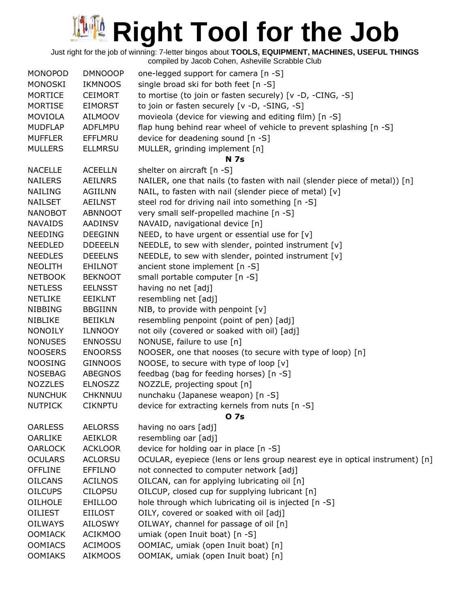Just right for the job of winning: 7-letter bingos about **TOOLS, EQUIPMENT, MACHINES, USEFUL THINGS**

| <b>MONOPOD</b> | <b>DMNOOOP</b> | one-legged support for camera [n -S]                                        |
|----------------|----------------|-----------------------------------------------------------------------------|
| <b>MONOSKI</b> | <b>IKMNOOS</b> | single broad ski for both feet [n -S]                                       |
| <b>MORTICE</b> | <b>CEIMORT</b> | to mortise (to join or fasten securely) [v -D, -CING, -S]                   |
| <b>MORTISE</b> | <b>EIMORST</b> | to join or fasten securely [v -D, -SING, -S]                                |
| <b>MOVIOLA</b> | <b>AILMOOV</b> | movieola (device for viewing and editing film) [n -S]                       |
| <b>MUDFLAP</b> | <b>ADFLMPU</b> | flap hung behind rear wheel of vehicle to prevent splashing [n -S]          |
| <b>MUFFLER</b> | EFFLMRU        | device for deadening sound [n -S]                                           |
| <b>MULLERS</b> | <b>ELLMRSU</b> | MULLER, grinding implement [n]                                              |
|                |                | <b>N</b> 7s                                                                 |
| <b>NACELLE</b> | <b>ACEELLN</b> | shelter on aircraft [n -S]                                                  |
| <b>NAILERS</b> | <b>AEILNRS</b> | NAILER, one that nails (to fasten with nail (slender piece of metal)) [n]   |
| <b>NAILING</b> | <b>AGIILNN</b> | NAIL, to fasten with nail (slender piece of metal) [v]                      |
| <b>NAILSET</b> | <b>AEILNST</b> | steel rod for driving nail into something [n -S]                            |
| <b>NANOBOT</b> | <b>ABNNOOT</b> | very small self-propelled machine [n -S]                                    |
| <b>NAVAIDS</b> | AADINSV        | NAVAID, navigational device [n]                                             |
| <b>NEEDING</b> | <b>DEEGINN</b> | NEED, to have urgent or essential use for $[v]$                             |
| <b>NEEDLED</b> | <b>DDEEELN</b> | NEEDLE, to sew with slender, pointed instrument [v]                         |
| <b>NEEDLES</b> | <b>DEEELNS</b> | NEEDLE, to sew with slender, pointed instrument [v]                         |
| <b>NEOLITH</b> | <b>EHILNOT</b> | ancient stone implement [n -S]                                              |
| <b>NETBOOK</b> | <b>BEKNOOT</b> | small portable computer [n -S]                                              |
| <b>NETLESS</b> | <b>EELNSST</b> | having no net [adj]                                                         |
| <b>NETLIKE</b> | <b>EEIKLNT</b> | resembling net [adj]                                                        |
| <b>NIBBING</b> | <b>BBGIINN</b> | NIB, to provide with penpoint [v]                                           |
| NIBLIKE        | <b>BEIIKLN</b> | resembling penpoint (point of pen) [adj]                                    |
| <b>NONOILY</b> | <b>ILNNOOY</b> | not oily (covered or soaked with oil) [adj]                                 |
| <b>NONUSES</b> | <b>ENNOSSU</b> | NONUSE, failure to use [n]                                                  |
| <b>NOOSERS</b> | <b>ENOORSS</b> | NOOSER, one that nooses (to secure with type of loop) [n]                   |
| <b>NOOSING</b> | <b>GINNOOS</b> | NOOSE, to secure with type of loop [v]                                      |
| <b>NOSEBAG</b> | <b>ABEGNOS</b> | feedbag (bag for feeding horses) [n -S]                                     |
| <b>NOZZLES</b> | <b>ELNOSZZ</b> | NOZZLE, projecting spout [n]                                                |
| <b>NUNCHUK</b> | <b>CHKNNUU</b> | nunchaku (Japanese weapon) [n -S]                                           |
| <b>NUTPICK</b> | <b>CIKNPTU</b> | device for extracting kernels from nuts [n -S]                              |
|                |                | 0 7s                                                                        |
| <b>OARLESS</b> | <b>AELORSS</b> | having no oars [adj]                                                        |
| <b>OARLIKE</b> | <b>AEIKLOR</b> | resembling oar [adj]                                                        |
| <b>OARLOCK</b> | <b>ACKLOOR</b> | device for holding oar in place [n -S]                                      |
| <b>OCULARS</b> | <b>ACLORSU</b> | OCULAR, eyepiece (lens or lens group nearest eye in optical instrument) [n] |
| <b>OFFLINE</b> | <b>EFFILNO</b> | not connected to computer network [adj]                                     |
| <b>OILCANS</b> | <b>ACILNOS</b> | OILCAN, can for applying lubricating oil [n]                                |
| <b>OILCUPS</b> | <b>CILOPSU</b> | OILCUP, closed cup for supplying lubricant [n]                              |
| <b>OILHOLE</b> | <b>EHILLOO</b> | hole through which lubricating oil is injected [n -S]                       |
| <b>OILIEST</b> | <b>EIILOST</b> | OILY, covered or soaked with oil [adj]                                      |
| <b>OILWAYS</b> | <b>AILOSWY</b> | OILWAY, channel for passage of oil [n]                                      |
| <b>OOMIACK</b> | <b>ACIKMOO</b> | umiak (open Inuit boat) [n -S]                                              |
| <b>OOMIACS</b> | <b>ACIMOOS</b> | OOMIAC, umiak (open Inuit boat) [n]                                         |
| <b>OOMIAKS</b> | <b>AIKMOOS</b> | OOMIAK, umiak (open Inuit boat) [n]                                         |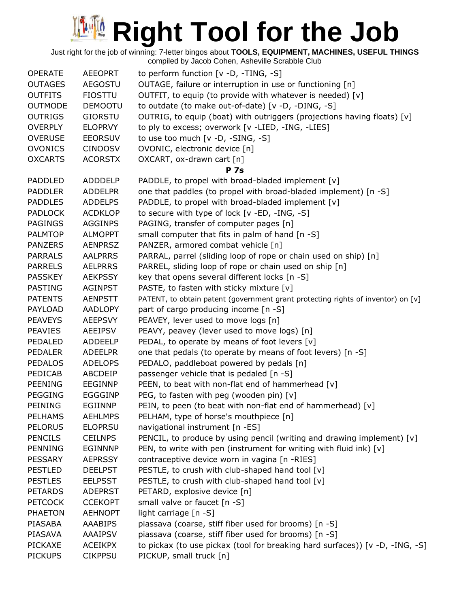Just right for the job of winning: 7-letter bingos about **TOOLS, EQUIPMENT, MACHINES, USEFUL THINGS**

| compiled by Jacob Cohen, Asheville Scrabble Club |  |  |  |
|--------------------------------------------------|--|--|--|

| <b>OPERATE</b> | <b>AEEOPRT</b> | to perform function $[v -D, -TING, -S]$                                          |
|----------------|----------------|----------------------------------------------------------------------------------|
| <b>OUTAGES</b> | <b>AEGOSTU</b> | OUTAGE, failure or interruption in use or functioning [n]                        |
| <b>OUTFITS</b> | <b>FIOSTTU</b> | OUTFIT, to equip (to provide with whatever is needed) [v]                        |
| <b>OUTMODE</b> | <b>DEMOOTU</b> | to outdate (to make out-of-date) [v -D, -DING, -S]                               |
| <b>OUTRIGS</b> | <b>GIORSTU</b> | OUTRIG, to equip (boat) with outriggers (projections having floats) [v]          |
| <b>OVERPLY</b> | <b>ELOPRVY</b> | to ply to excess; overwork [v -LIED, -ING, -LIES]                                |
| <b>OVERUSE</b> | <b>EEORSUV</b> | to use too much [v -D, -SING, -S]                                                |
| <b>OVONICS</b> | <b>CINOOSV</b> | OVONIC, electronic device [n]                                                    |
| <b>OXCARTS</b> | <b>ACORSTX</b> | OXCART, ox-drawn cart [n]                                                        |
|                |                | <b>P</b> 7s                                                                      |
| <b>PADDLED</b> | ADDDELP        | PADDLE, to propel with broad-bladed implement [v]                                |
| <b>PADDLER</b> | <b>ADDELPR</b> | one that paddles (to propel with broad-bladed implement) [n -S]                  |
| <b>PADDLES</b> | <b>ADDELPS</b> | PADDLE, to propel with broad-bladed implement [v]                                |
| <b>PADLOCK</b> | <b>ACDKLOP</b> | to secure with type of lock [v -ED, -ING, -S]                                    |
| <b>PAGINGS</b> | <b>AGGINPS</b> | PAGING, transfer of computer pages [n]                                           |
| <b>PALMTOP</b> | <b>ALMOPPT</b> | small computer that fits in palm of hand [n -S]                                  |
| <b>PANZERS</b> | <b>AENPRSZ</b> | PANZER, armored combat vehicle [n]                                               |
| <b>PARRALS</b> | <b>AALPRRS</b> | PARRAL, parrel (sliding loop of rope or chain used on ship) [n]                  |
| <b>PARRELS</b> | <b>AELPRRS</b> | PARREL, sliding loop of rope or chain used on ship [n]                           |
| <b>PASSKEY</b> | <b>AEKPSSY</b> | key that opens several different locks [n -S]                                    |
| <b>PASTING</b> | <b>AGINPST</b> | PASTE, to fasten with sticky mixture [v]                                         |
| <b>PATENTS</b> | <b>AENPSTT</b> | PATENT, to obtain patent (government grant protecting rights of inventor) on [v] |
| PAYLOAD        | <b>AADLOPY</b> | part of cargo producing income [n -S]                                            |
| <b>PEAVEYS</b> | <b>AEEPSVY</b> | PEAVEY, lever used to move logs [n]                                              |
| <b>PEAVIES</b> | <b>AEEIPSV</b> | PEAVY, peavey (lever used to move logs) [n]                                      |
| PEDALED        | <b>ADDEELP</b> | PEDAL, to operate by means of foot levers [v]                                    |
| <b>PEDALER</b> | <b>ADEELPR</b> | one that pedals (to operate by means of foot levers) [n -S]                      |
| <b>PEDALOS</b> | <b>ADELOPS</b> | PEDALO, paddleboat powered by pedals [n]                                         |
| PEDICAB        | ABCDEIP        | passenger vehicle that is pedaled [n -S]                                         |
| <b>PEENING</b> | <b>EEGINNP</b> | PEEN, to beat with non-flat end of hammerhead [v]                                |
| <b>PEGGING</b> | <b>EGGGINP</b> | PEG, to fasten with peg (wooden pin) [v]                                         |
| PEINING        | EGIINNP        | PEIN, to peen (to beat with non-flat end of hammerhead) [v]                      |
| <b>PELHAMS</b> | <b>AEHLMPS</b> | PELHAM, type of horse's mouthpiece [n]                                           |
| <b>PELORUS</b> | <b>ELOPRSU</b> | navigational instrument [n -ES]                                                  |
| <b>PENCILS</b> | <b>CEILNPS</b> | PENCIL, to produce by using pencil (writing and drawing implement) $[v]$         |
| <b>PENNING</b> | <b>EGINNNP</b> | PEN, to write with pen (instrument for writing with fluid ink) [v]               |
| <b>PESSARY</b> | <b>AEPRSSY</b> | contraceptive device worn in vagina [n -RIES]                                    |
| <b>PESTLED</b> | <b>DEELPST</b> | PESTLE, to crush with club-shaped hand tool [v]                                  |
| <b>PESTLES</b> | <b>EELPSST</b> | PESTLE, to crush with club-shaped hand tool [v]                                  |
| <b>PETARDS</b> | <b>ADEPRST</b> | PETARD, explosive device [n]                                                     |
| <b>PETCOCK</b> | <b>CCEKOPT</b> | small valve or faucet [n -S]                                                     |
| <b>PHAETON</b> | <b>AEHNOPT</b> | light carriage [n -S]                                                            |
| PIASABA        | AAABIPS        | piassava (coarse, stiff fiber used for brooms) [n -S]                            |
| PIASAVA        | <b>AAAIPSV</b> | piassava (coarse, stiff fiber used for brooms) [n -S]                            |
| <b>PICKAXE</b> | <b>ACEIKPX</b> | to pickax (to use pickax (tool for breaking hard surfaces)) [v -D, -ING, -S]     |
| <b>PICKUPS</b> | <b>CIKPPSU</b> | PICKUP, small truck [n]                                                          |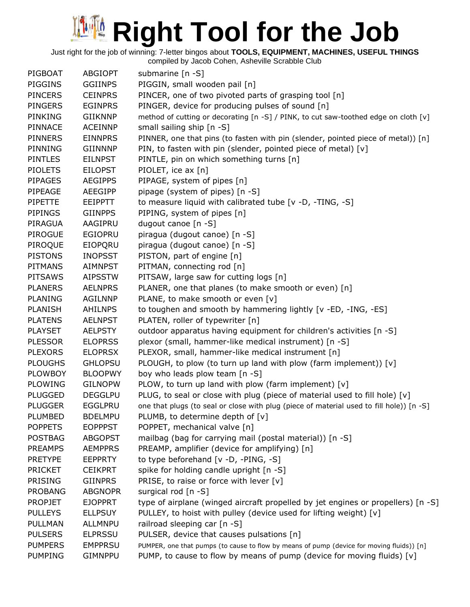Just right for the job of winning: 7-letter bingos about **TOOLS, EQUIPMENT, MACHINES, USEFUL THINGS** compiled by Jacob Cohen, Asheville Scrabble Club

PIGBOAT ABGIOPT submarine [n -S] PIGGINS GGIINPS PIGGIN, small wooden pail [n] PINCERS CEINPRS PINCER, one of two pivoted parts of grasping tool [n] PINGERS EGINPRS PINGER, device for producing pulses of sound [n] PINKING GIIKNNP method of cutting or decorating [n -S] / PINK, to cut saw-toothed edge on cloth [v] PINNACE ACEINNP small sailing ship [n -S] PINNERS EINNPRS PINNER, one that pins (to fasten with pin (slender, pointed piece of metal)) [n] PINNING GIINNNP PIN, to fasten with pin (slender, pointed piece of metal) [v] PINTLES EILNPST PINTLE, pin on which something turns [n] PIOLETS EILOPST PIOLET, ice ax [n] PIPAGES AEGIPPS PIPAGE, system of pipes [n] PIPEAGE AEEGIPP pipage (system of pipes) [n -S] PIPETTE EEIPPTT to measure liquid with calibrated tube [v -D, -TING, -S] PIPINGS GIINPPS PIPING, system of pipes [n] PIRAGUA AAGIPRU dugout canoe [n -S] PIROGUE EGIOPRU piragua (dugout canoe) [n -S] PIROQUE EIOPQRU piragua (dugout canoe) [n -S] PISTONS INOPSST PISTON, part of engine [n] PITMANS AIMNPST PITMAN, connecting rod [n] PITSAWS AIPSSTW PITSAW, large saw for cutting logs [n] PLANERS AELNPRS PLANER, one that planes (to make smooth or even) [n] PLANING AGILNNP PLANE, to make smooth or even [v] PLANISH AHILNPS to toughen and smooth by hammering lightly [v -ED, -ING, -ES] PLATENS AELNPST PLATEN, roller of typewriter [n] PLAYSET AELPSTY outdoor apparatus having equipment for children's activities [n -S] PLESSOR ELOPRSS plexor (small, hammer-like medical instrument) [n -S] PLEXORS ELOPRSX PLEXOR, small, hammer-like medical instrument [n] PLOUGHS GHLOPSU PLOUGH, to plow (to turn up land with plow (farm implement)) [v] PLOWBOY BLOOPWY boy who leads plow team [n -S] PLOWING GILNOPW PLOW, to turn up land with plow (farm implement)  $[v]$ PLUGGED DEGGLPU PLUG, to seal or close with plug (piece of material used to fill hole) [v] PLUGGER EGGLPRU one that plugs (to seal or close with plug (piece of material used to fill hole)) [n -S] PLUMBED BDELMPU PLUMB, to determine depth of [v] POPPETS EOPPPST POPPET, mechanical valve [n] POSTBAG ABGOPST mailbag (bag for carrying mail (postal material)) [n -S] PREAMPS AEMPPRS PREAMP, amplifier (device for amplifying) [n] PRETYPE EEPPRTY to type beforehand [v -D, -PING, -S] PRICKET CEIKPRT spike for holding candle upright [n -S] PRISING GIINPRS PRISE, to raise or force with lever [v] PROBANG ABGNOPR surgical rod [n -S] PROPJET EJOPPRT type of airplane (winged aircraft propelled by jet engines or propellers) [n -S] PULLEYS ELLPSUY PULLEY, to hoist with pulley (device used for lifting weight) [v] PULLMAN ALLMNPU railroad sleeping car [n -S] PULSERS ELPRSSU PULSER, device that causes pulsations [n] PUMPERS EMPPRSU PUMPER, one that pumps (to cause to flow by means of pump (device for moving fluids)) [n] PUMPING GIMNPPU PUMP, to cause to flow by means of pump (device for moving fluids) [v]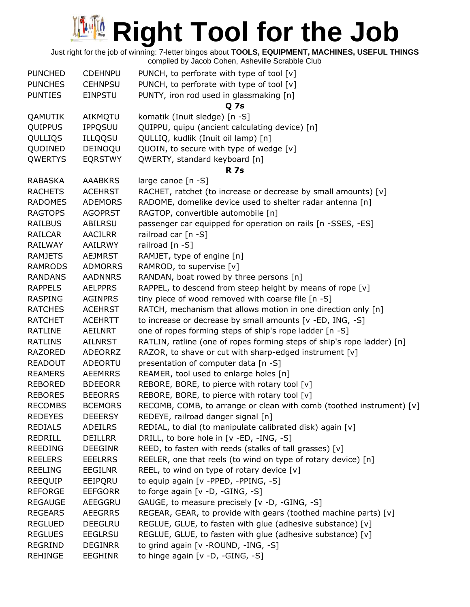| <b>PUNCHED</b> | <b>CDEHNPU</b> | PUNCH, to perforate with type of tool [v]                              |
|----------------|----------------|------------------------------------------------------------------------|
| <b>PUNCHES</b> | <b>CEHNPSU</b> | PUNCH, to perforate with type of tool [v]                              |
| <b>PUNTIES</b> | <b>EINPSTU</b> | PUNTY, iron rod used in glassmaking [n]                                |
|                |                | Q 7s                                                                   |
| QAMUTIK        | AIKMQTU        | komatik (Inuit sledge) [n -S]                                          |
| QUIPPUS        | <b>IPPQSUU</b> | QUIPPU, quipu (ancient calculating device) [n]                         |
| QULLIQS        | <b>ILLQQSU</b> | QULLIQ, kudlik (Inuit oil lamp) [n]                                    |
| QUOINED        | DEINOQU        | QUOIN, to secure with type of wedge [v]                                |
| QWERTYS        | <b>EQRSTWY</b> | QWERTY, standard keyboard [n]                                          |
|                |                | <b>R</b> 7s                                                            |
| <b>RABASKA</b> | <b>AAABKRS</b> | large canoe [n -S]                                                     |
| <b>RACHETS</b> | <b>ACEHRST</b> | RACHET, ratchet (to increase or decrease by small amounts) [v]         |
| <b>RADOMES</b> | <b>ADEMORS</b> | RADOME, domelike device used to shelter radar antenna [n]              |
| <b>RAGTOPS</b> | <b>AGOPRST</b> | RAGTOP, convertible automobile [n]                                     |
| <b>RAILBUS</b> | <b>ABILRSU</b> | passenger car equipped for operation on rails [n -SSES, -ES]           |
| <b>RAILCAR</b> | <b>AACILRR</b> | railroad car [n -S]                                                    |
| RAILWAY        | AAILRWY        | railroad [n -S]                                                        |
| <b>RAMJETS</b> | <b>AEJMRST</b> | RAMJET, type of engine [n]                                             |
| <b>RAMRODS</b> | <b>ADMORRS</b> | RAMROD, to supervise [v]                                               |
| <b>RANDANS</b> | <b>AADNNRS</b> | RANDAN, boat rowed by three persons [n]                                |
| <b>RAPPELS</b> | <b>AELPPRS</b> | RAPPEL, to descend from steep height by means of rope [v]              |
| <b>RASPING</b> | <b>AGINPRS</b> | tiny piece of wood removed with coarse file [n -S]                     |
| <b>RATCHES</b> | <b>ACEHRST</b> | RATCH, mechanism that allows motion in one direction only [n]          |
| <b>RATCHET</b> | <b>ACEHRTT</b> | to increase or decrease by small amounts [v -ED, ING, -S]              |
| RATLINE        | AEILNRT        | one of ropes forming steps of ship's rope ladder [n -S]                |
| <b>RATLINS</b> | <b>AILNRST</b> | RATLIN, ratline (one of ropes forming steps of ship's rope ladder) [n] |
| <b>RAZORED</b> | <b>ADEORRZ</b> | RAZOR, to shave or cut with sharp-edged instrument [v]                 |
| <b>READOUT</b> | <b>ADEORTU</b> | presentation of computer data [n -S]                                   |
| <b>REAMERS</b> | <b>AEEMRRS</b> | REAMER, tool used to enlarge holes [n]                                 |
| <b>REBORED</b> | <b>BDEEORR</b> | REBORE, BORE, to pierce with rotary tool [v]                           |
| <b>REBORES</b> | <b>BEEORRS</b> | REBORE, BORE, to pierce with rotary tool [v]                           |
| <b>RECOMBS</b> | <b>BCEMORS</b> | RECOMB, COMB, to arrange or clean with comb (toothed instrument) [v]   |
| <b>REDEYES</b> | <b>DEEERSY</b> | REDEYE, railroad danger signal [n]                                     |
| <b>REDIALS</b> | <b>ADEILRS</b> | REDIAL, to dial (to manipulate calibrated disk) again [v]              |
| REDRILL        | <b>DEILLRR</b> | DRILL, to bore hole in [v -ED, -ING, -S]                               |
| <b>REEDING</b> | <b>DEEGINR</b> | REED, to fasten with reeds (stalks of tall grasses) [v]                |
| <b>REELERS</b> | <b>EEELRRS</b> | REELER, one that reels (to wind on type of rotary device) [n]          |
| <b>REELING</b> | <b>EEGILNR</b> | REEL, to wind on type of rotary device [v]                             |
| <b>REEQUIP</b> | EEIPORU        | to equip again [v -PPED, -PPING, -S]                                   |
| <b>REFORGE</b> | <b>EEFGORR</b> | to forge again [v -D, -GING, -S]                                       |
| <b>REGAUGE</b> | AEEGGRU        | GAUGE, to measure precisely [v -D, -GING, -S]                          |
| <b>REGEARS</b> | <b>AEEGRRS</b> | REGEAR, GEAR, to provide with gears (toothed machine parts) [v]        |
| <b>REGLUED</b> | <b>DEEGLRU</b> | REGLUE, GLUE, to fasten with glue (adhesive substance) [v]             |
| <b>REGLUES</b> | <b>EEGLRSU</b> | REGLUE, GLUE, to fasten with glue (adhesive substance) [v]             |
| <b>REGRIND</b> | <b>DEGINRR</b> | to grind again [v - ROUND, -ING, -S]                                   |
| <b>REHINGE</b> | <b>EEGHINR</b> | to hinge again [v -D, -GING, -S]                                       |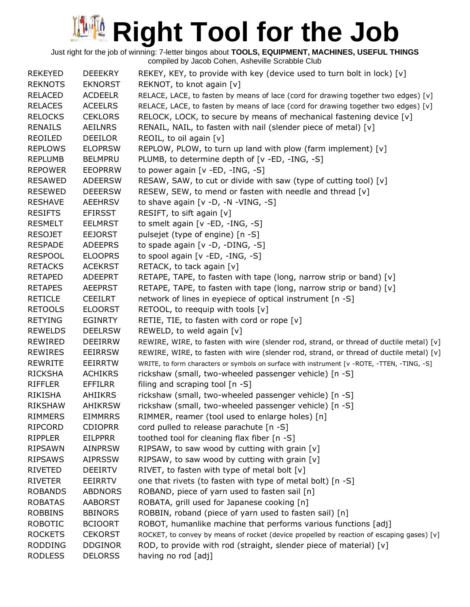| <b>REKEYED</b>                   | <b>DEEEKRY</b>                   | REKEY, KEY, to provide with key (device used to turn bolt in lock) [v]                      |
|----------------------------------|----------------------------------|---------------------------------------------------------------------------------------------|
| <b>REKNOTS</b>                   | <b>EKNORST</b>                   | REKNOT, to knot again [v]                                                                   |
| <b>RELACED</b>                   | <b>ACDEELR</b>                   | RELACE, LACE, to fasten by means of lace (cord for drawing together two edges) [v]          |
| <b>RELACES</b>                   | <b>ACEELRS</b>                   | RELACE, LACE, to fasten by means of lace (cord for drawing together two edges) [v]          |
| <b>RELOCKS</b>                   | <b>CEKLORS</b>                   | RELOCK, LOCK, to secure by means of mechanical fastening device $[v]$                       |
| <b>RENAILS</b>                   | <b>AEILNRS</b>                   | RENAIL, NAIL, to fasten with nail (slender piece of metal) [v]                              |
| REOILED                          | <b>DEEILOR</b>                   | REOIL, to oil again [v]                                                                     |
| <b>REPLOWS</b>                   | <b>ELOPRSW</b>                   | REPLOW, PLOW, to turn up land with plow (farm implement) [v]                                |
| <b>REPLUMB</b>                   | <b>BELMPRU</b>                   | PLUMB, to determine depth of [v -ED, -ING, -S]                                              |
| <b>REPOWER</b>                   | <b>EEOPRRW</b>                   | to power again [v -ED, -ING, -S]                                                            |
| <b>RESAWED</b>                   | <b>ADEERSW</b>                   | RESAW, SAW, to cut or divide with saw (type of cutting tool) [v]                            |
| <b>RESEWED</b>                   | <b>DEEERSW</b>                   | RESEW, SEW, to mend or fasten with needle and thread $[v]$                                  |
| <b>RESHAVE</b>                   | <b>AEEHRSV</b>                   | to shave again $[v -D, -N - VING, -S]$                                                      |
| <b>RESIFTS</b>                   | <b>EFIRSST</b>                   | RESIFT, to sift again [v]                                                                   |
| <b>RESMELT</b>                   | <b>EELMRST</b>                   | to smelt again $[v - ED, -ING, -S]$                                                         |
| <b>RESOJET</b>                   | <b>EEJORST</b>                   | pulsejet (type of engine) [n -S]                                                            |
| <b>RESPADE</b>                   | <b>ADEEPRS</b>                   | to spade again [v -D, -DING, -S]                                                            |
| <b>RESPOOL</b>                   | <b>ELOOPRS</b>                   | to spool again [v -ED, -ING, -S]                                                            |
| <b>RETACKS</b>                   | <b>ACEKRST</b>                   | RETACK, to tack again [v]                                                                   |
| <b>RETAPED</b>                   | ADEEPRT                          | RETAPE, TAPE, to fasten with tape (long, narrow strip or band) $[v]$                        |
| <b>RETAPES</b>                   | <b>AEEPRST</b>                   | RETAPE, TAPE, to fasten with tape (long, narrow strip or band) [v]                          |
| <b>RETICLE</b>                   | <b>CEEILRT</b>                   | network of lines in eyepiece of optical instrument [n -S]                                   |
| <b>RETOOLS</b>                   | <b>ELOORST</b>                   | RETOOL, to reequip with tools [v]                                                           |
| <b>RETYING</b>                   | <b>EGINRTY</b>                   | RETIE, TIE, to fasten with cord or rope [v]                                                 |
| <b>REWELDS</b>                   | <b>DEELRSW</b>                   | REWELD, to weld again [v]                                                                   |
| REWIRED                          | <b>DEEIRRW</b>                   | REWIRE, WIRE, to fasten with wire (slender rod, strand, or thread of ductile metal) [v]     |
| <b>REWIRES</b>                   | <b>EEIRRSW</b>                   | REWIRE, WIRE, to fasten with wire (slender rod, strand, or thread of ductile metal) [v]     |
| <b>REWRITE</b>                   | <b>EEIRRTW</b>                   | WRITE, to form characters or symbols on surface with instrument [v -ROTE, -TTEN, -TING, -S] |
| <b>RICKSHA</b>                   | <b>ACHIKRS</b>                   | rickshaw (small, two-wheeled passenger vehicle) [n -S]                                      |
| <b>RIFFLER</b>                   | EFFILRR                          | filing and scraping tool $[n -S]$                                                           |
| RIKISHA                          | AHIIKRS                          | rickshaw (small, two-wheeled passenger vehicle) [n -S]                                      |
|                                  |                                  |                                                                                             |
| <b>RIKSHAW</b><br><b>RIMMERS</b> | <b>AHIKRSW</b><br><b>EIMMRRS</b> | rickshaw (small, two-wheeled passenger vehicle) [n -S]                                      |
|                                  |                                  | RIMMER, reamer (tool used to enlarge holes) [n]                                             |
| <b>RIPCORD</b>                   | <b>CDIOPRR</b>                   | cord pulled to release parachute [n -S]                                                     |
| <b>RIPPLER</b>                   | <b>EILPPRR</b>                   | toothed tool for cleaning flax fiber [n -S]                                                 |
| <b>RIPSAWN</b>                   | <b>AINPRSW</b>                   | RIPSAW, to saw wood by cutting with grain $[v]$                                             |
| <b>RIPSAWS</b>                   | <b>AIPRSSW</b>                   | RIPSAW, to saw wood by cutting with grain [v]                                               |
| <b>RIVETED</b>                   | <b>DEEIRTV</b>                   | RIVET, to fasten with type of metal bolt [v]                                                |
| <b>RIVETER</b>                   | EEIRRTV                          | one that rivets (to fasten with type of metal bolt) [n -S]                                  |
| <b>ROBANDS</b>                   | <b>ABDNORS</b>                   | ROBAND, piece of yarn used to fasten sail [n]                                               |
| <b>ROBATAS</b>                   | <b>AABORST</b>                   | ROBATA, grill used for Japanese cooking [n]                                                 |
| <b>ROBBINS</b>                   | <b>BBINORS</b>                   | ROBBIN, roband (piece of yarn used to fasten sail) [n]                                      |
| <b>ROBOTIC</b>                   | <b>BCIOORT</b>                   | ROBOT, humanlike machine that performs various functions [adj]                              |
| <b>ROCKETS</b>                   | <b>CEKORST</b>                   | ROCKET, to convey by means of rocket (device propelled by reaction of escaping gases) [v]   |
| <b>RODDING</b>                   | <b>DDGINOR</b>                   | ROD, to provide with rod (straight, slender piece of material) [v]                          |
| <b>RODLESS</b>                   | <b>DELORSS</b>                   | having no rod [adj]                                                                         |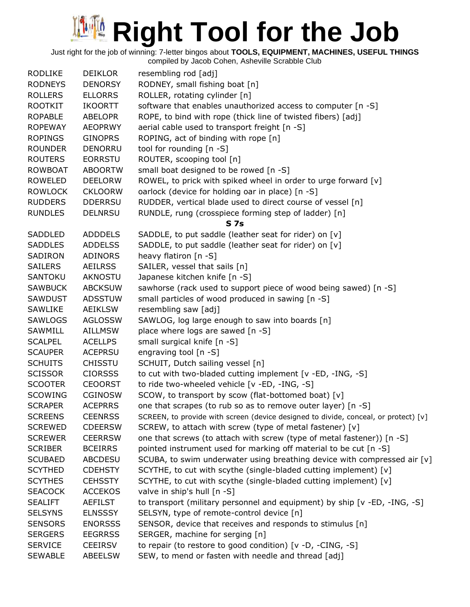Just right for the job of winning: 7-letter bingos about **TOOLS, EQUIPMENT, MACHINES, USEFUL THINGS**

| <b>RODLIKE</b> | <b>DEIKLOR</b> | resembling rod [adj]                                                                |
|----------------|----------------|-------------------------------------------------------------------------------------|
| <b>RODNEYS</b> | <b>DENORSY</b> | RODNEY, small fishing boat [n]                                                      |
| <b>ROLLERS</b> | <b>ELLORRS</b> | ROLLER, rotating cylinder [n]                                                       |
| <b>ROOTKIT</b> | <b>IKOORTT</b> | software that enables unauthorized access to computer [n -S]                        |
| <b>ROPABLE</b> | <b>ABELOPR</b> | ROPE, to bind with rope (thick line of twisted fibers) [adj]                        |
| <b>ROPEWAY</b> | <b>AEOPRWY</b> | aerial cable used to transport freight [n -S]                                       |
| <b>ROPINGS</b> | <b>GINOPRS</b> | ROPING, act of binding with rope [n]                                                |
| <b>ROUNDER</b> | <b>DENORRU</b> | tool for rounding [n -S]                                                            |
| <b>ROUTERS</b> | <b>EORRSTU</b> | ROUTER, scooping tool [n]                                                           |
| <b>ROWBOAT</b> | <b>ABOORTW</b> | small boat designed to be rowed [n -S]                                              |
| <b>ROWELED</b> | <b>DEELORW</b> | ROWEL, to prick with spiked wheel in order to urge forward [v]                      |
| <b>ROWLOCK</b> | <b>CKLOORW</b> | oarlock (device for holding oar in place) [n -S]                                    |
| <b>RUDDERS</b> | <b>DDERRSU</b> | RUDDER, vertical blade used to direct course of vessel [n]                          |
| <b>RUNDLES</b> | <b>DELNRSU</b> | RUNDLE, rung (crosspiece forming step of ladder) [n]                                |
|                |                | S <sub>7s</sub>                                                                     |
| SADDLED        | <b>ADDDELS</b> | SADDLE, to put saddle (leather seat for rider) on [v]                               |
| <b>SADDLES</b> | <b>ADDELSS</b> | SADDLE, to put saddle (leather seat for rider) on [v]                               |
| SADIRON        | ADINORS        | heavy flatiron [n -S]                                                               |
| <b>SAILERS</b> | <b>AEILRSS</b> | SAILER, vessel that sails [n]                                                       |
| SANTOKU        | <b>AKNOSTU</b> | Japanese kitchen knife [n -S]                                                       |
| <b>SAWBUCK</b> | <b>ABCKSUW</b> | sawhorse (rack used to support piece of wood being sawed) [n -S]                    |
| <b>SAWDUST</b> | <b>ADSSTUW</b> | small particles of wood produced in sawing [n -S]                                   |
| <b>SAWLIKE</b> | <b>AEIKLSW</b> | resembling saw [adj]                                                                |
|                |                |                                                                                     |
| SAWLOGS        | <b>AGLOSSW</b> | SAWLOG, log large enough to saw into boards [n]                                     |
| SAWMILL        | <b>AILLMSW</b> | place where logs are sawed [n -S]                                                   |
| <b>SCALPEL</b> | <b>ACELLPS</b> | small surgical knife [n -S]                                                         |
| <b>SCAUPER</b> | <b>ACEPRSU</b> | engraving tool [n -S]                                                               |
| <b>SCHUITS</b> | <b>CHISSTU</b> | SCHUIT, Dutch sailing vessel [n]                                                    |
| <b>SCISSOR</b> | <b>CIORSSS</b> | to cut with two-bladed cutting implement [v -ED, -ING, -S]                          |
| <b>SCOOTER</b> | <b>CEOORST</b> | to ride two-wheeled vehicle [v -ED, -ING, -S]                                       |
| <b>SCOWING</b> | <b>CGINOSW</b> | SCOW, to transport by scow (flat-bottomed boat) [v]                                 |
| <b>SCRAPER</b> | <b>ACEPRRS</b> | one that scrapes (to rub so as to remove outer layer) [n -S]                        |
| <b>SCREENS</b> | <b>CEENRSS</b> | SCREEN, to provide with screen (device designed to divide, conceal, or protect) [v] |
| <b>SCREWED</b> | <b>CDEERSW</b> | SCREW, to attach with screw (type of metal fastener) [v]                            |
| <b>SCREWER</b> | <b>CEERRSW</b> | one that screws (to attach with screw (type of metal fastener)) [n -S]              |
| <b>SCRIBER</b> | <b>BCEIRRS</b> | pointed instrument used for marking off material to be cut [n -S]                   |
| <b>SCUBAED</b> | <b>ABCDESU</b> | SCUBA, to swim underwater using breathing device with compressed air [v]            |
| <b>SCYTHED</b> | <b>CDEHSTY</b> | SCYTHE, to cut with scythe (single-bladed cutting implement) [v]                    |
| <b>SCYTHES</b> | <b>CEHSSTY</b> | SCYTHE, to cut with scythe (single-bladed cutting implement) [v]                    |
| <b>SEACOCK</b> | <b>ACCEKOS</b> | valve in ship's hull [n -S]                                                         |
| <b>SEALIFT</b> | AEFILST        | to transport (military personnel and equipment) by ship [v -ED, -ING, -S]           |
| <b>SELSYNS</b> | <b>ELNSSSY</b> | SELSYN, type of remote-control device [n]                                           |
| <b>SENSORS</b> | <b>ENORSSS</b> | SENSOR, device that receives and responds to stimulus [n]                           |
| <b>SERGERS</b> | <b>EEGRRSS</b> | SERGER, machine for serging [n]                                                     |
| <b>SERVICE</b> | <b>CEEIRSV</b> | to repair (to restore to good condition) [v -D, -CING, -S]                          |
| <b>SEWABLE</b> | ABEELSW        | SEW, to mend or fasten with needle and thread [adj]                                 |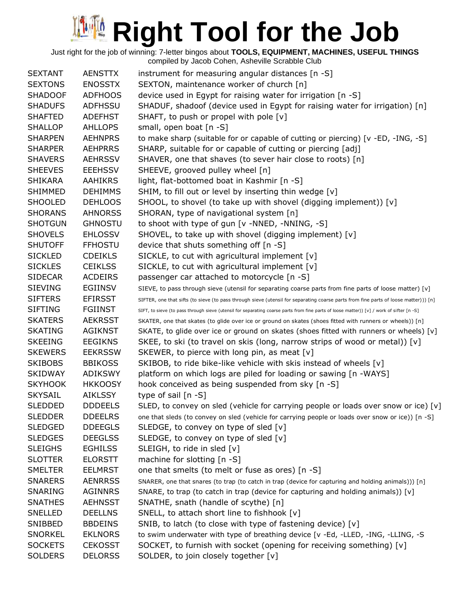| <b>SEXTANT</b> | <b>AENSTTX</b> | instrument for measuring angular distances [n -S]                                                                                        |
|----------------|----------------|------------------------------------------------------------------------------------------------------------------------------------------|
| <b>SEXTONS</b> | <b>ENOSSTX</b> | SEXTON, maintenance worker of church [n]                                                                                                 |
| <b>SHADOOF</b> | <b>ADFHOOS</b> | device used in Egypt for raising water for irrigation [n -S]                                                                             |
| <b>SHADUFS</b> | <b>ADFHSSU</b> | SHADUF, shadoof (device used in Egypt for raising water for irrigation) [n]                                                              |
| <b>SHAFTED</b> | <b>ADEFHST</b> | SHAFT, to push or propel with pole [v]                                                                                                   |
| <b>SHALLOP</b> | <b>AHLLOPS</b> | small, open boat [n -S]                                                                                                                  |
| <b>SHARPEN</b> | <b>AEHNPRS</b> | to make sharp (suitable for or capable of cutting or piercing) [v -ED, -ING, -S]                                                         |
| <b>SHARPER</b> | <b>AEHPRRS</b> | SHARP, suitable for or capable of cutting or piercing [adj]                                                                              |
| <b>SHAVERS</b> | <b>AEHRSSV</b> | SHAVER, one that shaves (to sever hair close to roots) [n]                                                                               |
| <b>SHEEVES</b> | <b>EEEHSSV</b> | SHEEVE, grooved pulley wheel [n]                                                                                                         |
| <b>SHIKARA</b> | <b>AAHIKRS</b> | light, flat-bottomed boat in Kashmir [n -S]                                                                                              |
| <b>SHIMMED</b> | <b>DEHIMMS</b> | SHIM, to fill out or level by inserting thin wedge [v]                                                                                   |
| <b>SHOOLED</b> | <b>DEHLOOS</b> | SHOOL, to shovel (to take up with shovel (digging implement)) [v]                                                                        |
| <b>SHORANS</b> | <b>AHNORSS</b> | SHORAN, type of navigational system [n]                                                                                                  |
| <b>SHOTGUN</b> | <b>GHNOSTU</b> | to shoot with type of gun [v -NNED, -NNING, -S]                                                                                          |
| <b>SHOVELS</b> | <b>EHLOSSV</b> | SHOVEL, to take up with shovel (digging implement) [v]                                                                                   |
| <b>SHUTOFF</b> | <b>FFHOSTU</b> | device that shuts something off [n -S]                                                                                                   |
| <b>SICKLED</b> | <b>CDEIKLS</b> | SICKLE, to cut with agricultural implement [v]                                                                                           |
| <b>SICKLES</b> | <b>CEIKLSS</b> | SICKLE, to cut with agricultural implement [v]                                                                                           |
| <b>SIDECAR</b> | <b>ACDEIRS</b> | passenger car attached to motorcycle [n -S]                                                                                              |
| <b>SIEVING</b> | <b>EGIINSV</b> | SIEVE, to pass through sieve (utensil for separating coarse parts from fine parts of loose matter) [v]                                   |
| <b>SIFTERS</b> | <b>EFIRSST</b> | SIFTER, one that sifts (to sieve (to pass through sieve (utensil for separating coarse parts from fine parts of loose matter))) [n]      |
| <b>SIFTING</b> | FGIINST        | SIFT, to sieve (to pass through sieve (utensil for separating coarse parts from fine parts of loose matter)) [v] / work of sifter [n -S] |
| <b>SKATERS</b> | <b>AEKRSST</b> | SKATER, one that skates (to glide over ice or ground on skates (shoes fitted with runners or wheels)) [n]                                |
| <b>SKATING</b> | <b>AGIKNST</b> | SKATE, to glide over ice or ground on skates (shoes fitted with runners or wheels) [v]                                                   |
| <b>SKEEING</b> | <b>EEGIKNS</b> | SKEE, to ski (to travel on skis (long, narrow strips of wood or metal)) [v]                                                              |
| <b>SKEWERS</b> | <b>EEKRSSW</b> | SKEWER, to pierce with long pin, as meat [v]                                                                                             |
| <b>SKIBOBS</b> | <b>BBIKOSS</b> | SKIBOB, to ride bike-like vehicle with skis instead of wheels [v]                                                                        |
| <b>SKIDWAY</b> | <b>ADIKSWY</b> | platform on which logs are piled for loading or sawing [n -WAYS]                                                                         |
| <b>SKYHOOK</b> | <b>HKKOOSY</b> | hook conceived as being suspended from sky [n -S]                                                                                        |
| <b>SKYSAIL</b> | <b>AIKLSSY</b> | type of sail $[n -S]$                                                                                                                    |
| SLEDDED        | <b>DDDEELS</b> | SLED, to convey on sled (vehicle for carrying people or loads over snow or ice) [v]                                                      |
| <b>SLEDDER</b> | <b>DDEELRS</b> | one that sleds (to convey on sled (vehicle for carrying people or loads over snow or ice)) [n -S]                                        |
| <b>SLEDGED</b> | <b>DDEEGLS</b> | SLEDGE, to convey on type of sled $[v]$                                                                                                  |
| <b>SLEDGES</b> | <b>DEEGLSS</b> | SLEDGE, to convey on type of sled [v]                                                                                                    |
| <b>SLEIGHS</b> | <b>EGHILSS</b> | SLEIGH, to ride in sled [v]                                                                                                              |
| <b>SLOTTER</b> | <b>ELORSTT</b> | machine for slotting [n -S]                                                                                                              |
| <b>SMELTER</b> | <b>EELMRST</b> | one that smelts (to melt or fuse as ores) [n -S]                                                                                         |
| <b>SNARERS</b> | <b>AENRRSS</b> | SNARER, one that snares (to trap (to catch in trap (device for capturing and holding animals))) [n]                                      |
| SNARING        | <b>AGINNRS</b> | SNARE, to trap (to catch in trap (device for capturing and holding animals)) $[v]$                                                       |
| <b>SNATHES</b> | <b>AEHNSST</b> | SNATHE, snath (handle of scythe) [n]                                                                                                     |
| <b>SNELLED</b> | <b>DEELLNS</b> | SNELL, to attach short line to fishhook [v]                                                                                              |
| SNIBBED        | <b>BBDEINS</b> | SNIB, to latch (to close with type of fastening device) [v]                                                                              |
| <b>SNORKEL</b> | <b>EKLNORS</b> | to swim underwater with type of breathing device [v -Ed, -LLED, -ING, -LLING, -S                                                         |
| <b>SOCKETS</b> | <b>CEKOSST</b> | SOCKET, to furnish with socket (opening for receiving something) [v]                                                                     |
| <b>SOLDERS</b> | <b>DELORSS</b> | SOLDER, to join closely together [v]                                                                                                     |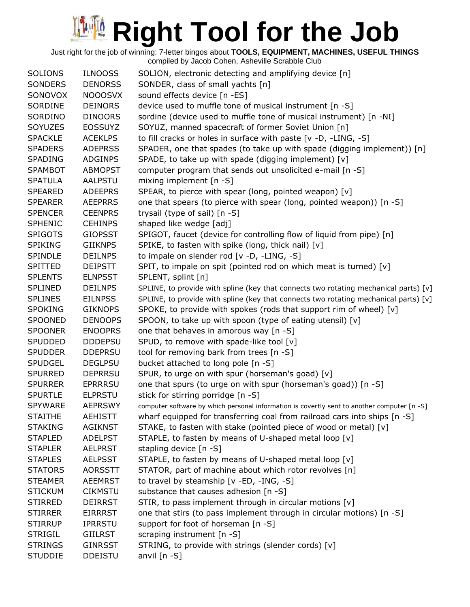| <b>SOLIONS</b><br><b>SONDERS</b><br>SONOVOX | <b>ILNOOSS</b><br><b>DENORSS</b><br><b>NOOOSVX</b> | SOLION, electronic detecting and amplifying device [n]<br>SONDER, class of small yachts [n]<br>sound effects device [n -ES]     |
|---------------------------------------------|----------------------------------------------------|---------------------------------------------------------------------------------------------------------------------------------|
| SORDINE                                     | <b>DEINORS</b>                                     | device used to muffle tone of musical instrument [n -S]                                                                         |
| SORDINO                                     | <b>DINOORS</b>                                     | sordine (device used to muffle tone of musical instrument) [n -NI]                                                              |
| <b>SOYUZES</b>                              | <b>EOSSUYZ</b>                                     | SOYUZ, manned spacecraft of former Soviet Union [n]                                                                             |
| <b>SPACKLE</b>                              | <b>ACEKLPS</b>                                     | to fill cracks or holes in surface with paste [v -D, -LING, -S]                                                                 |
| <b>SPADERS</b>                              |                                                    |                                                                                                                                 |
| <b>SPADING</b>                              | <b>ADEPRSS</b><br><b>ADGINPS</b>                   | SPADER, one that spades (to take up with spade (digging implement)) [n]<br>SPADE, to take up with spade (digging implement) [v] |
|                                             |                                                    |                                                                                                                                 |
| <b>SPAMBOT</b>                              | <b>ABMOPST</b>                                     | computer program that sends out unsolicited e-mail [n -S]                                                                       |
| <b>SPATULA</b>                              | <b>AALPSTU</b>                                     | mixing implement [n -S]                                                                                                         |
| <b>SPEARED</b>                              | <b>ADEEPRS</b>                                     | SPEAR, to pierce with spear (long, pointed weapon) [v]                                                                          |
| <b>SPEARER</b>                              | <b>AEEPRRS</b>                                     | one that spears (to pierce with spear (long, pointed weapon)) [n -S]                                                            |
| <b>SPENCER</b>                              | <b>CEENPRS</b>                                     | trysail (type of sail) [n -S]                                                                                                   |
| <b>SPHENIC</b>                              | <b>CEHINPS</b>                                     | shaped like wedge [adj]                                                                                                         |
| <b>SPIGOTS</b>                              | <b>GIOPSST</b>                                     | SPIGOT, faucet (device for controlling flow of liquid from pipe) [n]                                                            |
| <b>SPIKING</b>                              | <b>GIIKNPS</b>                                     | SPIKE, to fasten with spike (long, thick nail) [v]                                                                              |
| <b>SPINDLE</b>                              | <b>DEILNPS</b>                                     | to impale on slender rod [v -D, -LING, -S]                                                                                      |
| <b>SPITTED</b>                              | <b>DEIPSTT</b>                                     | SPIT, to impale on spit (pointed rod on which meat is turned) [v]                                                               |
| <b>SPLENTS</b>                              | <b>ELNPSST</b>                                     | SPLENT, splint [n]                                                                                                              |
| <b>SPLINED</b>                              | <b>DEILNPS</b>                                     | SPLINE, to provide with spline (key that connects two rotating mechanical parts) [v]                                            |
| <b>SPLINES</b>                              | <b>EILNPSS</b>                                     | SPLINE, to provide with spline (key that connects two rotating mechanical parts) [v]                                            |
| <b>SPOKING</b>                              | <b>GIKNOPS</b>                                     | SPOKE, to provide with spokes (rods that support rim of wheel) [v]                                                              |
| <b>SPOONED</b>                              | <b>DENOOPS</b>                                     | SPOON, to take up with spoon (type of eating utensil) [v]                                                                       |
| <b>SPOONER</b>                              | <b>ENOOPRS</b>                                     | one that behaves in amorous way [n -S]                                                                                          |
| <b>SPUDDED</b>                              | <b>DDDEPSU</b>                                     | SPUD, to remove with spade-like tool [v]                                                                                        |
| <b>SPUDDER</b>                              | <b>DDEPRSU</b>                                     | tool for removing bark from trees [n -S]                                                                                        |
| <b>SPUDGEL</b>                              | <b>DEGLPSU</b>                                     | bucket attached to long pole [n -S]                                                                                             |
| <b>SPURRED</b>                              | <b>DEPRRSU</b>                                     | SPUR, to urge on with spur (horseman's goad) [v]                                                                                |
| <b>SPURRER</b>                              | <b>EPRRRSU</b>                                     | one that spurs (to urge on with spur (horseman's goad)) [n -S]                                                                  |
| <b>SPURTLE</b>                              | <b>ELPRSTU</b>                                     | stick for stirring porridge [n -S]                                                                                              |
| SPYWARE                                     | <b>AEPRSWY</b>                                     | computer software by which personal information is covertly sent to another computer [n -S]                                     |
| <b>STAITHE</b>                              | <b>AEHISTT</b>                                     | wharf equipped for transferring coal from railroad cars into ships [n -S]                                                       |
| <b>STAKING</b>                              | <b>AGIKNST</b>                                     | STAKE, to fasten with stake (pointed piece of wood or metal) [v]                                                                |
| <b>STAPLED</b>                              | <b>ADELPST</b>                                     | STAPLE, to fasten by means of U-shaped metal loop [v]                                                                           |
| <b>STAPLER</b>                              | <b>AELPRST</b>                                     | stapling device [n -S]                                                                                                          |
| <b>STAPLES</b>                              | <b>AELPSST</b>                                     | STAPLE, to fasten by means of U-shaped metal loop [v]                                                                           |
| <b>STATORS</b>                              | <b>AORSSTT</b>                                     | STATOR, part of machine about which rotor revolves [n]                                                                          |
| <b>STEAMER</b>                              | <b>AEEMRST</b>                                     | to travel by steamship [v -ED, -ING, -S]                                                                                        |
| <b>STICKUM</b>                              | <b>CIKMSTU</b>                                     | substance that causes adhesion [n -S]                                                                                           |
| <b>STIRRED</b>                              | <b>DEIRRST</b>                                     | STIR, to pass implement through in circular motions [v]                                                                         |
| <b>STIRRER</b>                              | <b>EIRRRST</b>                                     | one that stirs (to pass implement through in circular motions) [n -S]                                                           |
| <b>STIRRUP</b>                              | <b>IPRRSTU</b>                                     | support for foot of horseman [n -S]                                                                                             |
| <b>STRIGIL</b>                              | <b>GIILRST</b>                                     | scraping instrument [n -S]                                                                                                      |
| <b>STRINGS</b>                              | <b>GINRSST</b>                                     | STRING, to provide with strings (slender cords) [v]                                                                             |
| <b>STUDDIE</b>                              | <b>DDEISTU</b>                                     | anvil $[n - S]$                                                                                                                 |
|                                             |                                                    |                                                                                                                                 |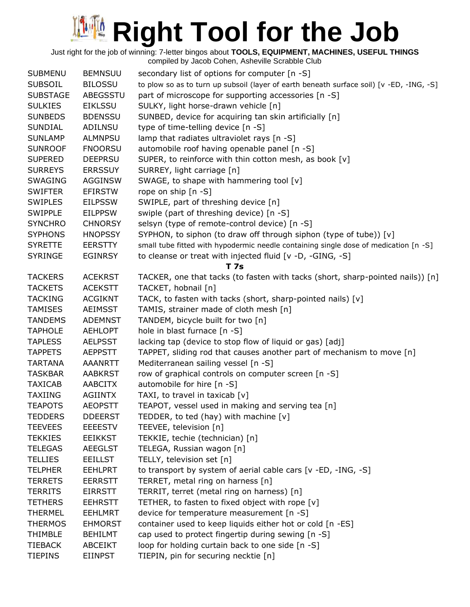Just right for the job of winning: 7-letter bingos about **TOOLS, EQUIPMENT, MACHINES, USEFUL THINGS**

| <b>SUBMENU</b>  | <b>BEMNSUU</b> | secondary list of options for computer [n -S]                                            |
|-----------------|----------------|------------------------------------------------------------------------------------------|
| <b>SUBSOIL</b>  | <b>BILOSSU</b> | to plow so as to turn up subsoil (layer of earth beneath surface soil) [v -ED, -ING, -S] |
| <b>SUBSTAGE</b> | ABEGSSTU       | part of microscope for supporting accessories [n -S]                                     |
| <b>SULKIES</b>  | <b>EIKLSSU</b> | SULKY, light horse-drawn vehicle [n]                                                     |
| <b>SUNBEDS</b>  | <b>BDENSSU</b> | SUNBED, device for acquiring tan skin artificially [n]                                   |
| <b>SUNDIAL</b>  | <b>ADILNSU</b> | type of time-telling device [n -S]                                                       |
| <b>SUNLAMP</b>  | <b>ALMNPSU</b> | lamp that radiates ultraviolet rays [n -S]                                               |
| <b>SUNROOF</b>  | <b>FNOORSU</b> | automobile roof having openable panel [n -S]                                             |
| <b>SUPERED</b>  | <b>DEEPRSU</b> | SUPER, to reinforce with thin cotton mesh, as book [v]                                   |
| <b>SURREYS</b>  | <b>ERRSSUY</b> | SURREY, light carriage [n]                                                               |
| <b>SWAGING</b>  | <b>AGGINSW</b> | SWAGE, to shape with hammering tool [v]                                                  |
| <b>SWIFTER</b>  | <b>EFIRSTW</b> | rope on ship [n -S]                                                                      |
| <b>SWIPLES</b>  | <b>EILPSSW</b> | SWIPLE, part of threshing device [n]                                                     |
| <b>SWIPPLE</b>  | <b>EILPPSW</b> | swiple (part of threshing device) [n -S]                                                 |
| <b>SYNCHRO</b>  | <b>CHNORSY</b> | selsyn (type of remote-control device) [n -S]                                            |
| <b>SYPHONS</b>  | <b>HNOPSSY</b> | SYPHON, to siphon (to draw off through siphon (type of tube)) [v]                        |
| <b>SYRETTE</b>  | <b>EERSTTY</b> | small tube fitted with hypodermic needle containing single dose of medication [n -S]     |
| <b>SYRINGE</b>  | <b>EGINRSY</b> | to cleanse or treat with injected fluid [v -D, -GING, -S]                                |
|                 |                | T 7s                                                                                     |
| <b>TACKERS</b>  | <b>ACEKRST</b> | TACKER, one that tacks (to fasten with tacks (short, sharp-pointed nails)) [n]           |
| <b>TACKETS</b>  | <b>ACEKSTT</b> | TACKET, hobnail [n]                                                                      |
| <b>TACKING</b>  | <b>ACGIKNT</b> | TACK, to fasten with tacks (short, sharp-pointed nails) [v]                              |
| <b>TAMISES</b>  | <b>AEIMSST</b> | TAMIS, strainer made of cloth mesh [n]                                                   |
| <b>TANDEMS</b>  | <b>ADEMNST</b> | TANDEM, bicycle built for two [n]                                                        |
| <b>TAPHOLE</b>  | <b>AEHLOPT</b> | hole in blast furnace [n -S]                                                             |
| <b>TAPLESS</b>  | <b>AELPSST</b> | lacking tap (device to stop flow of liquid or gas) [adj]                                 |
| <b>TAPPETS</b>  | <b>AEPPSTT</b> | TAPPET, sliding rod that causes another part of mechanism to move [n]                    |
| <b>TARTANA</b>  | <b>AAANRTT</b> | Mediterranean sailing vessel [n -S]                                                      |
| <b>TASKBAR</b>  | <b>AABKRST</b> | row of graphical controls on computer screen [n -S]                                      |
| <b>TAXICAB</b>  | AABCITX        | automobile for hire [n -S]                                                               |
| <b>TAXIING</b>  | <b>AGIINTX</b> | TAXI, to travel in taxicab [v]                                                           |
| <b>TEAPOTS</b>  | <b>AEOPSTT</b> | TEAPOT, vessel used in making and serving tea [n]                                        |
| <b>TEDDERS</b>  | <b>DDEERST</b> | TEDDER, to ted (hay) with machine $[v]$                                                  |
| <b>TEEVEES</b>  | <b>EEEESTV</b> | TEEVEE, television [n]                                                                   |
| <b>TEKKIES</b>  | <b>EEIKKST</b> | TEKKIE, techie (technician) [n]                                                          |
| <b>TELEGAS</b>  | <b>AEEGLST</b> | TELEGA, Russian wagon [n]                                                                |
| <b>TELLIES</b>  | <b>EEILLST</b> | TELLY, television set [n]                                                                |
| <b>TELPHER</b>  | <b>EEHLPRT</b> | to transport by system of aerial cable cars [v -ED, -ING, -S]                            |
| <b>TERRETS</b>  | <b>EERRSTT</b> | TERRET, metal ring on harness [n]                                                        |
| <b>TERRITS</b>  | <b>EIRRSTT</b> | TERRIT, terret (metal ring on harness) [n]                                               |
| <b>TETHERS</b>  | <b>EEHRSTT</b> | TETHER, to fasten to fixed object with rope [v]                                          |
| <b>THERMEL</b>  | <b>EEHLMRT</b> | device for temperature measurement [n -S]                                                |
| <b>THERMOS</b>  | <b>EHMORST</b> | container used to keep liquids either hot or cold [n -ES]                                |
| <b>THIMBLE</b>  | <b>BEHILMT</b> | cap used to protect fingertip during sewing [n -S]                                       |
| <b>TIEBACK</b>  | <b>ABCEIKT</b> | loop for holding curtain back to one side [n -S]                                         |
| <b>TIEPINS</b>  | <b>EIINPST</b> | TIEPIN, pin for securing necktie [n]                                                     |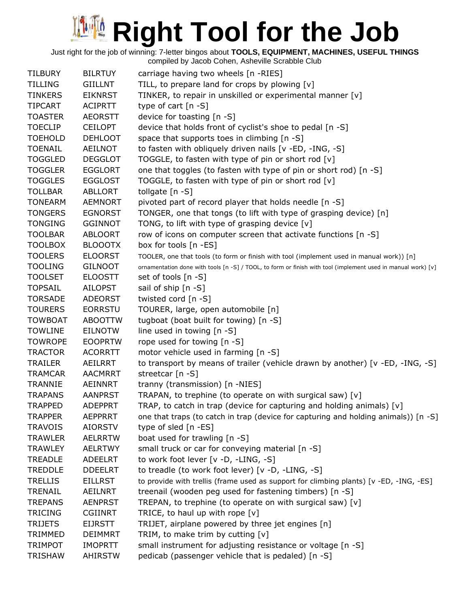Just right for the job of winning: 7-letter bingos about **TOOLS, EQUIPMENT, MACHINES, USEFUL THINGS**

compiled by Jacob Cohen, Asheville Scrabble Club TILBURY BILRTUY carriage having two wheels [n -RIES] TILLING GIILLNT TILL, to prepare land for crops by plowing [v] TINKERS EIKNRST TINKER, to repair in unskilled or experimental manner [v] TIPCART ACIPRTT type of cart [n -S] TOASTER AEORSTT device for toasting [n -S] TOECLIP CEILOPT device that holds front of cyclist's shoe to pedal [n -S] TOEHOLD DEHLOOT space that supports toes in climbing [n -S] TOENAIL AEILNOT to fasten with obliquely driven nails [v -ED, -ING, -S] TOGGLED DEGGLOT TOGGLE, to fasten with type of pin or short rod [v] TOGGLER EGGLORT one that toggles (to fasten with type of pin or short rod) [n -S] TOGGLES EGGLOST TOGGLE, to fasten with type of pin or short rod  $[v]$ TOLLBAR ABLLORT tollgate [n -S] TONEARM AEMNORT pivoted part of record player that holds needle [n -S] TONGERS EGNORST TONGER, one that tongs (to lift with type of grasping device) [n] TONGING GGINNOT TONG, to lift with type of grasping device [v] TOOLBAR ABLOORT row of icons on computer screen that activate functions [n -S] TOOLBOX BLOOOTX box for tools [n -ES] TOOLERS ELOORST TOOLER, one that tools (to form or finish with tool (implement used in manual work)) [n] TOOLING GILNOOT ornamentation done with tools [n -S] / TOOL, to form or finish with tool (implement used in manual work) [v] TOOLSET ELOOSTT set of tools [n -S] TOPSAIL AILOPST sail of ship [n -S] TORSADE ADEORST twisted cord [n -S] TOURERS EORRSTU TOURER, large, open automobile [n] TOWBOAT ABOOTTW tugboat (boat built for towing) [n -S] TOWLINE EILNOTW line used in towing [n -S] TOWROPE EOOPRTW rope used for towing [n -S] TRACTOR ACORRTT motor vehicle used in farming [n -S] TRAILER AEILRRT to transport by means of trailer (vehicle drawn by another) [v -ED, -ING, -S] TRAMCAR AACMRRT streetcar [n -S] TRANNIE AEINNRT tranny (transmission) [n -NIES] TRAPANS AANPRST TRAPAN, to trephine (to operate on with surgical saw) [v] TRAPPED ADEPPRT TRAP, to catch in trap (device for capturing and holding animals)  $[v]$ TRAPPER AEPPRRT one that traps (to catch in trap (device for capturing and holding animals)) [n -S] TRAVOIS AIORSTV type of sled [n -ES] TRAWLER AELRRTW boat used for trawling [n -S] TRAWLEY AELRTWY small truck or car for conveying material [n -S] TREADLE ADEELRT to work foot lever [v -D, -LING, -S] TREDDLE DDEELRT to treadle (to work foot lever) [v -D, -LING, -S] TRELLIS EILLRST to provide with trellis (frame used as support for climbing plants) [v -ED, -ING, -ES] TRENAIL AEILNRT treenail (wooden peg used for fastening timbers) [n -S] TREPANS AENPRST TREPAN, to trephine (to operate on with surgical saw) [v] TRICING CGIINRT TRICE, to haul up with rope [v] TRIJETS EIJRSTT TRIJET, airplane powered by three jet engines [n] TRIMMED DEIMMRT TRIM, to make trim by cutting  $[v]$ TRIMPOT IMOPRTT small instrument for adjusting resistance or voltage [n -S] TRISHAW AHIRSTW pedicab (passenger vehicle that is pedaled) [n -S]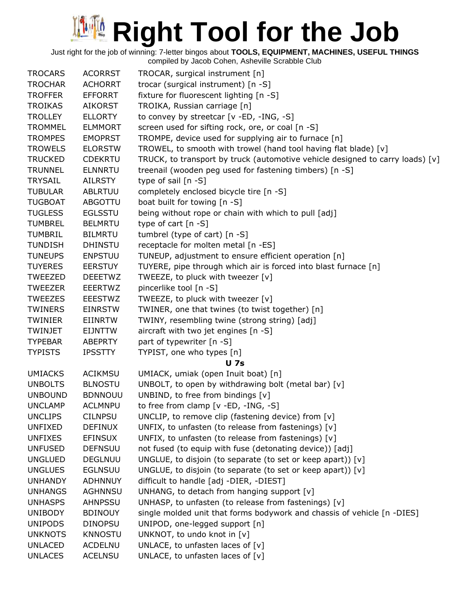Just right for the job of winning: 7-letter bingos about **TOOLS, EQUIPMENT, MACHINES, USEFUL THINGS**

| <b>TROCARS</b> | <b>ACORRST</b> | TROCAR, surgical instrument [n]                                               |
|----------------|----------------|-------------------------------------------------------------------------------|
| <b>TROCHAR</b> | <b>ACHORRT</b> | trocar (surgical instrument) [n -S]                                           |
| <b>TROFFER</b> | <b>EFFORRT</b> | fixture for fluorescent lighting [n -S]                                       |
| <b>TROIKAS</b> | <b>AIKORST</b> | TROIKA, Russian carriage [n]                                                  |
| <b>TROLLEY</b> | <b>ELLORTY</b> | to convey by streetcar [v -ED, -ING, -S]                                      |
| <b>TROMMEL</b> | <b>ELMMORT</b> | screen used for sifting rock, ore, or coal [n -S]                             |
| <b>TROMPES</b> | <b>EMOPRST</b> | TROMPE, device used for supplying air to furnace [n]                          |
| <b>TROWELS</b> | <b>ELORSTW</b> | TROWEL, to smooth with trowel (hand tool having flat blade) [v]               |
| <b>TRUCKED</b> | <b>CDEKRTU</b> | TRUCK, to transport by truck (automotive vehicle designed to carry loads) [v] |
| <b>TRUNNEL</b> | <b>ELNNRTU</b> | treenail (wooden peg used for fastening timbers) [n -S]                       |
| <b>TRYSAIL</b> | AILRSTY        | type of sail $[n - S]$                                                        |
| <b>TUBULAR</b> | <b>ABLRTUU</b> | completely enclosed bicycle tire [n -S]                                       |
| <b>TUGBOAT</b> | <b>ABGOTTU</b> | boat built for towing [n -S]                                                  |
| <b>TUGLESS</b> | <b>EGLSSTU</b> | being without rope or chain with which to pull [adj]                          |
| <b>TUMBREL</b> | <b>BELMRTU</b> | type of cart $[n - S]$                                                        |
| <b>TUMBRIL</b> | <b>BILMRTU</b> | tumbrel (type of cart) [n -S]                                                 |
| <b>TUNDISH</b> | <b>DHINSTU</b> | receptacle for molten metal [n -ES]                                           |
| <b>TUNEUPS</b> | <b>ENPSTUU</b> | TUNEUP, adjustment to ensure efficient operation [n]                          |
| <b>TUYERES</b> | <b>EERSTUY</b> | TUYERE, pipe through which air is forced into blast furnace [n]               |
| <b>TWEEZED</b> | <b>DEEETWZ</b> | TWEEZE, to pluck with tweezer [v]                                             |
| <b>TWEEZER</b> | <b>EEERTWZ</b> | pincerlike tool [n -S]                                                        |
| <b>TWEEZES</b> | <b>EEESTWZ</b> | TWEEZE, to pluck with tweezer [v]                                             |
| <b>TWINERS</b> | <b>EINRSTW</b> | TWINER, one that twines (to twist together) [n]                               |
| <b>TWINIER</b> | <b>EIINRTW</b> | TWINY, resembling twine (strong string) [adj]                                 |
| TWINJET        | <b>EIJNTTW</b> | aircraft with two jet engines [n -S]                                          |
| <b>TYPEBAR</b> | <b>ABEPRTY</b> | part of typewriter [n -S]                                                     |
| <b>TYPISTS</b> | <b>IPSSTTY</b> | TYPIST, one who types [n]                                                     |
|                |                | <b>U</b> 7s                                                                   |
| <b>UMIACKS</b> | <b>ACIKMSU</b> | UMIACK, umiak (open Inuit boat) [n]                                           |
| <b>UNBOLTS</b> | <b>BLNOSTU</b> | UNBOLT, to open by withdrawing bolt (metal bar) $[v]$                         |
| <b>UNBOUND</b> | <b>BDNNOUU</b> | UNBIND, to free from bindings [v]                                             |
| <b>UNCLAMP</b> | <b>ACLMNPU</b> | to free from clamp $[v - ED, -ING, -S]$                                       |
| <b>UNCLIPS</b> | <b>CILNPSU</b> | UNCLIP, to remove clip (fastening device) from [v]                            |
| <b>UNFIXED</b> | <b>DEFINUX</b> | UNFIX, to unfasten (to release from fastenings) [v]                           |
| <b>UNFIXES</b> | <b>EFINSUX</b> | UNFIX, to unfasten (to release from fastenings) [v]                           |
| <b>UNFUSED</b> | <b>DEFNSUU</b> | not fused (to equip with fuse (detonating device)) [adj]                      |
| <b>UNGLUED</b> | <b>DEGLNUU</b> | UNGLUE, to disjoin (to separate (to set or keep apart)) [v]                   |
| <b>UNGLUES</b> | <b>EGLNSUU</b> | UNGLUE, to disjoin (to separate (to set or keep apart)) $[v]$                 |
| <b>UNHANDY</b> | <b>ADHNNUY</b> | difficult to handle [adj -DIER, -DIEST]                                       |
| <b>UNHANGS</b> | <b>AGHNNSU</b> | UNHANG, to detach from hanging support [v]                                    |
| <b>UNHASPS</b> | <b>AHNPSSU</b> | UNHASP, to unfasten (to release from fastenings) $[v]$                        |
| <b>UNIBODY</b> | <b>BDINOUY</b> | single molded unit that forms bodywork and chassis of vehicle [n -DIES]       |
| <b>UNIPODS</b> | <b>DINOPSU</b> | UNIPOD, one-legged support [n]                                                |
| <b>UNKNOTS</b> | <b>KNNOSTU</b> | UNKNOT, to undo knot in [v]                                                   |
| <b>UNLACED</b> | <b>ACDELNU</b> | UNLACE, to unfasten laces of $[v]$                                            |
| <b>UNLACES</b> | <b>ACELNSU</b> | UNLACE, to unfasten laces of $[v]$                                            |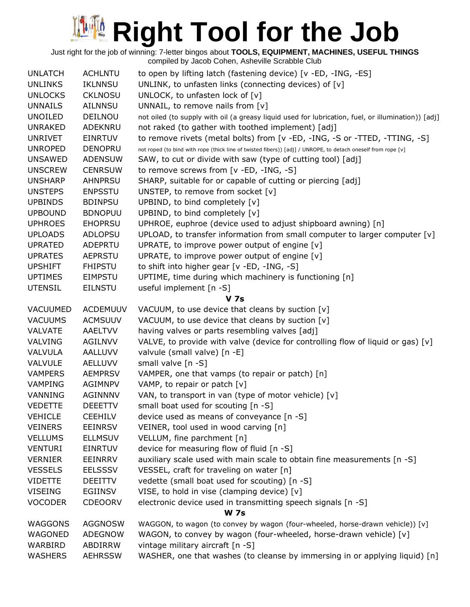Just right for the job of winning: 7-letter bingos about **TOOLS, EQUIPMENT, MACHINES, USEFUL THINGS**

| <b>UNLATCH</b> | <b>ACHLNTU</b>  | to open by lifting latch (fastening device) [v -ED, -ING, -ES]                                               |  |  |  |
|----------------|-----------------|--------------------------------------------------------------------------------------------------------------|--|--|--|
| <b>UNLINKS</b> | <b>IKLNNSU</b>  | UNLINK, to unfasten links (connecting devices) of [v]                                                        |  |  |  |
| <b>UNLOCKS</b> | <b>CKLNOSU</b>  | UNLOCK, to unfasten lock of [v]                                                                              |  |  |  |
| <b>UNNAILS</b> | <b>AILNNSU</b>  | UNNAIL, to remove nails from $[v]$                                                                           |  |  |  |
| <b>UNOILED</b> | DEILNOU         | not oiled (to supply with oil (a greasy liquid used for lubrication, fuel, or illumination)) [adj]           |  |  |  |
| <b>UNRAKED</b> | ADEKNRU         | not raked (to gather with toothed implement) [adj]                                                           |  |  |  |
| <b>UNRIVET</b> | <b>EINRTUV</b>  | to remove rivets (metal bolts) from [v - ED, -ING, -S or -TTED, -TTING, -S]                                  |  |  |  |
| <b>UNROPED</b> | <b>DENOPRU</b>  | not roped (to bind with rope (thick line of twisted fibers)) [adj] / UNROPE, to detach oneself from rope [v] |  |  |  |
| <b>UNSAWED</b> | <b>ADENSUW</b>  | SAW, to cut or divide with saw (type of cutting tool) [adj]                                                  |  |  |  |
| <b>UNSCREW</b> | <b>CENRSUW</b>  | to remove screws from [v -ED, -ING, -S]                                                                      |  |  |  |
| <b>UNSHARP</b> | <b>AHNPRSU</b>  | SHARP, suitable for or capable of cutting or piercing [adj]                                                  |  |  |  |
| <b>UNSTEPS</b> | <b>ENPSSTU</b>  | UNSTEP, to remove from socket [v]                                                                            |  |  |  |
| <b>UPBINDS</b> | <b>BDINPSU</b>  | UPBIND, to bind completely [v]                                                                               |  |  |  |
| <b>UPBOUND</b> | <b>BDNOPUU</b>  | UPBIND, to bind completely [v]                                                                               |  |  |  |
| <b>UPHROES</b> | <b>EHOPRSU</b>  | UPHROE, euphroe (device used to adjust shipboard awning) [n]                                                 |  |  |  |
| <b>UPLOADS</b> | <b>ADLOPSU</b>  | UPLOAD, to transfer information from small computer to larger computer [v]                                   |  |  |  |
| <b>UPRATED</b> | ADEPRTU         | UPRATE, to improve power output of engine [v]                                                                |  |  |  |
| <b>UPRATES</b> | <b>AEPRSTU</b>  | UPRATE, to improve power output of engine [v]                                                                |  |  |  |
| <b>UPSHIFT</b> | <b>FHIPSTU</b>  | to shift into higher gear [v -ED, -ING, -S]                                                                  |  |  |  |
| <b>UPTIMES</b> | <b>EIMPSTU</b>  | UPTIME, time during which machinery is functioning [n]                                                       |  |  |  |
| <b>UTENSIL</b> | <b>EILNSTU</b>  | useful implement [n -S]                                                                                      |  |  |  |
|                |                 |                                                                                                              |  |  |  |
|                |                 | <b>V</b> 7s                                                                                                  |  |  |  |
| VACUUMED       | <b>ACDEMUUV</b> | VACUUM, to use device that cleans by suction [v]                                                             |  |  |  |
| <b>VACUUMS</b> | <b>ACMSUUV</b>  | VACUUM, to use device that cleans by suction [v]                                                             |  |  |  |
| <b>VALVATE</b> | AAELTVV         | having valves or parts resembling valves [adj]                                                               |  |  |  |
| VALVING        | <b>AGILNVV</b>  | VALVE, to provide with valve (device for controlling flow of liquid or gas) $[v]$                            |  |  |  |
| VALVULA        | <b>AALLUVV</b>  | valvule (small valve) [n -E]                                                                                 |  |  |  |
| <b>VALVULE</b> | <b>AELLUVV</b>  | small valve $[n -S]$                                                                                         |  |  |  |
| <b>VAMPERS</b> | <b>AEMPRSV</b>  | VAMPER, one that vamps (to repair or patch) [n]                                                              |  |  |  |
| VAMPING        | <b>AGIMNPV</b>  | VAMP, to repair or patch [v]                                                                                 |  |  |  |
| VANNING        | <b>AGINNNV</b>  | VAN, to transport in van (type of motor vehicle) [v]                                                         |  |  |  |
| <b>VEDETTE</b> | <b>DEEETTV</b>  | small boat used for scouting [n -S]                                                                          |  |  |  |
| <b>VEHICLE</b> | <b>CEEHILV</b>  | device used as means of conveyance [n -S]                                                                    |  |  |  |
| <b>VEINERS</b> | <b>EEINRSV</b>  | VEINER, tool used in wood carving [n]                                                                        |  |  |  |
| <b>VELLUMS</b> | <b>ELLMSUV</b>  | VELLUM, fine parchment [n]                                                                                   |  |  |  |
| <b>VENTURI</b> | <b>EINRTUV</b>  | device for measuring flow of fluid [n -S]                                                                    |  |  |  |
| <b>VERNIER</b> | EEINRRV         | auxiliary scale used with main scale to obtain fine measurements [n -S]                                      |  |  |  |
| <b>VESSELS</b> | <b>EELSSSV</b>  | VESSEL, craft for traveling on water [n]                                                                     |  |  |  |
| <b>VIDETTE</b> | <b>DEEITTV</b>  | vedette (small boat used for scouting) [n -S]                                                                |  |  |  |
| <b>VISEING</b> | EGIINSV         | VISE, to hold in vise (clamping device) [v]                                                                  |  |  |  |
| <b>VOCODER</b> | <b>CDEOORV</b>  | electronic device used in transmitting speech signals [n -S]                                                 |  |  |  |
| <b>W</b> 7s    |                 |                                                                                                              |  |  |  |
| WAGGONS        | <b>AGGNOSW</b>  | WAGGON, to wagon (to convey by wagon (four-wheeled, horse-drawn vehicle)) [v]                                |  |  |  |
| WAGONED        | <b>ADEGNOW</b>  | WAGON, to convey by wagon (four-wheeled, horse-drawn vehicle) [v]                                            |  |  |  |
| WARBIRD        | ABDIRRW         | vintage military aircraft [n -S]                                                                             |  |  |  |
| WASHERS        | <b>AEHRSSW</b>  | WASHER, one that washes (to cleanse by immersing in or applying liquid) [n]                                  |  |  |  |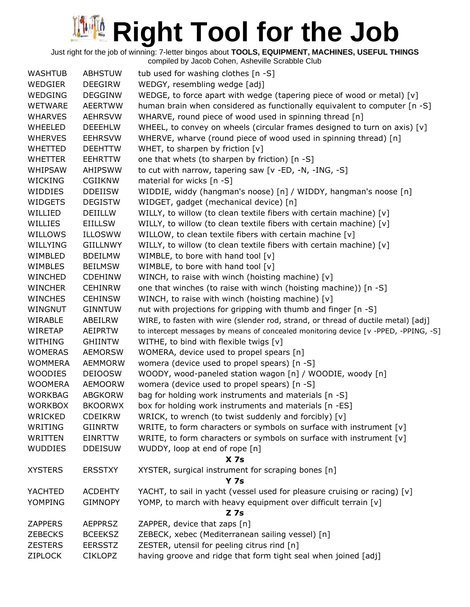| <b>WASHTUB</b> | <b>ABHSTUW</b>  | tub used for washing clothes [n -S]                                                 |
|----------------|-----------------|-------------------------------------------------------------------------------------|
| WEDGIER        | <b>DEEGIRW</b>  | WEDGY, resembling wedge [adj]                                                       |
| <b>WEDGING</b> | <b>DEGGINW</b>  | WEDGE, to force apart with wedge (tapering piece of wood or metal) $[v]$            |
| <b>WETWARE</b> | <b>AEERTWW</b>  | human brain when considered as functionally equivalent to computer [n -S]           |
| <b>WHARVES</b> | <b>AEHRSVW</b>  | WHARVE, round piece of wood used in spinning thread [n]                             |
| <b>WHEELED</b> | <b>DEEEHLW</b>  | WHEEL, to convey on wheels (circular frames designed to turn on axis) [v]           |
| <b>WHERVES</b> | <b>EEHRSVW</b>  | WHERVE, wharve (round piece of wood used in spinning thread) [n]                    |
| <b>WHETTED</b> | <b>DEEHTTW</b>  | WHET, to sharpen by friction [v]                                                    |
| <b>WHETTER</b> | <b>EEHRTTW</b>  | one that whets (to sharpen by friction) [n -S]                                      |
| <b>WHIPSAW</b> | <b>AHIPSWW</b>  | to cut with narrow, tapering saw [v -ED, -N, -ING, -S]                              |
| <b>WICKING</b> | <b>CGIIKNW</b>  | material for wicks [n -S]                                                           |
| WIDDIES        | <b>DDEIISW</b>  | WIDDIE, widdy (hangman's noose) [n] / WIDDY, hangman's noose [n]                    |
| <b>WIDGETS</b> | <b>DEGISTW</b>  | WIDGET, gadget (mechanical device) [n]                                              |
| WILLIED        | DEIILLW         | WILLY, to willow (to clean textile fibers with certain machine) [v]                 |
| WILLIES        | EIILLSW         | WILLY, to willow (to clean textile fibers with certain machine) [v]                 |
| WILLOWS        | <b>ILLOSWW</b>  | WILLOW, to clean textile fibers with certain machine [v]                            |
| WILLYING       | <b>GIILLNWY</b> | WILLY, to willow (to clean textile fibers with certain machine) [v]                 |
| WIMBLED        | <b>BDEILMW</b>  | WIMBLE, to bore with hand tool [v]                                                  |
| <b>WIMBLES</b> | <b>BEILMSW</b>  | WIMBLE, to bore with hand tool [v]                                                  |
| <b>WINCHED</b> | <b>CDEHINW</b>  | WINCH, to raise with winch (hoisting machine) [v]                                   |
| <b>WINCHER</b> | <b>CEHINRW</b>  | one that winches (to raise with winch (hoisting machine)) [n -S]                    |
| <b>WINCHES</b> | <b>CEHINSW</b>  | WINCH, to raise with winch (hoisting machine) [v]                                   |
|                |                 |                                                                                     |
| WINGNUT        | <b>GINNTUW</b>  | nut with projections for gripping with thumb and finger [n -S]                      |
| WIRABLE        | ABEILRW         | WIRE, to fasten with wire (slender rod, strand, or thread of ductile metal) [adj]   |
| WIRETAP        | AEIPRTW         | to intercept messages by means of concealed monitoring device [v -PPED, -PPING, -S] |
| <b>WITHING</b> | <b>GHIINTW</b>  | WITHE, to bind with flexible twigs [v]                                              |
| <b>WOMERAS</b> | <b>AEMORSW</b>  | WOMERA, device used to propel spears [n]                                            |
| <b>WOMMERA</b> | <b>AEMMORW</b>  | womera (device used to propel spears) [n -S]                                        |
| <b>WOODIES</b> | <b>DEIOOSW</b>  | WOODY, wood-paneled station wagon [n] / WOODIE, woody [n]                           |
| <b>WOOMERA</b> | <b>AEMOORW</b>  | womera (device used to propel spears) [n -S]                                        |
| <b>WORKBAG</b> | <b>ABGKORW</b>  | bag for holding work instruments and materials [n -S]                               |
| <b>WORKBOX</b> | <b>BKOORWX</b>  | box for holding work instruments and materials [n -ES]                              |
| WRICKED        | <b>CDEIKRW</b>  | WRICK, to wrench (to twist suddenly and forcibly) [v]                               |
| WRITING        | <b>GIINRTW</b>  | WRITE, to form characters or symbols on surface with instrument [v]                 |
| WRITTEN        | <b>EINRTTW</b>  | WRITE, to form characters or symbols on surface with instrument [v]                 |
| <b>WUDDIES</b> | <b>DDEISUW</b>  | WUDDY, loop at end of rope [n]                                                      |
|                |                 | X <sub>7s</sub>                                                                     |
| <b>XYSTERS</b> | <b>ERSSTXY</b>  | XYSTER, surgical instrument for scraping bones [n]                                  |
|                |                 | <b>Y 7s</b>                                                                         |
| YACHTED        | <b>ACDEHTY</b>  | YACHT, to sail in yacht (vessel used for pleasure cruising or racing) [v]           |
| <b>YOMPING</b> | <b>GIMNOPY</b>  | YOMP, to march with heavy equipment over difficult terrain [v]                      |
|                |                 | $Z$ 7s                                                                              |
| <b>ZAPPERS</b> | <b>AEPPRSZ</b>  | ZAPPER, device that zaps [n]                                                        |
| <b>ZEBECKS</b> | <b>BCEEKSZ</b>  | ZEBECK, xebec (Mediterranean sailing vessel) [n]                                    |
| <b>ZESTERS</b> | <b>EERSSTZ</b>  | ZESTER, utensil for peeling citrus rind [n]                                         |
| <b>ZIPLOCK</b> | <b>CIKLOPZ</b>  | having groove and ridge that form tight seal when joined [adj]                      |